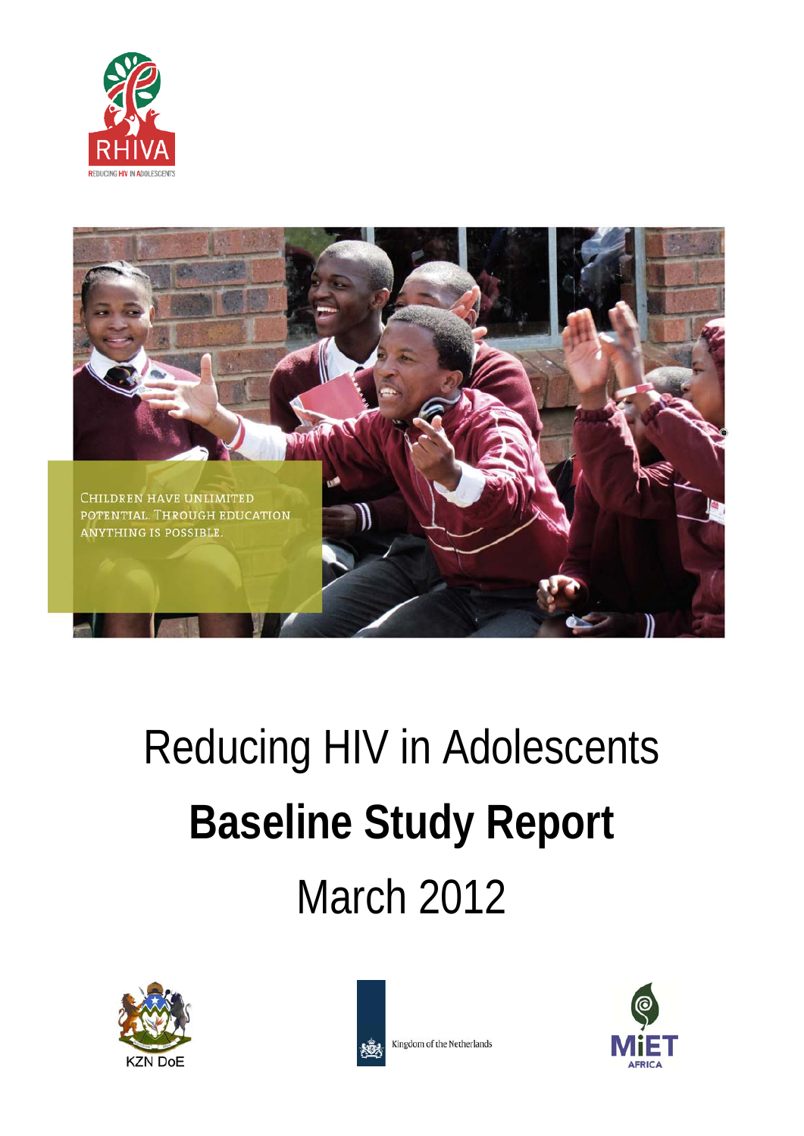



# Reducing HIV in Adolescents **Baseline Study Report** March 2012





Kingdom of the Netherlands

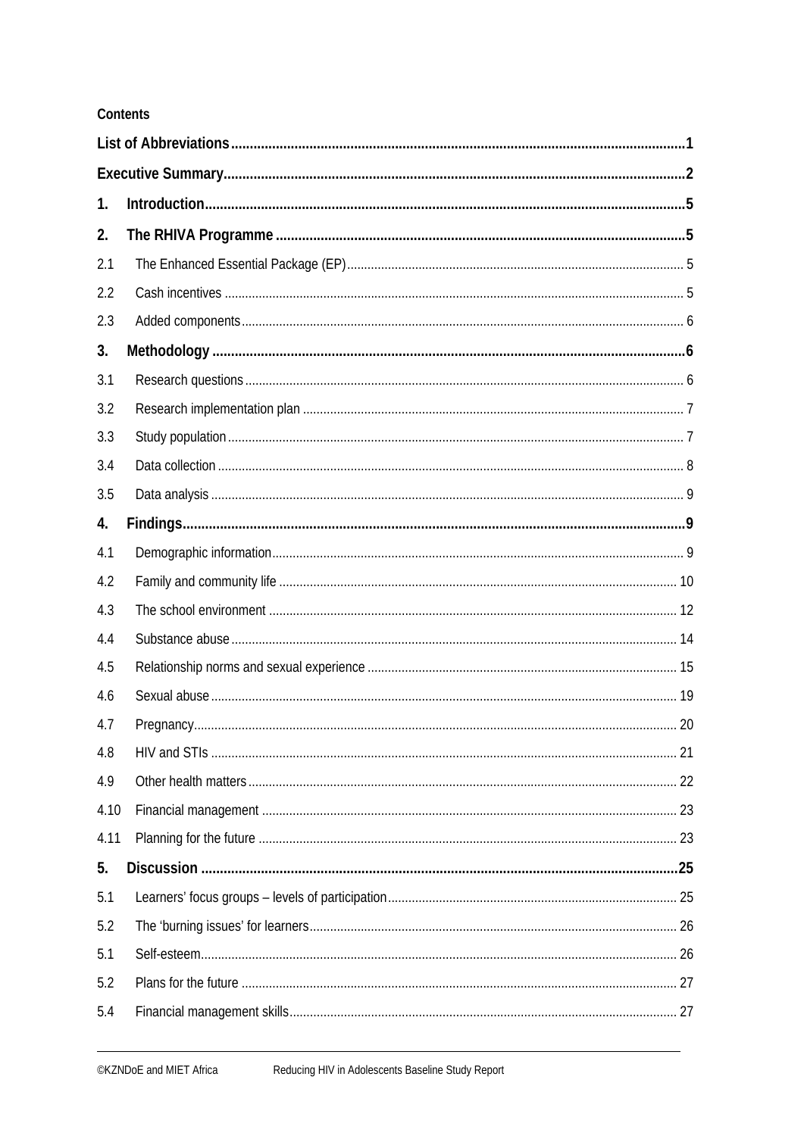## Contents

| 1.   |  |
|------|--|
| 2.   |  |
| 2.1  |  |
| 2.2  |  |
| 2.3  |  |
| 3.   |  |
| 3.1  |  |
| 3.2  |  |
| 3.3  |  |
| 3.4  |  |
| 3.5  |  |
| 4.   |  |
| 4.1  |  |
| 4.2  |  |
| 4.3  |  |
| 4.4  |  |
| 4.5  |  |
| 4.6  |  |
| 4.7  |  |
| 4.8  |  |
| 4.9  |  |
| 4.10 |  |
| 4.11 |  |
| 5.   |  |
| 5.1  |  |
| 5.2  |  |
| 5.1  |  |
| 5.2  |  |
| 5.4  |  |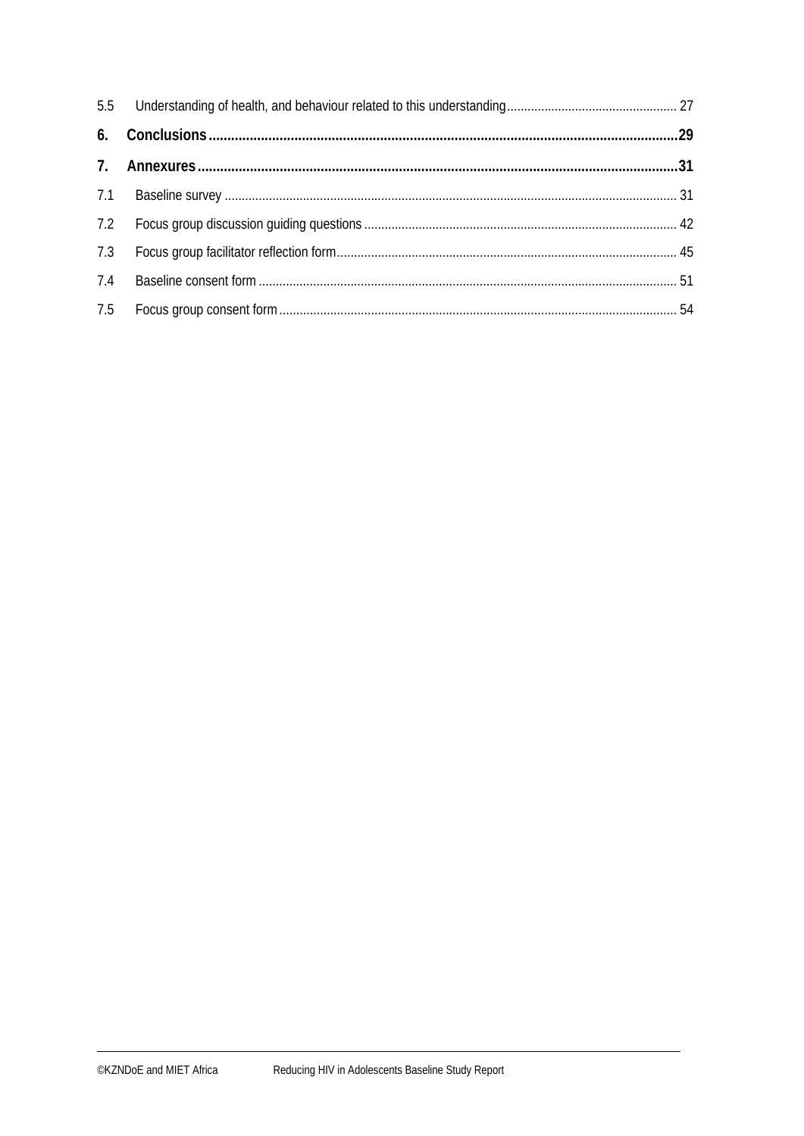| 7.4 |  |
|-----|--|
|     |  |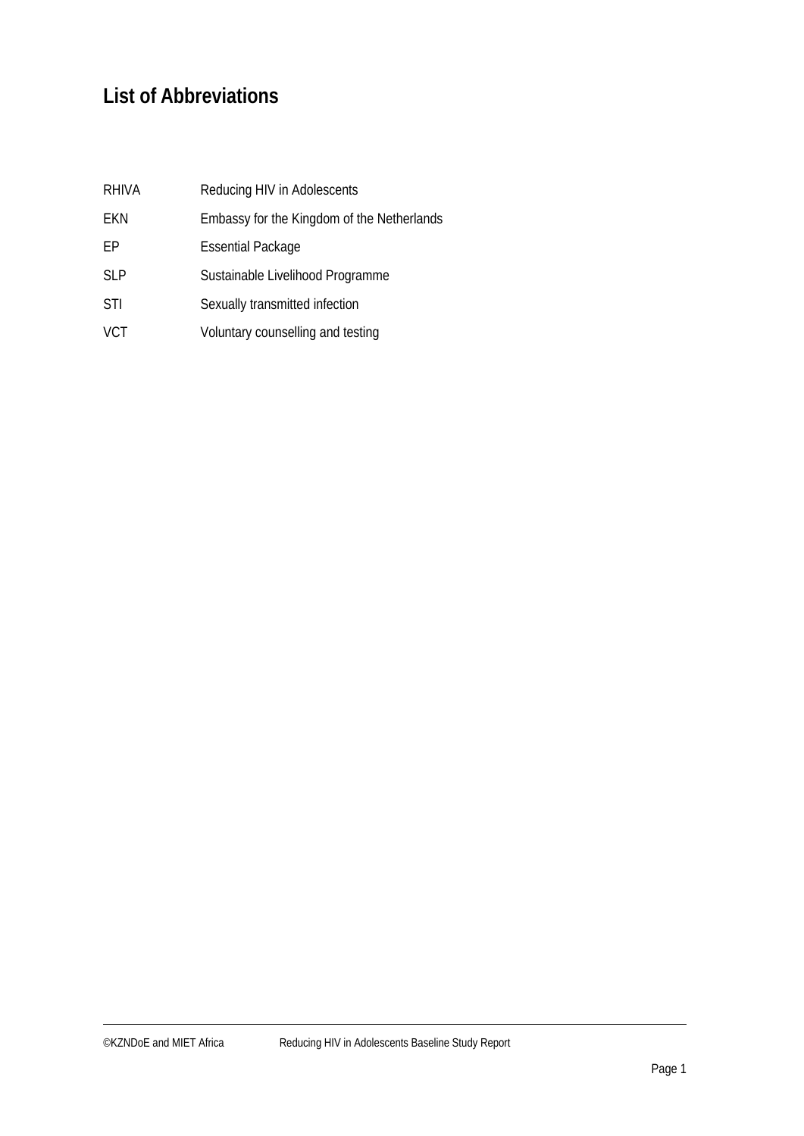# **List of Abbreviations**

| <b>RHIVA</b> | Reducing HIV in Adolescents                |
|--------------|--------------------------------------------|
| EKN          | Embassy for the Kingdom of the Netherlands |
| FP           | <b>Essential Package</b>                   |
| <b>SLP</b>   | Sustainable Livelihood Programme           |
| STI          | Sexually transmitted infection             |
| <b>VCT</b>   | Voluntary counselling and testing          |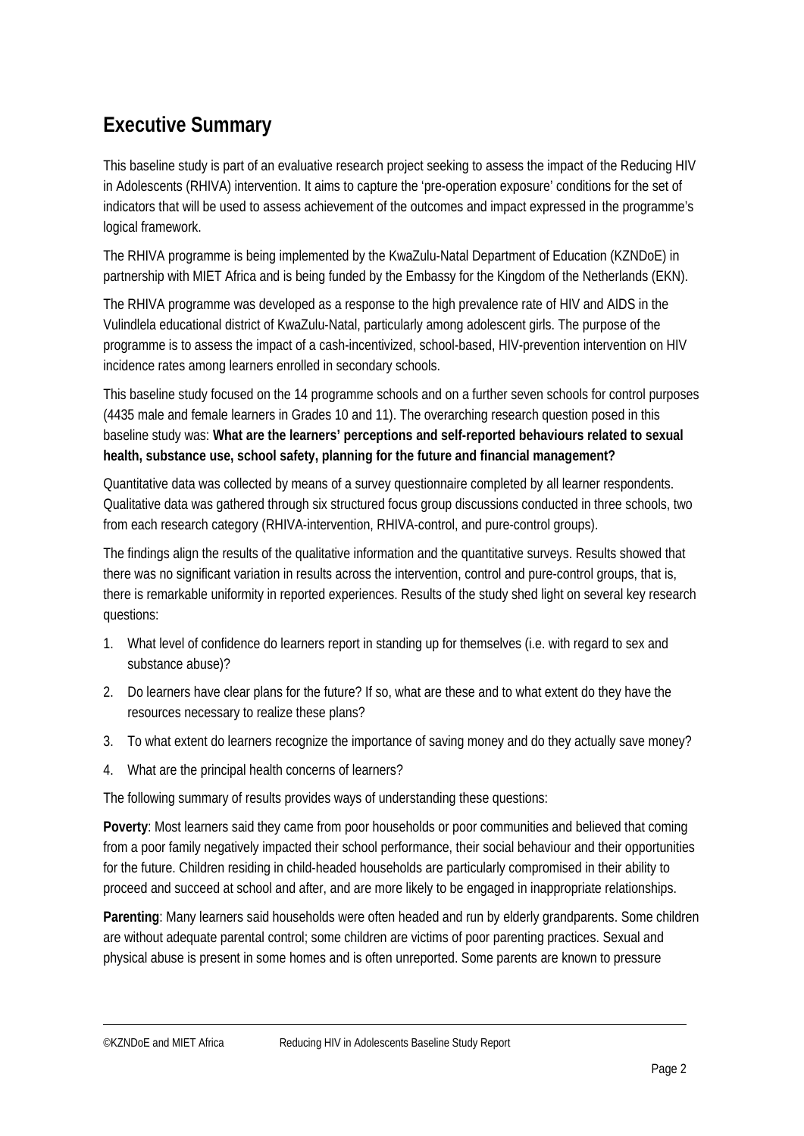# **Executive Summary**

This baseline study is part of an evaluative research project seeking to assess the impact of the Reducing HIV in Adolescents (RHIVA) intervention. It aims to capture the 'pre-operation exposure' conditions for the set of indicators that will be used to assess achievement of the outcomes and impact expressed in the programme's logical framework.

The RHIVA programme is being implemented by the KwaZulu-Natal Department of Education (KZNDoE) in partnership with MIET Africa and is being funded by the Embassy for the Kingdom of the Netherlands (EKN).

The RHIVA programme was developed as a response to the high prevalence rate of HIV and AIDS in the Vulindlela educational district of KwaZulu-Natal, particularly among adolescent girls. The purpose of the programme is to assess the impact of a cash-incentivized, school-based, HIV-prevention intervention on HIV incidence rates among learners enrolled in secondary schools.

This baseline study focused on the 14 programme schools and on a further seven schools for control purposes (4435 male and female learners in Grades 10 and 11). The overarching research question posed in this baseline study was: **What are the learners' perceptions and self-reported behaviours related to sexual health, substance use, school safety, planning for the future and financial management?** 

Quantitative data was collected by means of a survey questionnaire completed by all learner respondents. Qualitative data was gathered through six structured focus group discussions conducted in three schools, two from each research category (RHIVA-intervention, RHIVA-control, and pure-control groups).

The findings align the results of the qualitative information and the quantitative surveys. Results showed that there was no significant variation in results across the intervention, control and pure-control groups, that is, there is remarkable uniformity in reported experiences. Results of the study shed light on several key research questions:

- 1. What level of confidence do learners report in standing up for themselves (i.e. with regard to sex and substance abuse)?
- 2. Do learners have clear plans for the future? If so, what are these and to what extent do they have the resources necessary to realize these plans?
- 3. To what extent do learners recognize the importance of saving money and do they actually save money?
- 4. What are the principal health concerns of learners?

 $\overline{a}$ 

The following summary of results provides ways of understanding these questions:

**Poverty**: Most learners said they came from poor households or poor communities and believed that coming from a poor family negatively impacted their school performance, their social behaviour and their opportunities for the future. Children residing in child-headed households are particularly compromised in their ability to proceed and succeed at school and after, and are more likely to be engaged in inappropriate relationships.

**Parenting**: Many learners said households were often headed and run by elderly grandparents. Some children are without adequate parental control; some children are victims of poor parenting practices. Sexual and physical abuse is present in some homes and is often unreported. Some parents are known to pressure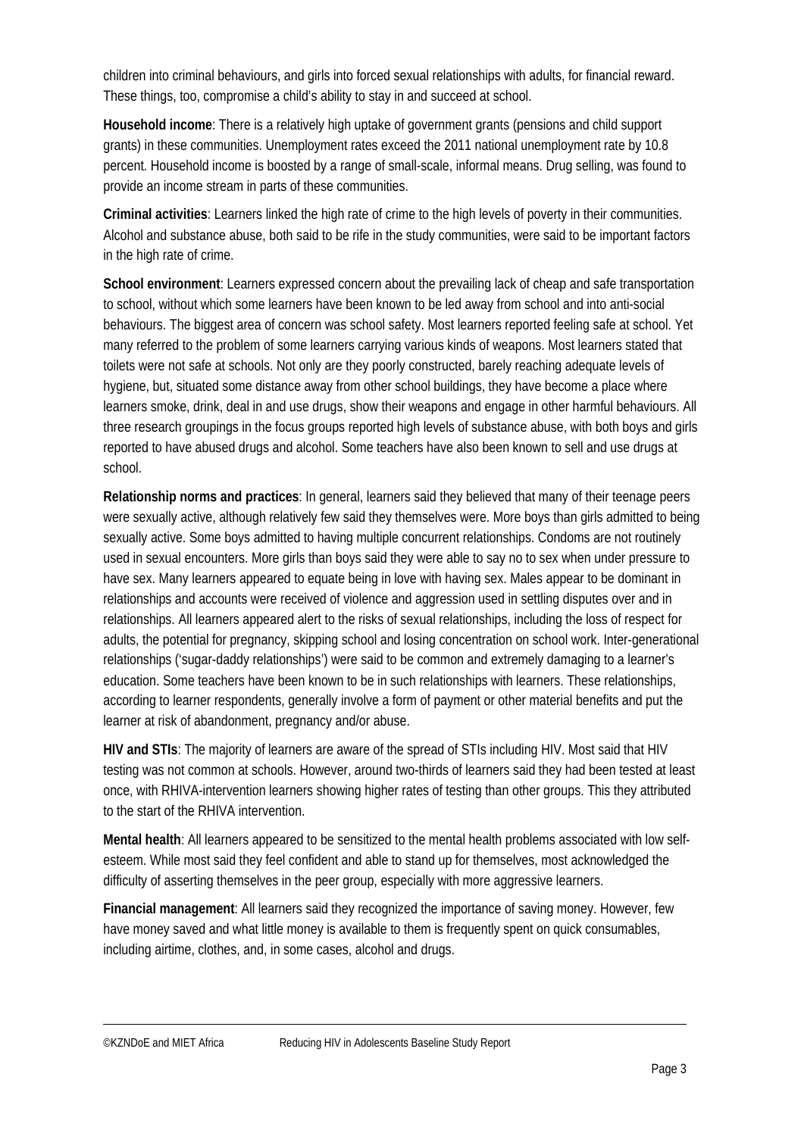children into criminal behaviours, and girls into forced sexual relationships with adults, for financial reward. These things, too, compromise a child's ability to stay in and succeed at school.

**Household income**: There is a relatively high uptake of government grants (pensions and child support grants) in these communities. Unemployment rates exceed the 2011 national unemployment rate by 10.8 percent. Household income is boosted by a range of small-scale, informal means. Drug selling, was found to provide an income stream in parts of these communities.

**Criminal activities**: Learners linked the high rate of crime to the high levels of poverty in their communities. Alcohol and substance abuse, both said to be rife in the study communities, were said to be important factors in the high rate of crime.

**School environment**: Learners expressed concern about the prevailing lack of cheap and safe transportation to school, without which some learners have been known to be led away from school and into anti-social behaviours. The biggest area of concern was school safety. Most learners reported feeling safe at school. Yet many referred to the problem of some learners carrying various kinds of weapons. Most learners stated that toilets were not safe at schools. Not only are they poorly constructed, barely reaching adequate levels of hygiene, but, situated some distance away from other school buildings, they have become a place where learners smoke, drink, deal in and use drugs, show their weapons and engage in other harmful behaviours. All three research groupings in the focus groups reported high levels of substance abuse, with both boys and girls reported to have abused drugs and alcohol. Some teachers have also been known to sell and use drugs at school.

**Relationship norms and practices**: In general, learners said they believed that many of their teenage peers were sexually active, although relatively few said they themselves were. More boys than girls admitted to being sexually active. Some boys admitted to having multiple concurrent relationships. Condoms are not routinely used in sexual encounters. More girls than boys said they were able to say no to sex when under pressure to have sex. Many learners appeared to equate being in love with having sex. Males appear to be dominant in relationships and accounts were received of violence and aggression used in settling disputes over and in relationships. All learners appeared alert to the risks of sexual relationships, including the loss of respect for adults, the potential for pregnancy, skipping school and losing concentration on school work. Inter-generational relationships ('sugar-daddy relationships') were said to be common and extremely damaging to a learner's education. Some teachers have been known to be in such relationships with learners. These relationships, according to learner respondents, generally involve a form of payment or other material benefits and put the learner at risk of abandonment, pregnancy and/or abuse.

**HIV and STIs**: The majority of learners are aware of the spread of STIs including HIV. Most said that HIV testing was not common at schools. However, around two-thirds of learners said they had been tested at least once, with RHIVA-intervention learners showing higher rates of testing than other groups. This they attributed to the start of the RHIVA intervention.

**Mental health**: All learners appeared to be sensitized to the mental health problems associated with low selfesteem. While most said they feel confident and able to stand up for themselves, most acknowledged the difficulty of asserting themselves in the peer group, especially with more aggressive learners.

**Financial management**: All learners said they recognized the importance of saving money. However, few have money saved and what little money is available to them is frequently spent on quick consumables, including airtime, clothes, and, in some cases, alcohol and drugs.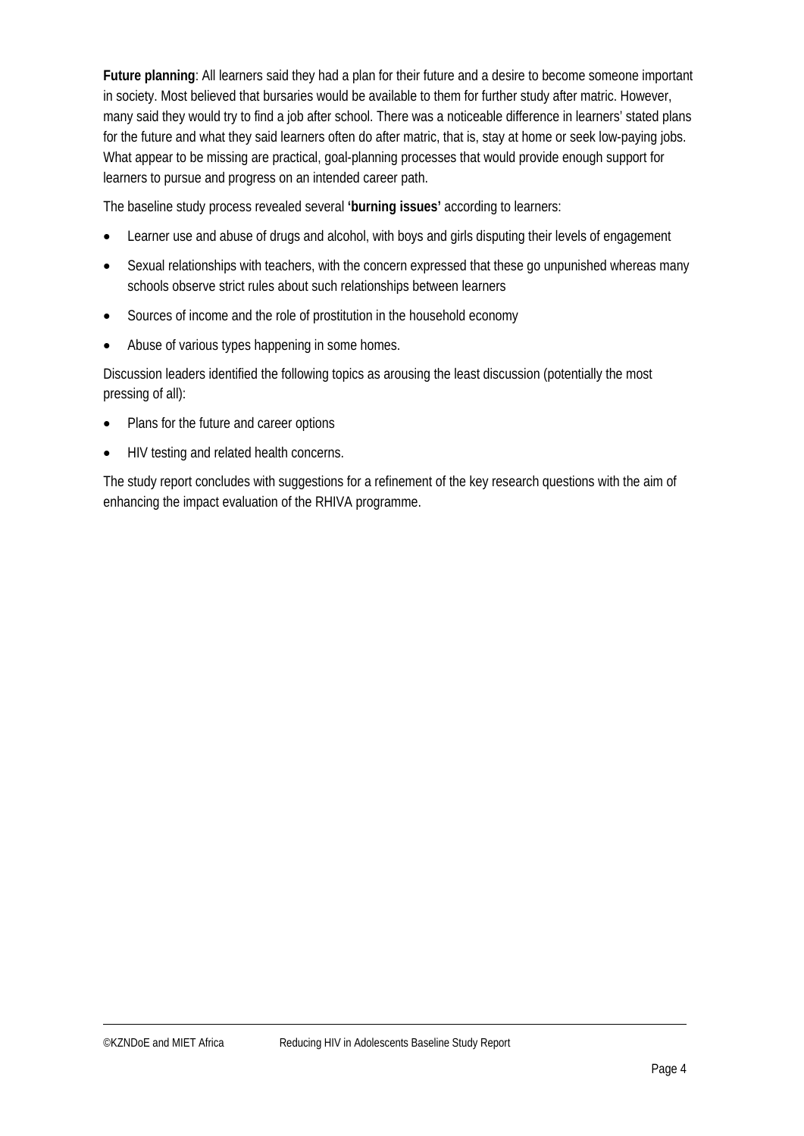**Future planning**: All learners said they had a plan for their future and a desire to become someone important in society. Most believed that bursaries would be available to them for further study after matric. However, many said they would try to find a job after school. There was a noticeable difference in learners' stated plans for the future and what they said learners often do after matric, that is, stay at home or seek low-paying jobs. What appear to be missing are practical, goal-planning processes that would provide enough support for learners to pursue and progress on an intended career path.

The baseline study process revealed several **'burning issues'** according to learners:

- Learner use and abuse of drugs and alcohol, with boys and girls disputing their levels of engagement
- Sexual relationships with teachers, with the concern expressed that these go unpunished whereas many schools observe strict rules about such relationships between learners
- Sources of income and the role of prostitution in the household economy
- Abuse of various types happening in some homes.

Discussion leaders identified the following topics as arousing the least discussion (potentially the most pressing of all):

- Plans for the future and career options
- HIV testing and related health concerns.

The study report concludes with suggestions for a refinement of the key research questions with the aim of enhancing the impact evaluation of the RHIVA programme.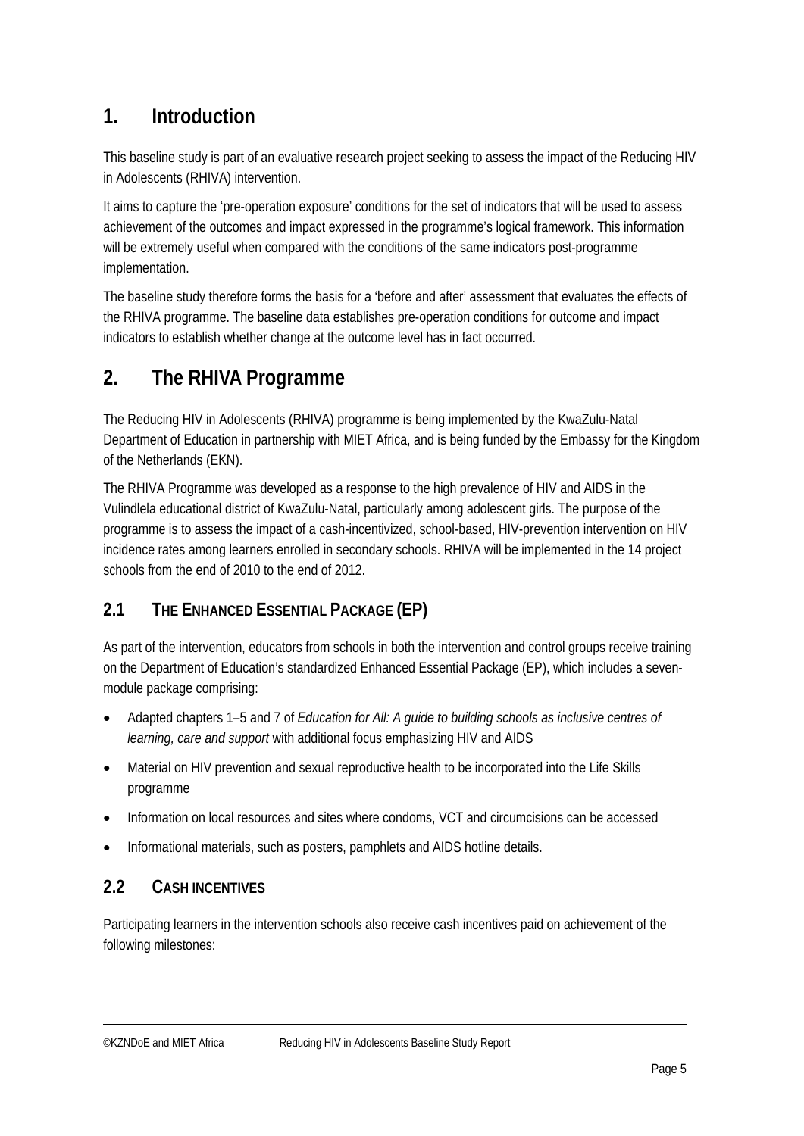# **1. Introduction**

This baseline study is part of an evaluative research project seeking to assess the impact of the Reducing HIV in Adolescents (RHIVA) intervention.

It aims to capture the 'pre-operation exposure' conditions for the set of indicators that will be used to assess achievement of the outcomes and impact expressed in the programme's logical framework. This information will be extremely useful when compared with the conditions of the same indicators post-programme implementation.

The baseline study therefore forms the basis for a 'before and after' assessment that evaluates the effects of the RHIVA programme. The baseline data establishes pre-operation conditions for outcome and impact indicators to establish whether change at the outcome level has in fact occurred.

# **2. The RHIVA Programme**

The Reducing HIV in Adolescents (RHIVA) programme is being implemented by the KwaZulu-Natal Department of Education in partnership with MIET Africa, and is being funded by the Embassy for the Kingdom of the Netherlands (EKN).

The RHIVA Programme was developed as a response to the high prevalence of HIV and AIDS in the Vulindlela educational district of KwaZulu-Natal, particularly among adolescent girls. The purpose of the programme is to assess the impact of a cash-incentivized, school-based, HIV-prevention intervention on HIV incidence rates among learners enrolled in secondary schools. RHIVA will be implemented in the 14 project schools from the end of 2010 to the end of 2012.

# **2.1 THE ENHANCED ESSENTIAL PACKAGE (EP)**

As part of the intervention, educators from schools in both the intervention and control groups receive training on the Department of Education's standardized Enhanced Essential Package (EP), which includes a sevenmodule package comprising:

- Adapted chapters 1–5 and 7 of *Education for All: A guide to building schools as inclusive centres of learning, care and support* with additional focus emphasizing HIV and AIDS
- Material on HIV prevention and sexual reproductive health to be incorporated into the Life Skills programme
- Information on local resources and sites where condoms, VCT and circumcisions can be accessed
- Informational materials, such as posters, pamphlets and AIDS hotline details.

# **2.2 CASH INCENTIVES**

 $\overline{a}$ 

Participating learners in the intervention schools also receive cash incentives paid on achievement of the following milestones: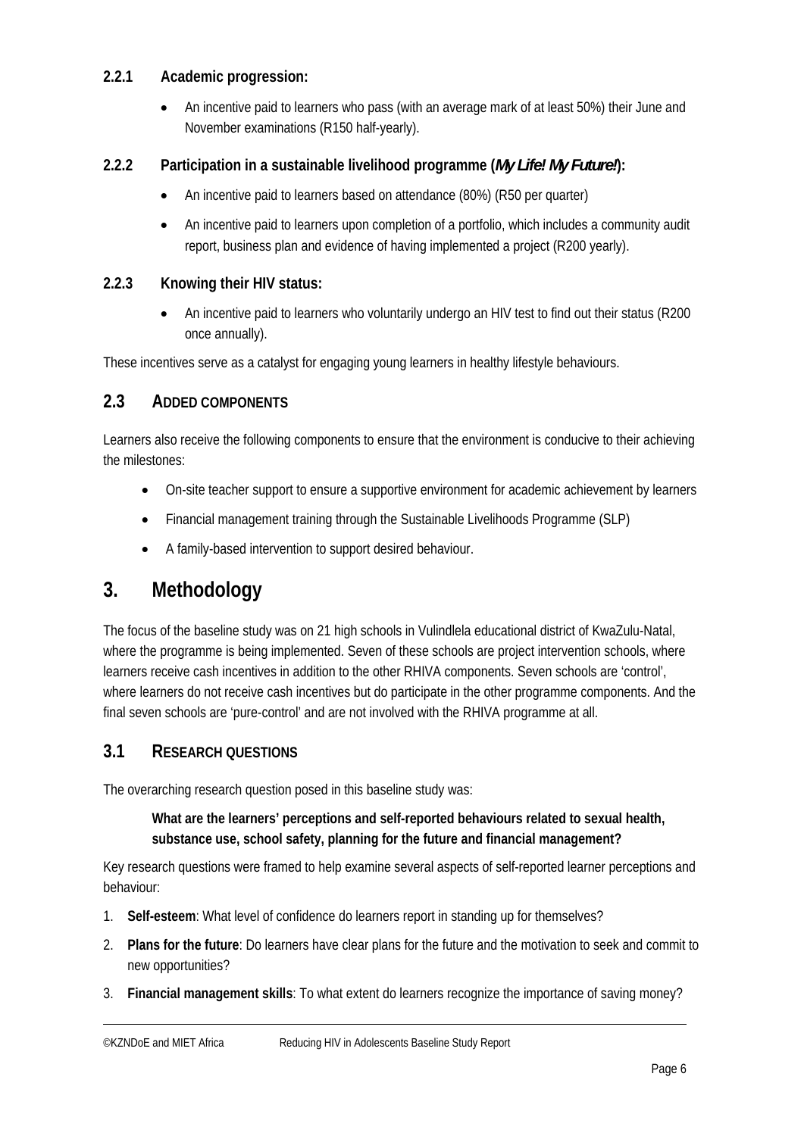#### **2.2.1 Academic progression:**

 An incentive paid to learners who pass (with an average mark of at least 50%) their June and November examinations (R150 half-yearly).

## **2.2.2 Participation in a sustainable livelihood programme (***My Life! My Future!***):**

- An incentive paid to learners based on attendance (80%) (R50 per quarter)
- An incentive paid to learners upon completion of a portfolio, which includes a community audit report, business plan and evidence of having implemented a project (R200 yearly).

## **2.2.3 Knowing their HIV status:**

 An incentive paid to learners who voluntarily undergo an HIV test to find out their status (R200 once annually).

These incentives serve as a catalyst for engaging young learners in healthy lifestyle behaviours.

# **2.3 ADDED COMPONENTS**

Learners also receive the following components to ensure that the environment is conducive to their achieving the milestones:

- On-site teacher support to ensure a supportive environment for academic achievement by learners
- Financial management training through the Sustainable Livelihoods Programme (SLP)
- A family-based intervention to support desired behaviour.

# **3. Methodology**

The focus of the baseline study was on 21 high schools in Vulindlela educational district of KwaZulu-Natal, where the programme is being implemented. Seven of these schools are project intervention schools, where learners receive cash incentives in addition to the other RHIVA components. Seven schools are 'control', where learners do not receive cash incentives but do participate in the other programme components. And the final seven schools are 'pure-control' and are not involved with the RHIVA programme at all.

# **3.1 RESEARCH QUESTIONS**

 $\overline{a}$ 

The overarching research question posed in this baseline study was:

## **What are the learners' perceptions and self-reported behaviours related to sexual health, substance use, school safety, planning for the future and financial management?**

Key research questions were framed to help examine several aspects of self-reported learner perceptions and behaviour:

- 1. **Self-esteem**: What level of confidence do learners report in standing up for themselves?
- 2. **Plans for the future**: Do learners have clear plans for the future and the motivation to seek and commit to new opportunities?
- 3. **Financial management skills**: To what extent do learners recognize the importance of saving money?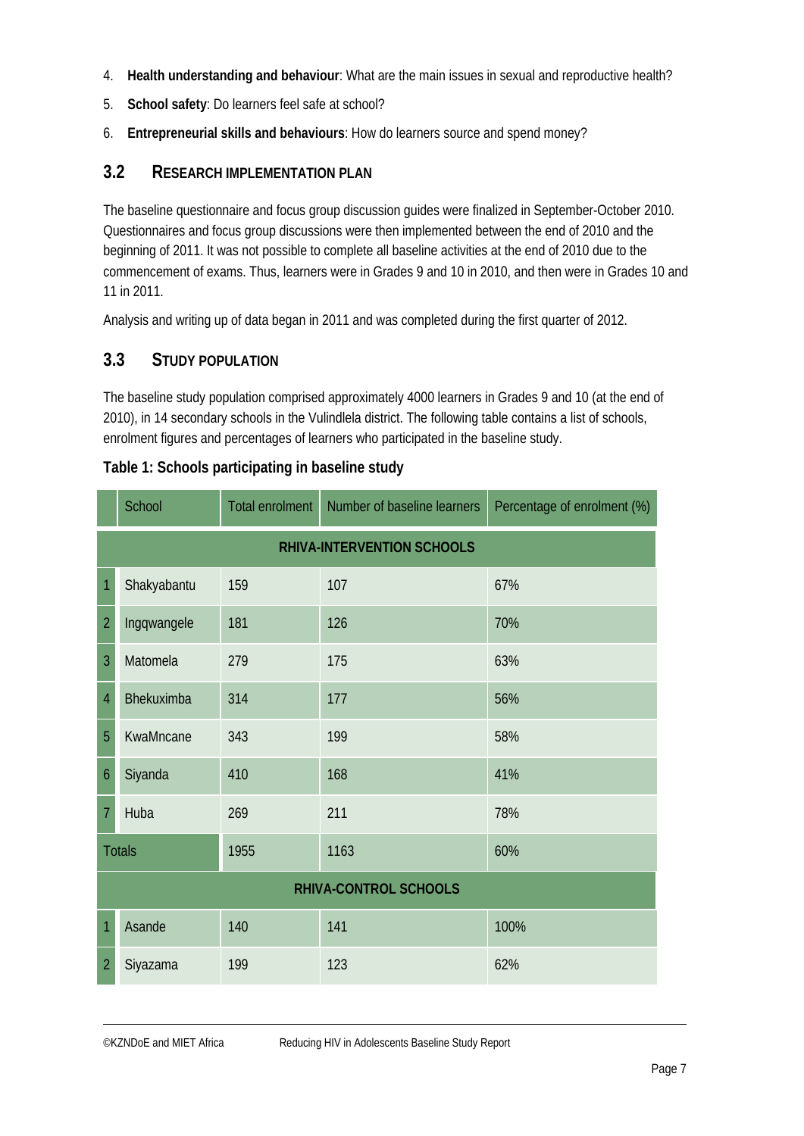- 4. **Health understanding and behaviour**: What are the main issues in sexual and reproductive health?
- 5. **School safety**: Do learners feel safe at school?
- 6. **Entrepreneurial skills and behaviours**: How do learners source and spend money?

# **3.2 RESEARCH IMPLEMENTATION PLAN**

The baseline questionnaire and focus group discussion guides were finalized in September-October 2010. Questionnaires and focus group discussions were then implemented between the end of 2010 and the beginning of 2011. It was not possible to complete all baseline activities at the end of 2010 due to the commencement of exams. Thus, learners were in Grades 9 and 10 in 2010, and then were in Grades 10 and 11 in 2011.

Analysis and writing up of data began in 2011 and was completed during the first quarter of 2012.

# **3.3 STUDY POPULATION**

The baseline study population comprised approximately 4000 learners in Grades 9 and 10 (at the end of 2010), in 14 secondary schools in the Vulindlela district. The following table contains a list of schools, enrolment figures and percentages of learners who participated in the baseline study.

|                       | School                            | <b>Total enrolment</b> | Number of baseline learners | Percentage of enrolment (%) |  |  |  |  |  |  |  |
|-----------------------|-----------------------------------|------------------------|-----------------------------|-----------------------------|--|--|--|--|--|--|--|
|                       | <b>RHIVA-INTERVENTION SCHOOLS</b> |                        |                             |                             |  |  |  |  |  |  |  |
| $\mathbf{1}$          | Shakyabantu                       | 159                    | 107                         | 67%                         |  |  |  |  |  |  |  |
| $\overline{2}$        | Ingqwangele                       | 181                    | 126                         | 70%                         |  |  |  |  |  |  |  |
| $\overline{3}$        | Matomela<br>279                   |                        | 175                         | 63%                         |  |  |  |  |  |  |  |
| $\overline{4}$        | Bhekuximba                        | 314                    | 177                         | 56%                         |  |  |  |  |  |  |  |
| 5                     | KwaMncane                         | 343                    | 199                         | 58%                         |  |  |  |  |  |  |  |
| 6                     | Siyanda                           | 410                    | 168                         | 41%                         |  |  |  |  |  |  |  |
| $\overline{7}$        | Huba                              | 269                    | 211                         | 78%                         |  |  |  |  |  |  |  |
|                       | <b>Totals</b>                     | 1955                   | 1163                        | 60%                         |  |  |  |  |  |  |  |
| RHIVA-CONTROL SCHOOLS |                                   |                        |                             |                             |  |  |  |  |  |  |  |
| 1                     | Asande                            | 140                    | 141                         | 100%                        |  |  |  |  |  |  |  |
| $\overline{2}$        | Siyazama                          | 199                    | 123                         | 62%                         |  |  |  |  |  |  |  |

| Table 1: Schools participating in baseline study |  |  |  |
|--------------------------------------------------|--|--|--|
|--------------------------------------------------|--|--|--|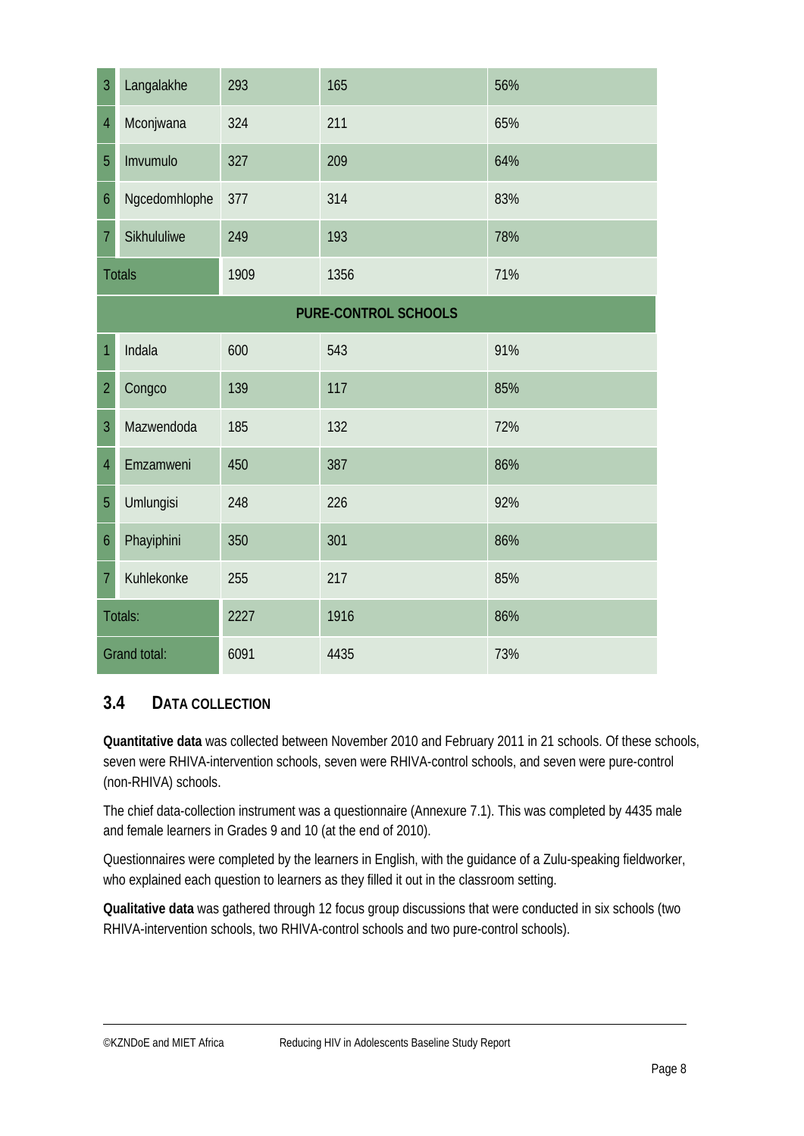| $\overline{3}$      | Langalakhe                  | 293  | 165  | 56% |  |  |  |  |
|---------------------|-----------------------------|------|------|-----|--|--|--|--|
| $\overline{4}$      | Mconjwana                   | 324  | 211  | 65% |  |  |  |  |
| 5                   | Imvumulo                    | 327  | 209  | 64% |  |  |  |  |
| $\boldsymbol{6}$    | Ngcedomhlophe               | 377  | 314  | 83% |  |  |  |  |
| $\overline{7}$      | Sikhululiwe                 | 249  | 193  | 78% |  |  |  |  |
|                     | <b>Totals</b>               | 1909 | 1356 | 71% |  |  |  |  |
|                     | <b>PURE-CONTROL SCHOOLS</b> |      |      |     |  |  |  |  |
| $\mathbf{1}$        | Indala                      | 600  | 543  | 91% |  |  |  |  |
| $\overline{2}$      | Congco                      | 139  | 117  | 85% |  |  |  |  |
| $\overline{3}$      | Mazwendoda                  | 185  | 132  | 72% |  |  |  |  |
| $\overline{4}$      | Emzamweni                   | 450  | 387  | 86% |  |  |  |  |
| 5                   | Umlungisi                   | 248  | 226  | 92% |  |  |  |  |
| $\boldsymbol{6}$    | Phayiphini                  | 350  | 301  | 86% |  |  |  |  |
| $\overline{7}$      | Kuhlekonke<br>255           |      | 217  | 85% |  |  |  |  |
|                     | Totals:                     | 2227 | 1916 | 86% |  |  |  |  |
| <b>Grand total:</b> |                             | 6091 | 4435 | 73% |  |  |  |  |

# **3.4 DATA COLLECTION**

**Quantitative data** was collected between November 2010 and February 2011 in 21 schools. Of these schools, seven were RHIVA-intervention schools, seven were RHIVA-control schools, and seven were pure-control (non-RHIVA) schools.

The chief data-collection instrument was a questionnaire (Annexure 7.1). This was completed by 4435 male and female learners in Grades 9 and 10 (at the end of 2010).

Questionnaires were completed by the learners in English, with the guidance of a Zulu-speaking fieldworker, who explained each question to learners as they filled it out in the classroom setting.

**Qualitative data** was gathered through 12 focus group discussions that were conducted in six schools (two RHIVA-intervention schools, two RHIVA-control schools and two pure-control schools).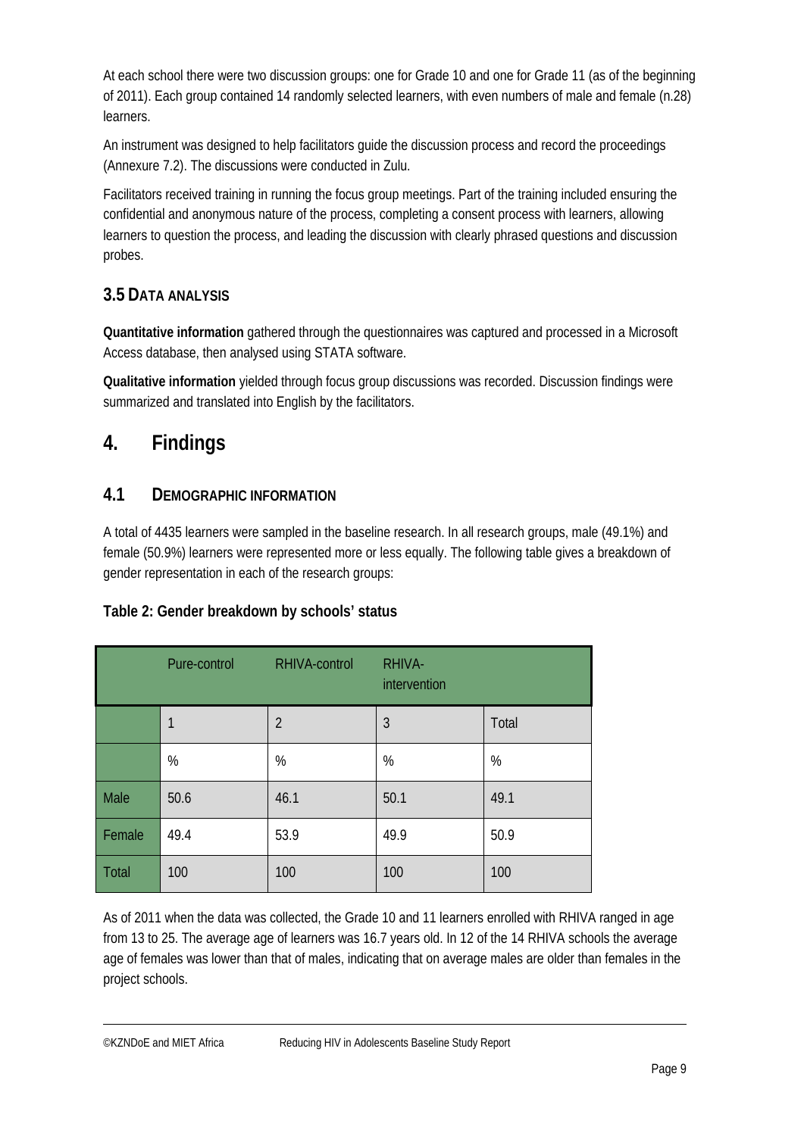At each school there were two discussion groups: one for Grade 10 and one for Grade 11 (as of the beginning of 2011). Each group contained 14 randomly selected learners, with even numbers of male and female (n.28) learners.

An instrument was designed to help facilitators guide the discussion process and record the proceedings (Annexure 7.2). The discussions were conducted in Zulu.

Facilitators received training in running the focus group meetings. Part of the training included ensuring the confidential and anonymous nature of the process, completing a consent process with learners, allowing learners to question the process, and leading the discussion with clearly phrased questions and discussion probes.

# **3.5 DATA ANALYSIS**

**Quantitative information** gathered through the questionnaires was captured and processed in a Microsoft Access database, then analysed using STATA software.

**Qualitative information** yielded through focus group discussions was recorded. Discussion findings were summarized and translated into English by the facilitators.

# **4. Findings**

 $\overline{a}$ 

# **4.1 DEMOGRAPHIC INFORMATION**

A total of 4435 learners were sampled in the baseline research. In all research groups, male (49.1%) and female (50.9%) learners were represented more or less equally. The following table gives a breakdown of gender representation in each of the research groups:

| Table 2: Gender breakdown by schools' status |
|----------------------------------------------|
|----------------------------------------------|

|        | Pure-control | <b>RHIVA-control</b> | RHIVA-<br>intervention |       |
|--------|--------------|----------------------|------------------------|-------|
|        |              | 2                    | $\overline{3}$         | Total |
|        | %            | %                    | %                      | %     |
| Male   | 50.6         | 46.1                 | 50.1                   | 49.1  |
| Female | 49.4         | 53.9                 | 49.9                   | 50.9  |
| Total  | 100          | 100                  | 100                    | 100   |

As of 2011 when the data was collected, the Grade 10 and 11 learners enrolled with RHIVA ranged in age from 13 to 25. The average age of learners was 16.7 years old. In 12 of the 14 RHIVA schools the average age of females was lower than that of males, indicating that on average males are older than females in the project schools.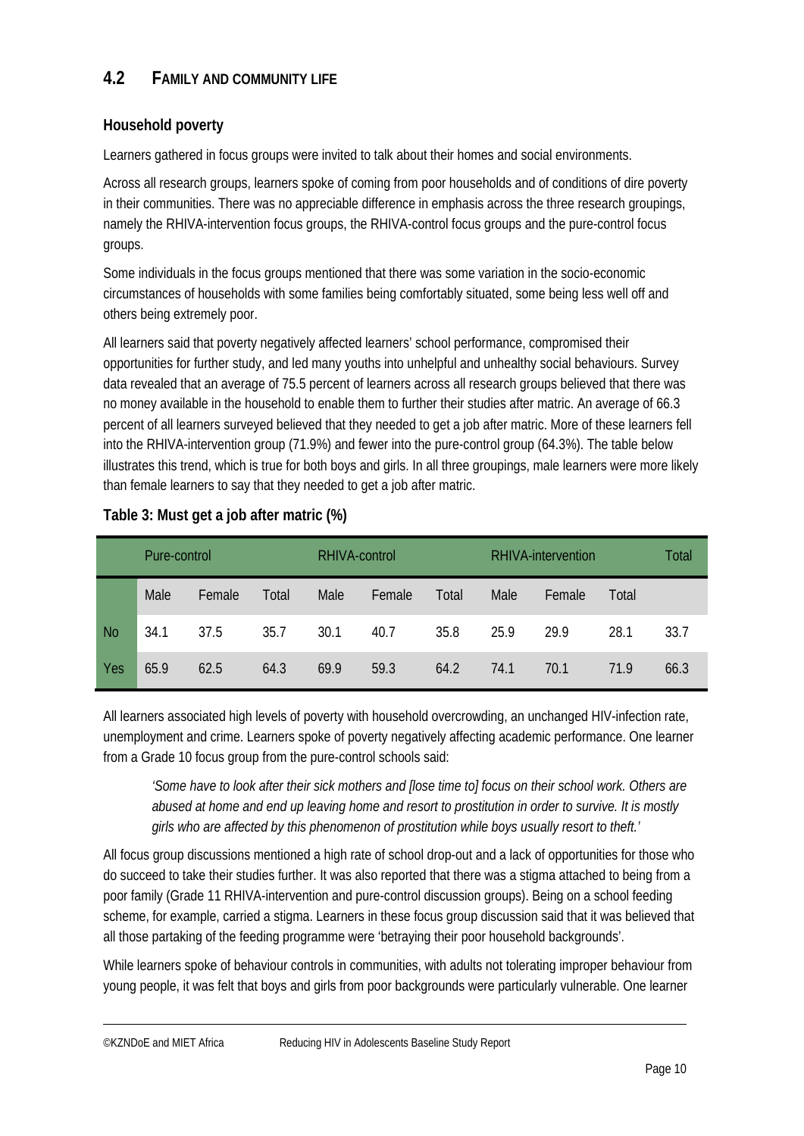# **4.2 FAMILY AND COMMUNITY LIFE**

#### **Household poverty**

Learners gathered in focus groups were invited to talk about their homes and social environments.

Across all research groups, learners spoke of coming from poor households and of conditions of dire poverty in their communities. There was no appreciable difference in emphasis across the three research groupings, namely the RHIVA-intervention focus groups, the RHIVA-control focus groups and the pure-control focus groups.

Some individuals in the focus groups mentioned that there was some variation in the socio-economic circumstances of households with some families being comfortably situated, some being less well off and others being extremely poor.

All learners said that poverty negatively affected learners' school performance, compromised their opportunities for further study, and led many youths into unhelpful and unhealthy social behaviours. Survey data revealed that an average of 75.5 percent of learners across all research groups believed that there was no money available in the household to enable them to further their studies after matric. An average of 66.3 percent of all learners surveyed believed that they needed to get a job after matric. More of these learners fell into the RHIVA-intervention group (71.9%) and fewer into the pure-control group (64.3%). The table below illustrates this trend, which is true for both boys and girls. In all three groupings, male learners were more likely than female learners to say that they needed to get a job after matric.

|           | Pure-control |        |       | <b>RHIVA-control</b> |        |       | <b>RHIVA-intervention</b> |        |       | Total |
|-----------|--------------|--------|-------|----------------------|--------|-------|---------------------------|--------|-------|-------|
|           | Male         | Female | Total | Male                 | Female | Total | Male                      | Female | Total |       |
| <b>No</b> | 34.1         | 37.5   | 35.7  | 30.1                 | 40.7   | 35.8  | 25.9                      | 29.9   | 28.1  | 33.7  |
| Yes       | 65.9         | 62.5   | 64.3  | 69.9                 | 59.3   | 64.2  | 74.1                      | 70.1   | 71.9  | 66.3  |

## **Table 3: Must get a job after matric (%)**

All learners associated high levels of poverty with household overcrowding, an unchanged HIV-infection rate, unemployment and crime. Learners spoke of poverty negatively affecting academic performance. One learner from a Grade 10 focus group from the pure-control schools said:

*'Some have to look after their sick mothers and [lose time to] focus on their school work. Others are abused at home and end up leaving home and resort to prostitution in order to survive. It is mostly girls who are affected by this phenomenon of prostitution while boys usually resort to theft.'* 

All focus group discussions mentioned a high rate of school drop-out and a lack of opportunities for those who do succeed to take their studies further. It was also reported that there was a stigma attached to being from a poor family (Grade 11 RHIVA-intervention and pure-control discussion groups). Being on a school feeding scheme, for example, carried a stigma. Learners in these focus group discussion said that it was believed that all those partaking of the feeding programme were 'betraying their poor household backgrounds'.

While learners spoke of behaviour controls in communities, with adults not tolerating improper behaviour from young people, it was felt that boys and girls from poor backgrounds were particularly vulnerable. One learner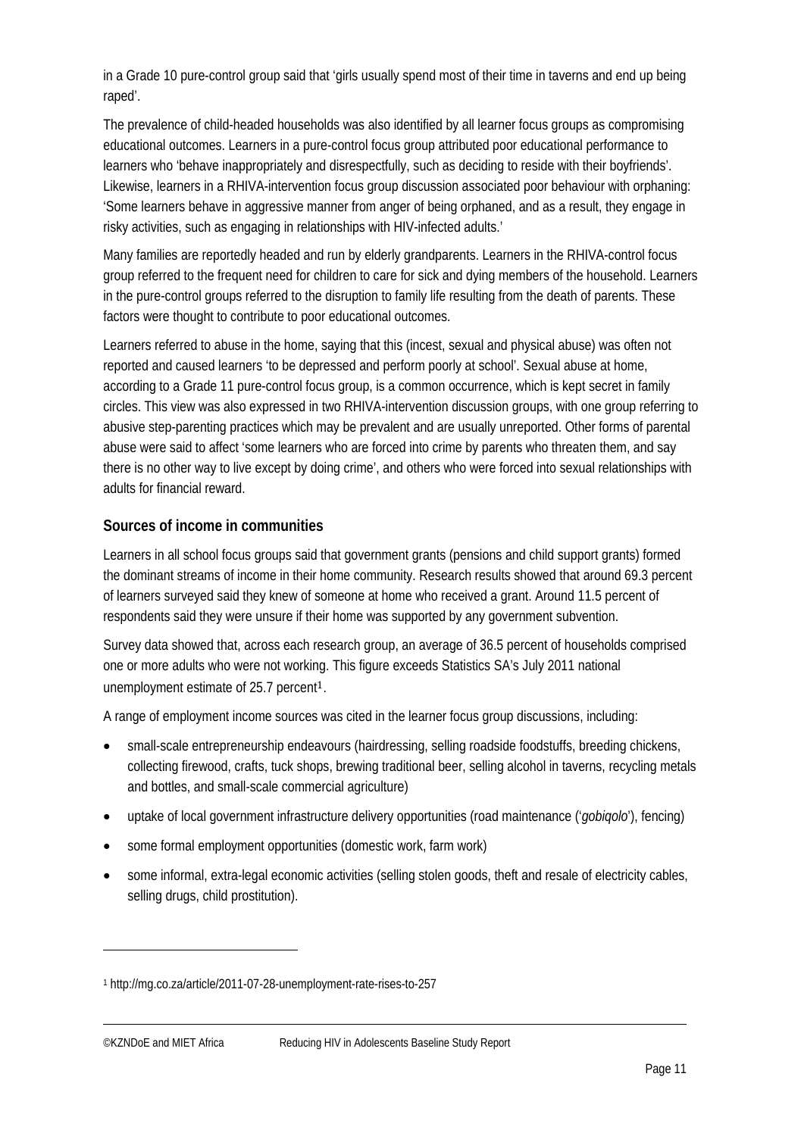in a Grade 10 pure-control group said that 'girls usually spend most of their time in taverns and end up being raped'.

The prevalence of child-headed households was also identified by all learner focus groups as compromising educational outcomes. Learners in a pure-control focus group attributed poor educational performance to learners who 'behave inappropriately and disrespectfully, such as deciding to reside with their boyfriends'. Likewise, learners in a RHIVA-intervention focus group discussion associated poor behaviour with orphaning: 'Some learners behave in aggressive manner from anger of being orphaned, and as a result, they engage in risky activities, such as engaging in relationships with HIV-infected adults.'

Many families are reportedly headed and run by elderly grandparents. Learners in the RHIVA-control focus group referred to the frequent need for children to care for sick and dying members of the household. Learners in the pure-control groups referred to the disruption to family life resulting from the death of parents. These factors were thought to contribute to poor educational outcomes.

Learners referred to abuse in the home, saying that this (incest, sexual and physical abuse) was often not reported and caused learners 'to be depressed and perform poorly at school'. Sexual abuse at home, according to a Grade 11 pure-control focus group, is a common occurrence, which is kept secret in family circles. This view was also expressed in two RHIVA-intervention discussion groups, with one group referring to abusive step-parenting practices which may be prevalent and are usually unreported. Other forms of parental abuse were said to affect 'some learners who are forced into crime by parents who threaten them, and say there is no other way to live except by doing crime', and others who were forced into sexual relationships with adults for financial reward.

## **Sources of income in communities**

Learners in all school focus groups said that government grants (pensions and child support grants) formed the dominant streams of income in their home community. Research results showed that around 69.3 percent of learners surveyed said they knew of someone at home who received a grant. Around 11.5 percent of respondents said they were unsure if their home was supported by any government subvention.

Survey data showed that, across each research group, an average of 36.5 percent of households comprised one or more adults who were not working. This figure exceeds Statistics SA's July 2011 national unemployment estimate of 25.7 percent1.

A range of employment income sources was cited in the learner focus group discussions, including:

- small-scale entrepreneurship endeavours (hairdressing, selling roadside foodstuffs, breeding chickens, collecting firewood, crafts, tuck shops, brewing traditional beer, selling alcohol in taverns, recycling metals and bottles, and small-scale commercial agriculture)
- uptake of local government infrastructure delivery opportunities (road maintenance ('*gobiqolo*'), fencing)
- some formal employment opportunities (domestic work, farm work)
- some informal, extra-legal economic activities (selling stolen goods, theft and resale of electricity cables, selling drugs, child prostitution).

 $\overline{a}$ 

.<br>-

<sup>1</sup> http://mg.co.za/article/2011-07-28-unemployment-rate-rises-to-257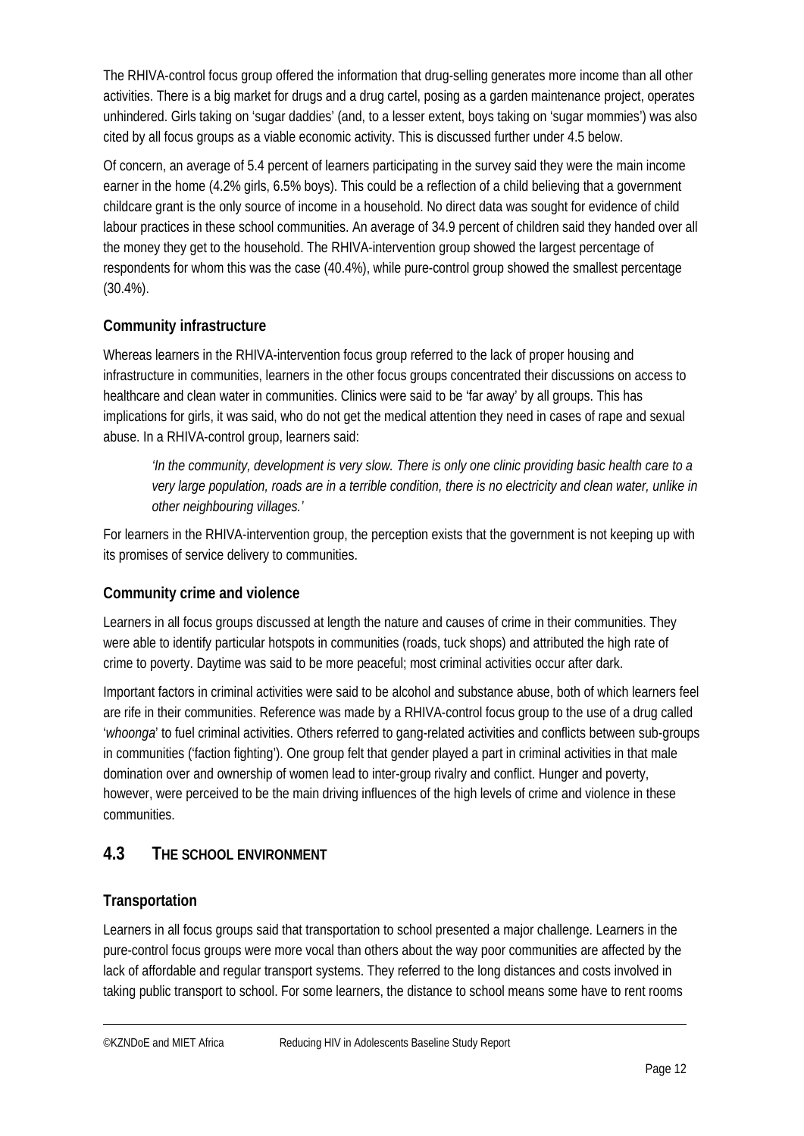The RHIVA-control focus group offered the information that drug-selling generates more income than all other activities. There is a big market for drugs and a drug cartel, posing as a garden maintenance project, operates unhindered. Girls taking on 'sugar daddies' (and, to a lesser extent, boys taking on 'sugar mommies') was also cited by all focus groups as a viable economic activity. This is discussed further under 4.5 below.

Of concern, an average of 5.4 percent of learners participating in the survey said they were the main income earner in the home (4.2% girls, 6.5% boys). This could be a reflection of a child believing that a government childcare grant is the only source of income in a household. No direct data was sought for evidence of child labour practices in these school communities. An average of 34.9 percent of children said they handed over all the money they get to the household. The RHIVA-intervention group showed the largest percentage of respondents for whom this was the case (40.4%), while pure-control group showed the smallest percentage (30.4%).

# **Community infrastructure**

Whereas learners in the RHIVA-intervention focus group referred to the lack of proper housing and infrastructure in communities, learners in the other focus groups concentrated their discussions on access to healthcare and clean water in communities. Clinics were said to be 'far away' by all groups. This has implications for girls, it was said, who do not get the medical attention they need in cases of rape and sexual abuse. In a RHIVA-control group, learners said:

*'In the community, development is very slow. There is only one clinic providing basic health care to a very large population, roads are in a terrible condition, there is no electricity and clean water, unlike in other neighbouring villages.'* 

For learners in the RHIVA-intervention group, the perception exists that the government is not keeping up with its promises of service delivery to communities.

# **Community crime and violence**

Learners in all focus groups discussed at length the nature and causes of crime in their communities. They were able to identify particular hotspots in communities (roads, tuck shops) and attributed the high rate of crime to poverty. Daytime was said to be more peaceful; most criminal activities occur after dark.

Important factors in criminal activities were said to be alcohol and substance abuse, both of which learners feel are rife in their communities. Reference was made by a RHIVA-control focus group to the use of a drug called '*whoonga*' to fuel criminal activities. Others referred to gang-related activities and conflicts between sub-groups in communities ('faction fighting'). One group felt that gender played a part in criminal activities in that male domination over and ownership of women lead to inter-group rivalry and conflict. Hunger and poverty, however, were perceived to be the main driving influences of the high levels of crime and violence in these communities.

# **4.3 THE SCHOOL ENVIRONMENT**

# **Transportation**

 $\overline{a}$ 

Learners in all focus groups said that transportation to school presented a major challenge. Learners in the pure-control focus groups were more vocal than others about the way poor communities are affected by the lack of affordable and regular transport systems. They referred to the long distances and costs involved in taking public transport to school. For some learners, the distance to school means some have to rent rooms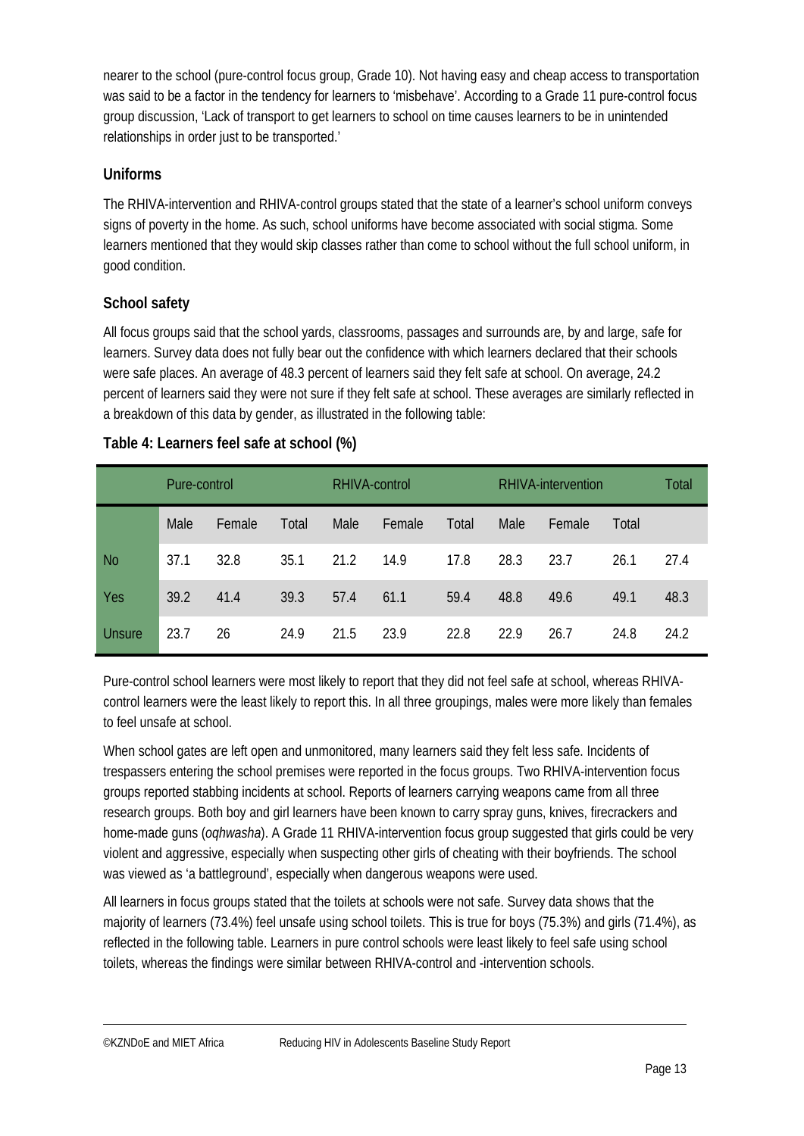nearer to the school (pure-control focus group, Grade 10). Not having easy and cheap access to transportation was said to be a factor in the tendency for learners to 'misbehave'. According to a Grade 11 pure-control focus group discussion, 'Lack of transport to get learners to school on time causes learners to be in unintended relationships in order just to be transported.'

## **Uniforms**

The RHIVA-intervention and RHIVA-control groups stated that the state of a learner's school uniform conveys signs of poverty in the home. As such, school uniforms have become associated with social stigma. Some learners mentioned that they would skip classes rather than come to school without the full school uniform, in good condition.

## **School safety**

All focus groups said that the school yards, classrooms, passages and surrounds are, by and large, safe for learners. Survey data does not fully bear out the confidence with which learners declared that their schools were safe places. An average of 48.3 percent of learners said they felt safe at school. On average, 24.2 percent of learners said they were not sure if they felt safe at school. These averages are similarly reflected in a breakdown of this data by gender, as illustrated in the following table:

|           | Pure-control |        |       | RHIVA-control |        |       | RHIVA-intervention |        |       | Total |
|-----------|--------------|--------|-------|---------------|--------|-------|--------------------|--------|-------|-------|
|           | Male         | Female | Total | Male          | Female | Total | Male               | Female | Total |       |
| <b>No</b> | 37.1         | 32.8   | 35.1  | 21.2          | 14.9   | 17.8  | 28.3               | 23.7   | 26.1  | 27.4  |
| Yes       | 39.2         | 41.4   | 39.3  | 57.4          | 61.1   | 59.4  | 48.8               | 49.6   | 49.1  | 48.3  |
| Unsure    | 23.7         | 26     | 24.9  | 21.5          | 23.9   | 22.8  | 22.9               | 26.7   | 24.8  | 24.2  |

# **Table 4: Learners feel safe at school (%)**

Pure-control school learners were most likely to report that they did not feel safe at school, whereas RHIVAcontrol learners were the least likely to report this. In all three groupings, males were more likely than females to feel unsafe at school.

When school gates are left open and unmonitored, many learners said they felt less safe. Incidents of trespassers entering the school premises were reported in the focus groups. Two RHIVA-intervention focus groups reported stabbing incidents at school. Reports of learners carrying weapons came from all three research groups. Both boy and girl learners have been known to carry spray guns, knives, firecrackers and home-made guns (*oqhwasha*). A Grade 11 RHIVA-intervention focus group suggested that girls could be very violent and aggressive, especially when suspecting other girls of cheating with their boyfriends. The school was viewed as 'a battleground', especially when dangerous weapons were used.

All learners in focus groups stated that the toilets at schools were not safe. Survey data shows that the majority of learners (73.4%) feel unsafe using school toilets. This is true for boys (75.3%) and girls (71.4%), as reflected in the following table. Learners in pure control schools were least likely to feel safe using school toilets, whereas the findings were similar between RHIVA-control and -intervention schools.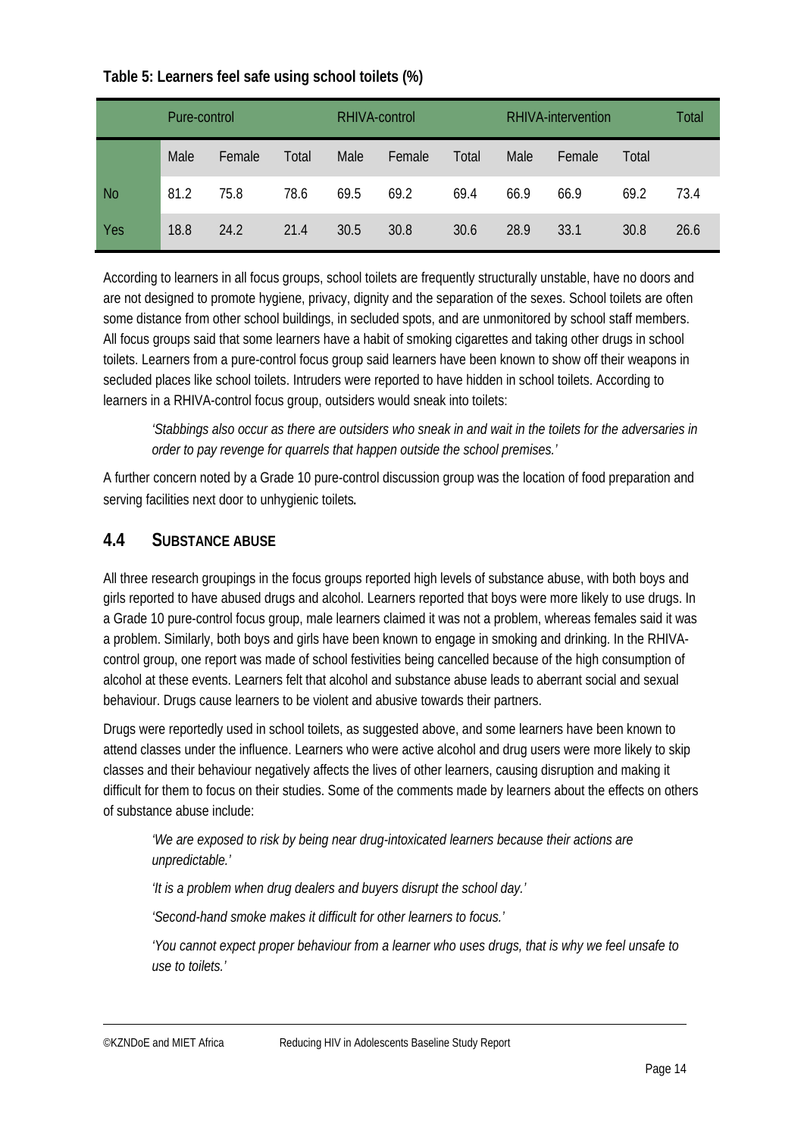| Table 5: Learners feel safe using school toilets (%) |  |
|------------------------------------------------------|--|
|------------------------------------------------------|--|

|           | Pure-control |        |       | <b>RHIVA-control</b> |        |       | <b>RHIVA-intervention</b> |        |       | Total |
|-----------|--------------|--------|-------|----------------------|--------|-------|---------------------------|--------|-------|-------|
|           | Male         | Female | Total | Male                 | Female | Total | Male                      | Female | Total |       |
| <b>No</b> | 81.2         | 75.8   | 78.6  | 69.5                 | 69.2   | 69.4  | 66.9                      | 66.9   | 69.2  | 73.4  |
| Yes       | 18.8         | 24.2   | 21.4  | 30.5                 | 30.8   | 30.6  | 28.9                      | 33.1   | 30.8  | 26.6  |

According to learners in all focus groups, school toilets are frequently structurally unstable, have no doors and are not designed to promote hygiene, privacy, dignity and the separation of the sexes. School toilets are often some distance from other school buildings, in secluded spots, and are unmonitored by school staff members. All focus groups said that some learners have a habit of smoking cigarettes and taking other drugs in school toilets. Learners from a pure-control focus group said learners have been known to show off their weapons in secluded places like school toilets. Intruders were reported to have hidden in school toilets. According to learners in a RHIVA-control focus group, outsiders would sneak into toilets:

*'Stabbings also occur as there are outsiders who sneak in and wait in the toilets for the adversaries in order to pay revenge for quarrels that happen outside the school premises.'* 

A further concern noted by a Grade 10 pure-control discussion group was the location of food preparation and serving facilities next door to unhygienic toilets. 

## **4.4 SUBSTANCE ABUSE**

 $\overline{a}$ 

All three research groupings in the focus groups reported high levels of substance abuse, with both boys and girls reported to have abused drugs and alcohol. Learners reported that boys were more likely to use drugs. In a Grade 10 pure-control focus group, male learners claimed it was not a problem, whereas females said it was a problem. Similarly, both boys and girls have been known to engage in smoking and drinking. In the RHIVAcontrol group, one report was made of school festivities being cancelled because of the high consumption of alcohol at these events. Learners felt that alcohol and substance abuse leads to aberrant social and sexual behaviour. Drugs cause learners to be violent and abusive towards their partners.

Drugs were reportedly used in school toilets, as suggested above, and some learners have been known to attend classes under the influence. Learners who were active alcohol and drug users were more likely to skip classes and their behaviour negatively affects the lives of other learners, causing disruption and making it difficult for them to focus on their studies. Some of the comments made by learners about the effects on others of substance abuse include:

*'We are exposed to risk by being near drug-intoxicated learners because their actions are unpredictable.'* 

*'It is a problem when drug dealers and buyers disrupt the school day.'* 

*'Second-hand smoke makes it difficult for other learners to focus.'* 

*'You cannot expect proper behaviour from a learner who uses drugs, that is why we feel unsafe to use to toilets.'*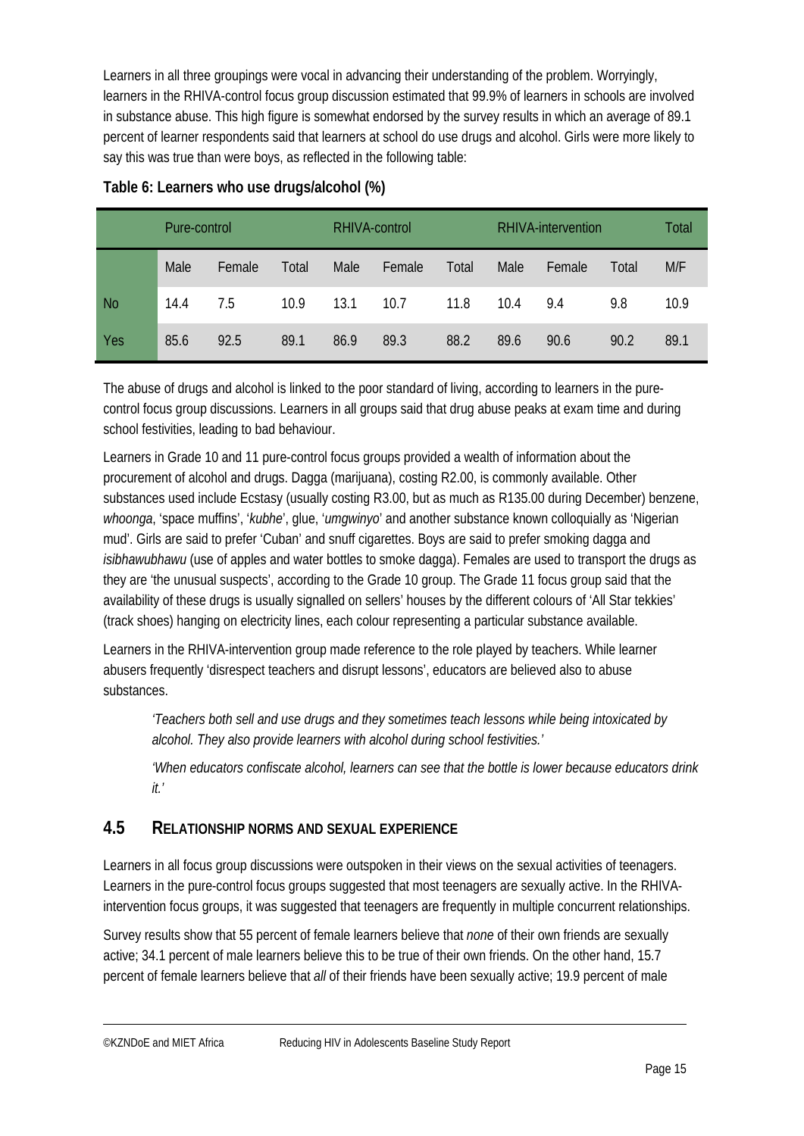Learners in all three groupings were vocal in advancing their understanding of the problem. Worryingly, learners in the RHIVA-control focus group discussion estimated that 99.9% of learners in schools are involved in substance abuse. This high figure is somewhat endorsed by the survey results in which an average of 89.1 percent of learner respondents said that learners at school do use drugs and alcohol. Girls were more likely to say this was true than were boys, as reflected in the following table:

|           | Pure-control         |        |       | <b>RHIVA-control</b> |        |       | RHIVA-intervention | Total  |       |      |
|-----------|----------------------|--------|-------|----------------------|--------|-------|--------------------|--------|-------|------|
|           | Male                 | Female | Total | Male                 | Female | Total | Male               | Female | Total | M/F  |
| <b>No</b> | 14.4                 | 7.5    | 10.9  | 13.1                 | 10.7   | 11.8  | 10.4               | 9.4    | 9.8   | 10.9 |
| Yes       | 85.6<br>92.5<br>89.1 |        | 86.9  | 89.3                 | 88.2   | 89.6  | 90.6               | 90.2   | 89.1  |      |

## **Table 6: Learners who use drugs/alcohol (%)**

The abuse of drugs and alcohol is linked to the poor standard of living, according to learners in the purecontrol focus group discussions. Learners in all groups said that drug abuse peaks at exam time and during school festivities, leading to bad behaviour.

Learners in Grade 10 and 11 pure-control focus groups provided a wealth of information about the procurement of alcohol and drugs. Dagga (marijuana), costing R2.00, is commonly available. Other substances used include Ecstasy (usually costing R3.00, but as much as R135.00 during December) benzene, *whoonga*, 'space muffins', '*kubhe*', glue, '*umgwinyo*' and another substance known colloquially as 'Nigerian mud'. Girls are said to prefer 'Cuban' and snuff cigarettes. Boys are said to prefer smoking dagga and *isibhawubhawu* (use of apples and water bottles to smoke dagga). Females are used to transport the drugs as they are 'the unusual suspects', according to the Grade 10 group. The Grade 11 focus group said that the availability of these drugs is usually signalled on sellers' houses by the different colours of 'All Star tekkies' (track shoes) hanging on electricity lines, each colour representing a particular substance available.

Learners in the RHIVA-intervention group made reference to the role played by teachers. While learner abusers frequently 'disrespect teachers and disrupt lessons', educators are believed also to abuse substances.

*'Teachers both sell and use drugs and they sometimes teach lessons while being intoxicated by alcohol. They also provide learners with alcohol during school festivities.'* 

*'When educators confiscate alcohol, learners can see that the bottle is lower because educators drink it.'* 

# **4.5 RELATIONSHIP NORMS AND SEXUAL EXPERIENCE**

Learners in all focus group discussions were outspoken in their views on the sexual activities of teenagers. Learners in the pure-control focus groups suggested that most teenagers are sexually active. In the RHIVAintervention focus groups, it was suggested that teenagers are frequently in multiple concurrent relationships.

Survey results show that 55 percent of female learners believe that *none* of their own friends are sexually active; 34.1 percent of male learners believe this to be true of their own friends. On the other hand, 15.7 percent of female learners believe that *all* of their friends have been sexually active; 19.9 percent of male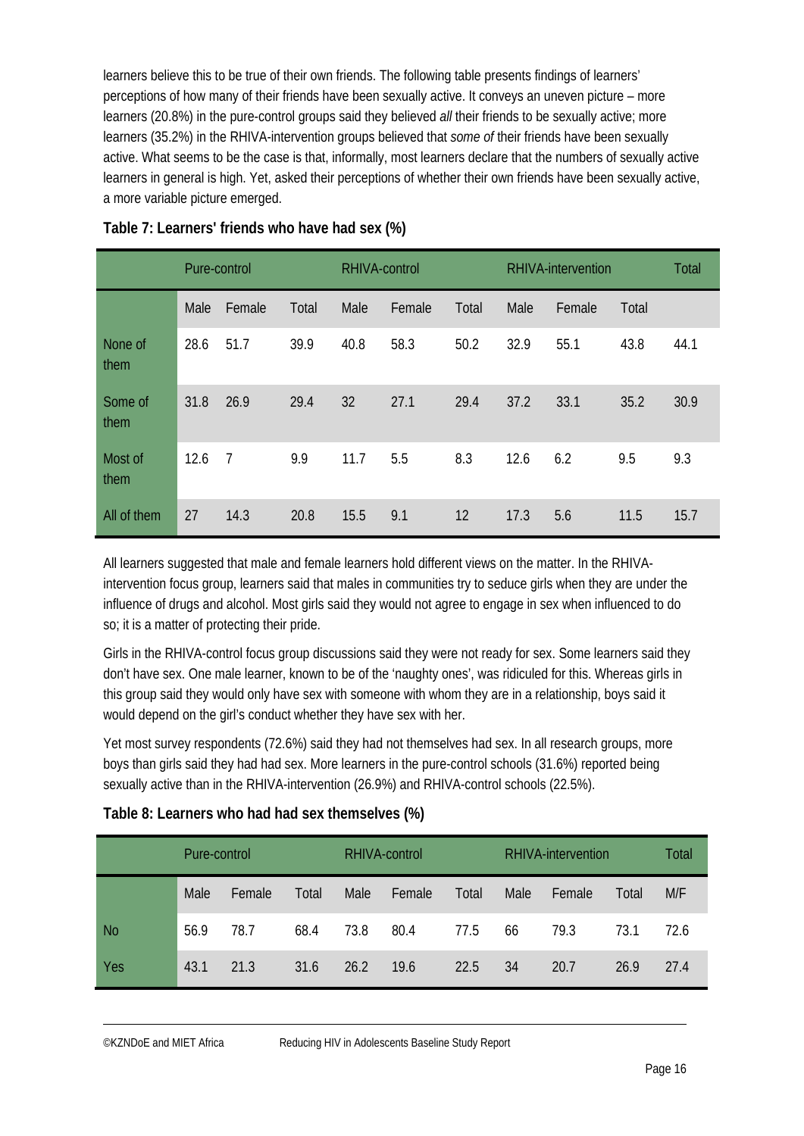learners believe this to be true of their own friends. The following table presents findings of learners' perceptions of how many of their friends have been sexually active. It conveys an uneven picture – more learners (20.8%) in the pure-control groups said they believed *all* their friends to be sexually active; more learners (35.2%) in the RHIVA-intervention groups believed that *some of* their friends have been sexually active. What seems to be the case is that, informally, most learners declare that the numbers of sexually active learners in general is high. Yet, asked their perceptions of whether their own friends have been sexually active, a more variable picture emerged.

|                 | Pure-control |        |       |      | <b>RHIVA-control</b> |       |      | <b>RHIVA-intervention</b> |       |      |  |
|-----------------|--------------|--------|-------|------|----------------------|-------|------|---------------------------|-------|------|--|
|                 | Male         | Female | Total | Male | Female               | Total | Male | Female                    | Total |      |  |
| None of<br>them | 28.6         | 51.7   | 39.9  | 40.8 | 58.3                 | 50.2  | 32.9 | 55.1                      | 43.8  | 44.1 |  |
| Some of<br>them | 31.8         | 26.9   | 29.4  | 32   | 27.1                 | 29.4  | 37.2 | 33.1                      | 35.2  | 30.9 |  |
| Most of<br>them | 12.6         | 7      | 9.9   | 11.7 | 5.5                  | 8.3   | 12.6 | 6.2                       | 9.5   | 9.3  |  |
| All of them     | 27           | 14.3   | 20.8  | 15.5 | 9.1                  | 12    | 17.3 | 5.6                       | 11.5  | 15.7 |  |

## **Table 7: Learners' friends who have had sex (%)**

All learners suggested that male and female learners hold different views on the matter. In the RHIVAintervention focus group, learners said that males in communities try to seduce girls when they are under the influence of drugs and alcohol. Most girls said they would not agree to engage in sex when influenced to do so; it is a matter of protecting their pride.

Girls in the RHIVA-control focus group discussions said they were not ready for sex. Some learners said they don't have sex. One male learner, known to be of the 'naughty ones', was ridiculed for this. Whereas girls in this group said they would only have sex with someone with whom they are in a relationship, boys said it would depend on the girl's conduct whether they have sex with her.

Yet most survey respondents (72.6%) said they had not themselves had sex. In all research groups, more boys than girls said they had had sex. More learners in the pure-control schools (31.6%) reported being sexually active than in the RHIVA-intervention (26.9%) and RHIVA-control schools (22.5%).

| Table 8: Learners who had had sex themselves (%) |  |
|--------------------------------------------------|--|
|--------------------------------------------------|--|

|           |      | Pure-control |       |      | RHIVA-control |       | RHIVA-intervention | Total              |       |      |
|-----------|------|--------------|-------|------|---------------|-------|--------------------|--------------------|-------|------|
|           | Male | Female       | Total | Male | Female        | Total | Male               | Female             | Total | M/F  |
| <b>No</b> | 56.9 | 78.7         | 68.4  | 73.8 | 80.4          | 77.5  | 66                 | 79.3               | 73.1  | 72.6 |
| Yes       | 43.1 | 21.3<br>31.6 |       | 26.2 | 19.6<br>22.5  |       |                    | 34<br>20.7<br>26.9 |       |      |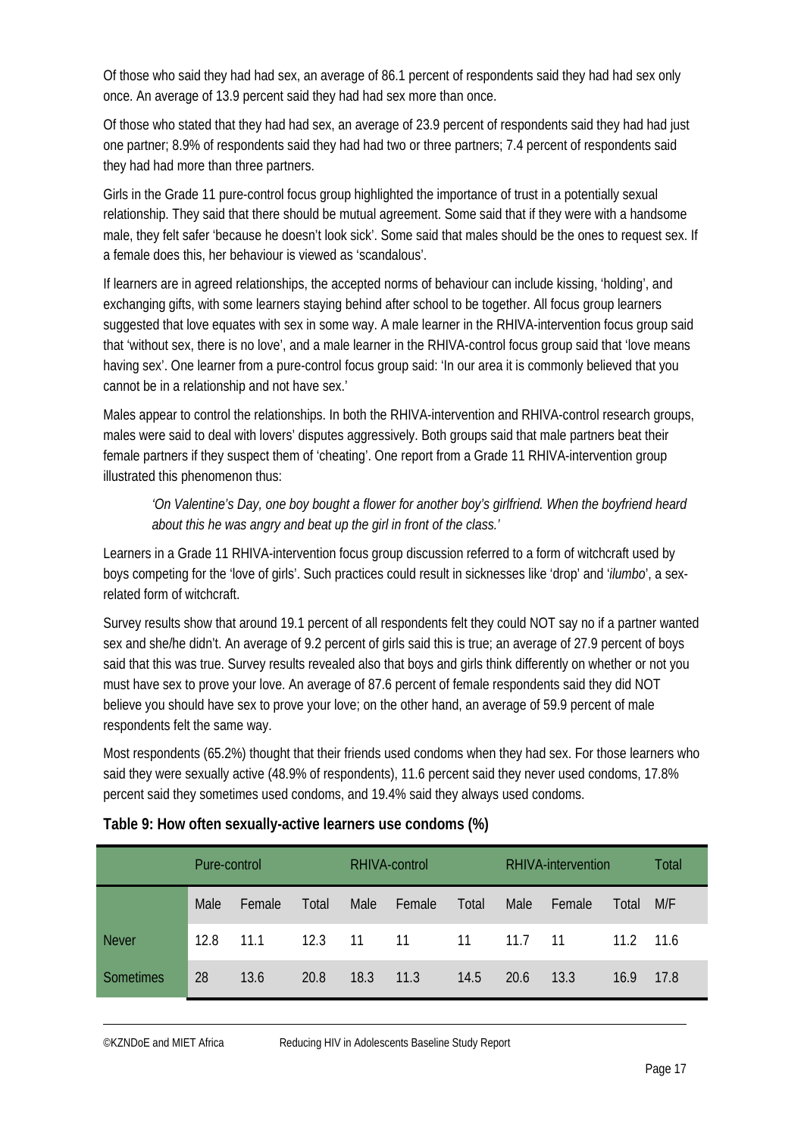Of those who said they had had sex, an average of 86.1 percent of respondents said they had had sex only once. An average of 13.9 percent said they had had sex more than once.

Of those who stated that they had had sex, an average of 23.9 percent of respondents said they had had just one partner; 8.9% of respondents said they had had two or three partners; 7.4 percent of respondents said they had had more than three partners.

Girls in the Grade 11 pure-control focus group highlighted the importance of trust in a potentially sexual relationship. They said that there should be mutual agreement. Some said that if they were with a handsome male, they felt safer 'because he doesn't look sick'. Some said that males should be the ones to request sex. If a female does this, her behaviour is viewed as 'scandalous'.

If learners are in agreed relationships, the accepted norms of behaviour can include kissing, 'holding', and exchanging gifts, with some learners staying behind after school to be together. All focus group learners suggested that love equates with sex in some way. A male learner in the RHIVA-intervention focus group said that 'without sex, there is no love', and a male learner in the RHIVA-control focus group said that 'love means having sex'. One learner from a pure-control focus group said: 'In our area it is commonly believed that you cannot be in a relationship and not have sex.'

Males appear to control the relationships. In both the RHIVA-intervention and RHIVA-control research groups, males were said to deal with lovers' disputes aggressively. Both groups said that male partners beat their female partners if they suspect them of 'cheating'. One report from a Grade 11 RHIVA-intervention group illustrated this phenomenon thus:

*'On Valentine's Day, one boy bought a flower for another boy's girlfriend. When the boyfriend heard about this he was angry and beat up the girl in front of the class.'* 

Learners in a Grade 11 RHIVA-intervention focus group discussion referred to a form of witchcraft used by boys competing for the 'love of girls'. Such practices could result in sicknesses like 'drop' and '*ilumbo*', a sexrelated form of witchcraft.

Survey results show that around 19.1 percent of all respondents felt they could NOT say no if a partner wanted sex and she/he didn't. An average of 9.2 percent of girls said this is true; an average of 27.9 percent of boys said that this was true. Survey results revealed also that boys and girls think differently on whether or not you must have sex to prove your love. An average of 87.6 percent of female respondents said they did NOT believe you should have sex to prove your love; on the other hand, an average of 59.9 percent of male respondents felt the same way.

Most respondents (65.2%) thought that their friends used condoms when they had sex. For those learners who said they were sexually active (48.9% of respondents), 11.6 percent said they never used condoms, 17.8% percent said they sometimes used condoms, and 19.4% said they always used condoms.

|              | Pure-control            |      |                         | <b>RHIVA-control</b> |    |      | <b>RHIVA-intervention</b> | Total |      |      |
|--------------|-------------------------|------|-------------------------|----------------------|----|------|---------------------------|-------|------|------|
|              | Male<br>Total<br>Female |      | Male<br>Total<br>Female |                      |    | Male | Female                    | Total | M/F  |      |
| <b>Never</b> | 12.8                    | 11.1 | 12.3                    | 11                   | 11 | 11   | 11.7                      | -11   | 11.2 | 11.6 |
| Sometimes    | 28<br>13.6<br>20.8      |      | 18.3<br>11.3<br>14.5    |                      |    | 20.6 | 17.8                      |       |      |      |

## **Table 9: How often sexually-active learners use condoms (%)**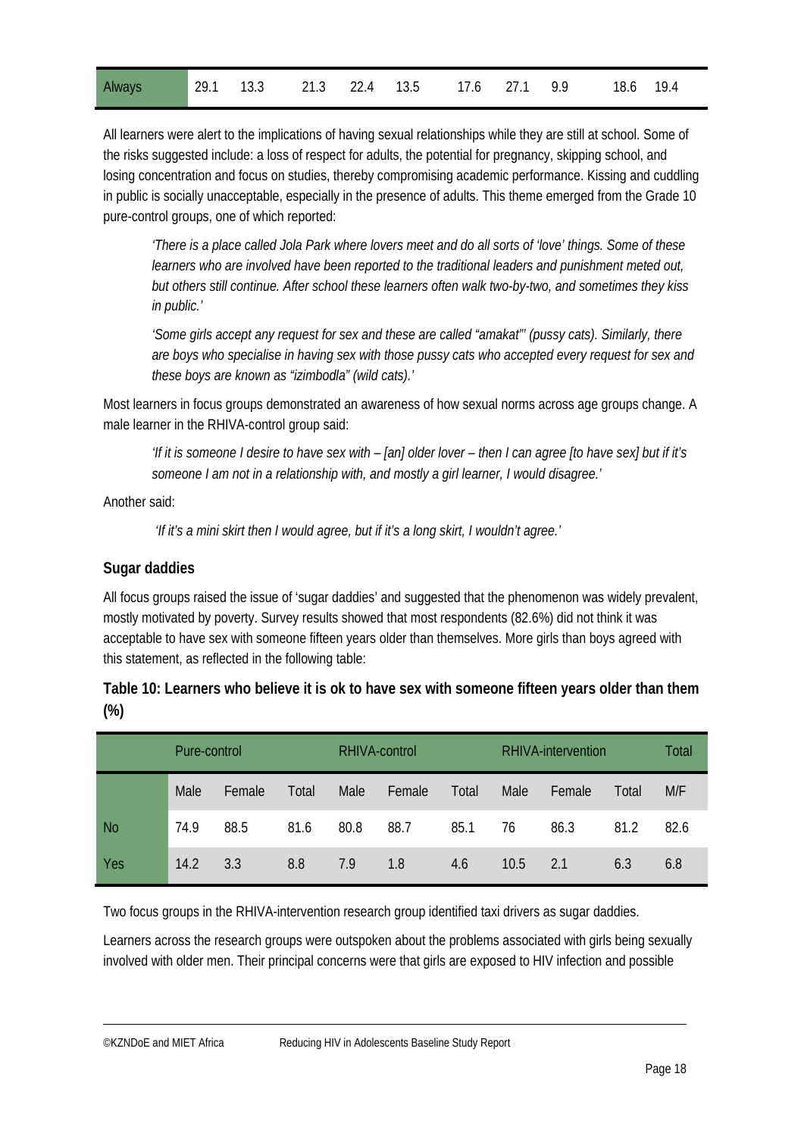| Always 29.1 13.3 21.3 22.4 13.5 17.6 27.1 9.9 18.6 19.4 |  |  |  |  |  |
|---------------------------------------------------------|--|--|--|--|--|
|                                                         |  |  |  |  |  |

All learners were alert to the implications of having sexual relationships while they are still at school. Some of the risks suggested include: a loss of respect for adults, the potential for pregnancy, skipping school, and losing concentration and focus on studies, thereby compromising academic performance. Kissing and cuddling in public is socially unacceptable, especially in the presence of adults. This theme emerged from the Grade 10 pure-control groups, one of which reported:

*'There is a place called Jola Park where lovers meet and do all sorts of 'love' things. Some of these learners who are involved have been reported to the traditional leaders and punishment meted out, but others still continue. After school these learners often walk two-by-two, and sometimes they kiss in public.'* 

*'Some girls accept any request for sex and these are called "amakat"' (pussy cats). Similarly, there are boys who specialise in having sex with those pussy cats who accepted every request for sex and these boys are known as "izimbodla" (wild cats).'* 

Most learners in focus groups demonstrated an awareness of how sexual norms across age groups change. A male learner in the RHIVA-control group said:

*'If it is someone I desire to have sex with – [an] older lover – then I can agree [to have sex] but if it's someone I am not in a relationship with, and mostly a girl learner, I would disagree.'* 

Another said:

 *'If it's a mini skirt then I would agree, but if it's a long skirt, I wouldn't agree.'* 

#### **Sugar daddies**

 $\overline{a}$ 

All focus groups raised the issue of 'sugar daddies' and suggested that the phenomenon was widely prevalent, mostly motivated by poverty. Survey results showed that most respondents (82.6%) did not think it was acceptable to have sex with someone fifteen years older than themselves. More girls than boys agreed with this statement, as reflected in the following table:

**Table 10: Learners who believe it is ok to have sex with someone fifteen years older than them (%)** 

|           | Pure-control |                 |      | <b>RHIVA-control</b> |        |       | RHIVA-intervention | Total  |       |      |
|-----------|--------------|-----------------|------|----------------------|--------|-------|--------------------|--------|-------|------|
|           | Male         | Total<br>Female |      | Male                 | Female | Total |                    | Female | Total | M/F  |
| <b>No</b> | 74.9         | 88.5            | 81.6 | 80.8                 | 88.7   | 85.1  | 76                 | 86.3   | 81.2  | 82.6 |
| Yes       | 14.2         | 3.3<br>8.8      |      | 7.9<br>1.8           |        | 4.6   | 10.5               | 2.1    | 6.3   | 6.8  |

Two focus groups in the RHIVA-intervention research group identified taxi drivers as sugar daddies.

Learners across the research groups were outspoken about the problems associated with girls being sexually involved with older men. Their principal concerns were that girls are exposed to HIV infection and possible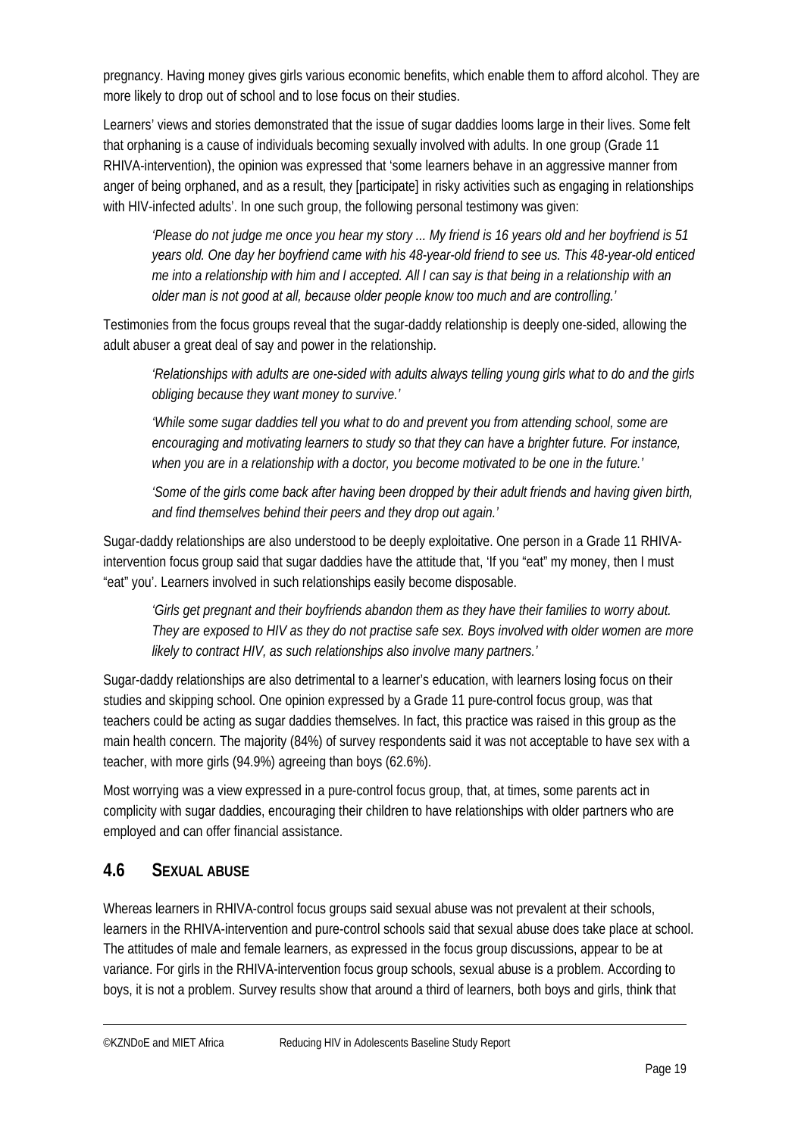pregnancy. Having money gives girls various economic benefits, which enable them to afford alcohol. They are more likely to drop out of school and to lose focus on their studies.

Learners' views and stories demonstrated that the issue of sugar daddies looms large in their lives. Some felt that orphaning is a cause of individuals becoming sexually involved with adults. In one group (Grade 11 RHIVA-intervention), the opinion was expressed that 'some learners behave in an aggressive manner from anger of being orphaned, and as a result, they [participate] in risky activities such as engaging in relationships with HIV-infected adults'. In one such group, the following personal testimony was given:

*'Please do not judge me once you hear my story ... My friend is 16 years old and her boyfriend is 51 years old. One day her boyfriend came with his 48-year-old friend to see us. This 48-year-old enticed me into a relationship with him and I accepted. All I can say is that being in a relationship with an older man is not good at all, because older people know too much and are controlling.'* 

Testimonies from the focus groups reveal that the sugar-daddy relationship is deeply one-sided, allowing the adult abuser a great deal of say and power in the relationship.

*'Relationships with adults are one-sided with adults always telling young girls what to do and the girls obliging because they want money to survive.'* 

*'While some sugar daddies tell you what to do and prevent you from attending school, some are encouraging and motivating learners to study so that they can have a brighter future. For instance, when you are in a relationship with a doctor, you become motivated to be one in the future.'* 

*'Some of the girls come back after having been dropped by their adult friends and having given birth, and find themselves behind their peers and they drop out again.'* 

Sugar-daddy relationships are also understood to be deeply exploitative. One person in a Grade 11 RHIVAintervention focus group said that sugar daddies have the attitude that, 'If you "eat" my money, then I must "eat" you'. Learners involved in such relationships easily become disposable.

*'Girls get pregnant and their boyfriends abandon them as they have their families to worry about. They are exposed to HIV as they do not practise safe sex. Boys involved with older women are more likely to contract HIV, as such relationships also involve many partners.'* 

Sugar-daddy relationships are also detrimental to a learner's education, with learners losing focus on their studies and skipping school. One opinion expressed by a Grade 11 pure-control focus group, was that teachers could be acting as sugar daddies themselves. In fact, this practice was raised in this group as the main health concern. The majority (84%) of survey respondents said it was not acceptable to have sex with a teacher, with more girls (94.9%) agreeing than boys (62.6%).

Most worrying was a view expressed in a pure-control focus group, that, at times, some parents act in complicity with sugar daddies, encouraging their children to have relationships with older partners who are employed and can offer financial assistance.

# **4.6 SEXUAL ABUSE**

 $\overline{a}$ 

Whereas learners in RHIVA-control focus groups said sexual abuse was not prevalent at their schools, learners in the RHIVA-intervention and pure-control schools said that sexual abuse does take place at school. The attitudes of male and female learners, as expressed in the focus group discussions, appear to be at variance. For girls in the RHIVA-intervention focus group schools, sexual abuse is a problem. According to boys, it is not a problem. Survey results show that around a third of learners, both boys and girls, think that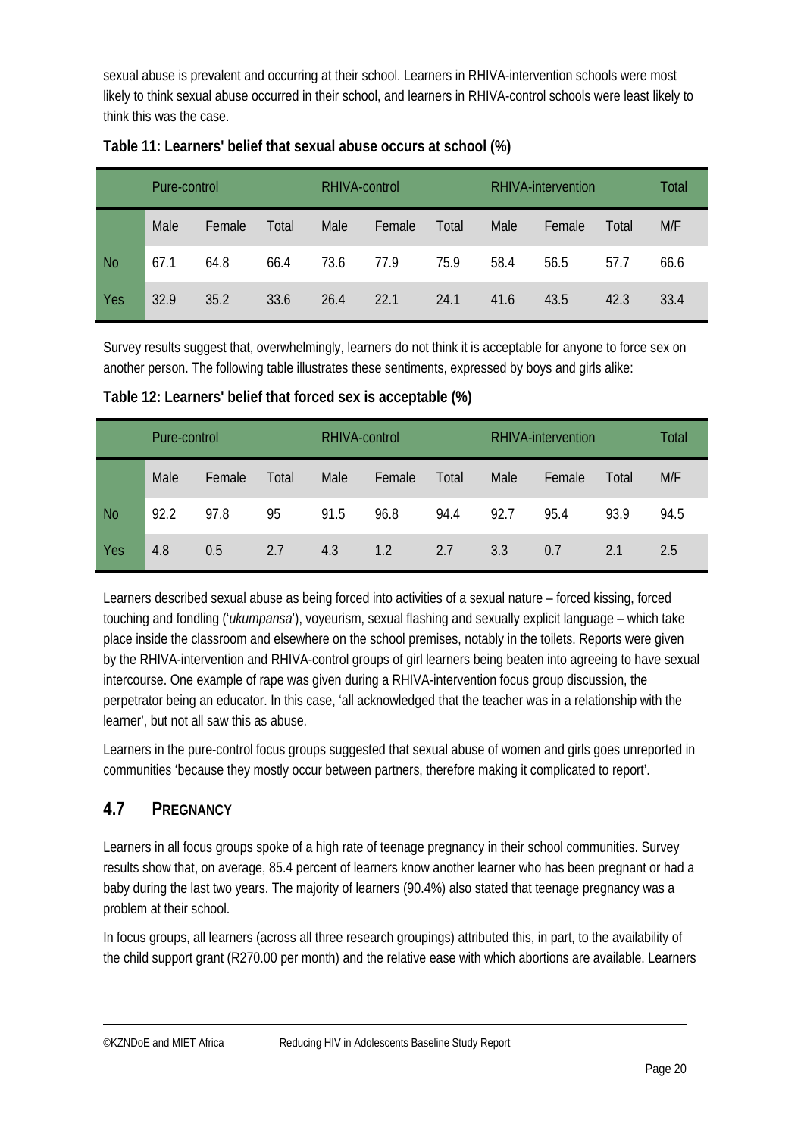sexual abuse is prevalent and occurring at their school. Learners in RHIVA-intervention schools were most likely to think sexual abuse occurred in their school, and learners in RHIVA-control schools were least likely to think this was the case.

|           | Pure-control |        |       | <b>RHIVA-control</b> |        |       | RHIVA-intervention | <b>Total</b> |       |      |
|-----------|--------------|--------|-------|----------------------|--------|-------|--------------------|--------------|-------|------|
|           | Male         | Female | Total | Male                 | Female | Total | Male               | Female       | Total | M/F  |
| <b>No</b> | 67.1         | 64.8   | 66.4  | 73.6                 | 77.9   | 75.9  | 58.4               | 56.5         | 57.7  | 66.6 |
| Yes       | 32.9         | 35.2   | 33.6  | 26.4                 | 22.1   | 24.1  | 41.6               | 43.5         | 42.3  | 33.4 |

**Table 11: Learners' belief that sexual abuse occurs at school (%)** 

Survey results suggest that, overwhelmingly, learners do not think it is acceptable for anyone to force sex on another person. The following table illustrates these sentiments, expressed by boys and girls alike:

|           | Pure-control |        |       | <b>RHIVA-control</b> |        |       | RHIVA-intervention | Total  |       |      |
|-----------|--------------|--------|-------|----------------------|--------|-------|--------------------|--------|-------|------|
|           | Male         | Female | Total | Male                 | Female | Total | Male               | Female | Total | M/F  |
| <b>No</b> | 92.2         | 97.8   | 95    | 91.5                 | 96.8   | 94.4  | 92.7               | 95.4   | 93.9  | 94.5 |
| Yes       | 4.8          | 0.5    | 2.7   | 4.3                  | 1.2    | 2.7   | 3.3                | 0.7    | 2.1   | 2.5  |

**Table 12: Learners' belief that forced sex is acceptable (%)** 

Learners described sexual abuse as being forced into activities of a sexual nature – forced kissing, forced touching and fondling ('*ukumpansa*'), voyeurism, sexual flashing and sexually explicit language – which take place inside the classroom and elsewhere on the school premises, notably in the toilets. Reports were given by the RHIVA-intervention and RHIVA-control groups of girl learners being beaten into agreeing to have sexual intercourse. One example of rape was given during a RHIVA-intervention focus group discussion, the perpetrator being an educator. In this case, 'all acknowledged that the teacher was in a relationship with the learner', but not all saw this as abuse.

Learners in the pure-control focus groups suggested that sexual abuse of women and girls goes unreported in communities 'because they mostly occur between partners, therefore making it complicated to report'.

# **4.7 PREGNANCY**

 $\overline{a}$ 

Learners in all focus groups spoke of a high rate of teenage pregnancy in their school communities. Survey results show that, on average, 85.4 percent of learners know another learner who has been pregnant or had a baby during the last two years. The majority of learners (90.4%) also stated that teenage pregnancy was a problem at their school.

In focus groups, all learners (across all three research groupings) attributed this, in part, to the availability of the child support grant (R270.00 per month) and the relative ease with which abortions are available. Learners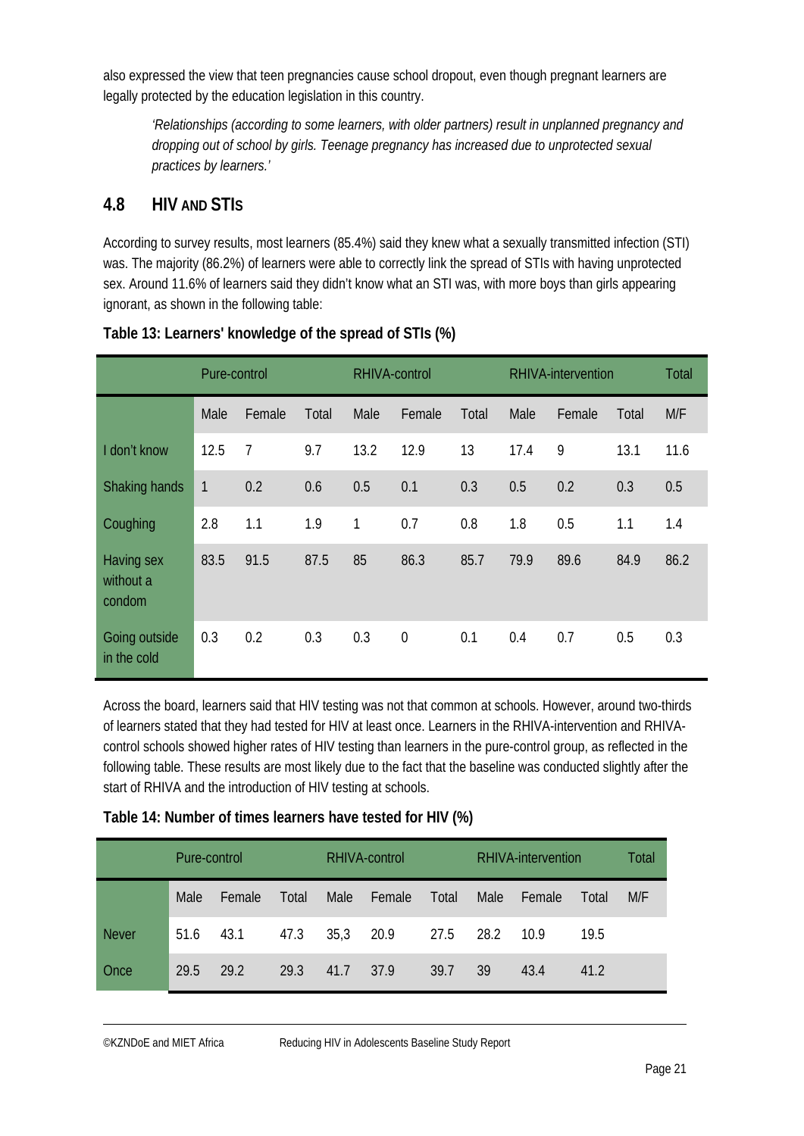also expressed the view that teen pregnancies cause school dropout, even though pregnant learners are legally protected by the education legislation in this country.

*'Relationships (according to some learners, with older partners) result in unplanned pregnancy and dropping out of school by girls. Teenage pregnancy has increased due to unprotected sexual practices by learners.'* 

# **4.8 HIV AND STIS**

According to survey results, most learners (85.4%) said they knew what a sexually transmitted infection (STI) was. The majority (86.2%) of learners were able to correctly link the spread of STIs with having unprotected sex. Around 11.6% of learners said they didn't know what an STI was, with more boys than girls appearing ignorant, as shown in the following table:

|                                   | Pure-control |                |       | <b>RHIVA-control</b> |             |       | <b>RHIVA-intervention</b> | <b>Total</b> |       |      |
|-----------------------------------|--------------|----------------|-------|----------------------|-------------|-------|---------------------------|--------------|-------|------|
|                                   | Male         | Female         | Total | Male                 | Female      | Total | Male                      | Female       | Total | M/F  |
| I don't know                      | 12.5         | $\overline{7}$ | 9.7   | 13.2                 | 12.9        | 13    | 17.4                      | 9            | 13.1  | 11.6 |
| Shaking hands                     | $\mathbf{1}$ | 0.2            | 0.6   | 0.5                  | 0.1         | 0.3   | 0.5                       | 0.2          | 0.3   | 0.5  |
| Coughing                          | 2.8          | 1.1            | 1.9   | 1                    | 0.7         | 0.8   | 1.8                       | 0.5          | 1.1   | 1.4  |
| Having sex<br>without a<br>condom | 83.5         | 91.5           | 87.5  | 85                   | 86.3        | 85.7  | 79.9                      | 89.6         | 84.9  | 86.2 |
| Going outside<br>in the cold      | 0.3          | 0.2            | 0.3   | 0.3                  | $\mathbf 0$ | 0.1   | 0.4                       | 0.7          | 0.5   | 0.3  |

#### **Table 13: Learners' knowledge of the spread of STIs (%)**

Across the board, learners said that HIV testing was not that common at schools. However, around two-thirds of learners stated that they had tested for HIV at least once. Learners in the RHIVA-intervention and RHIVAcontrol schools showed higher rates of HIV testing than learners in the pure-control group, as reflected in the following table. These results are most likely due to the fact that the baseline was conducted slightly after the start of RHIVA and the introduction of HIV testing at schools.

## **Table 14: Number of times learners have tested for HIV (%)**

|              | Pure-control |                        |      |                                 | <b>RHIVA-control</b> |       | <b>RHIVA-intervention</b> | Total  |       |     |
|--------------|--------------|------------------------|------|---------------------------------|----------------------|-------|---------------------------|--------|-------|-----|
|              | Male         | <b>Total</b><br>Female |      | Male                            | Female               | Total | Male                      | Female | Total | M/F |
| <b>Never</b> | 51.6         | 43.1                   | 47.3 | 35,3                            | 20.9                 | 27.5  | 28.2                      | 10.9   | 19.5  |     |
| Once         | 29.5         | 29.3<br>29.2           |      | 41.7<br>39.7<br>37 <sup>9</sup> |                      |       | 39<br>43.4<br>41.2        |        |       |     |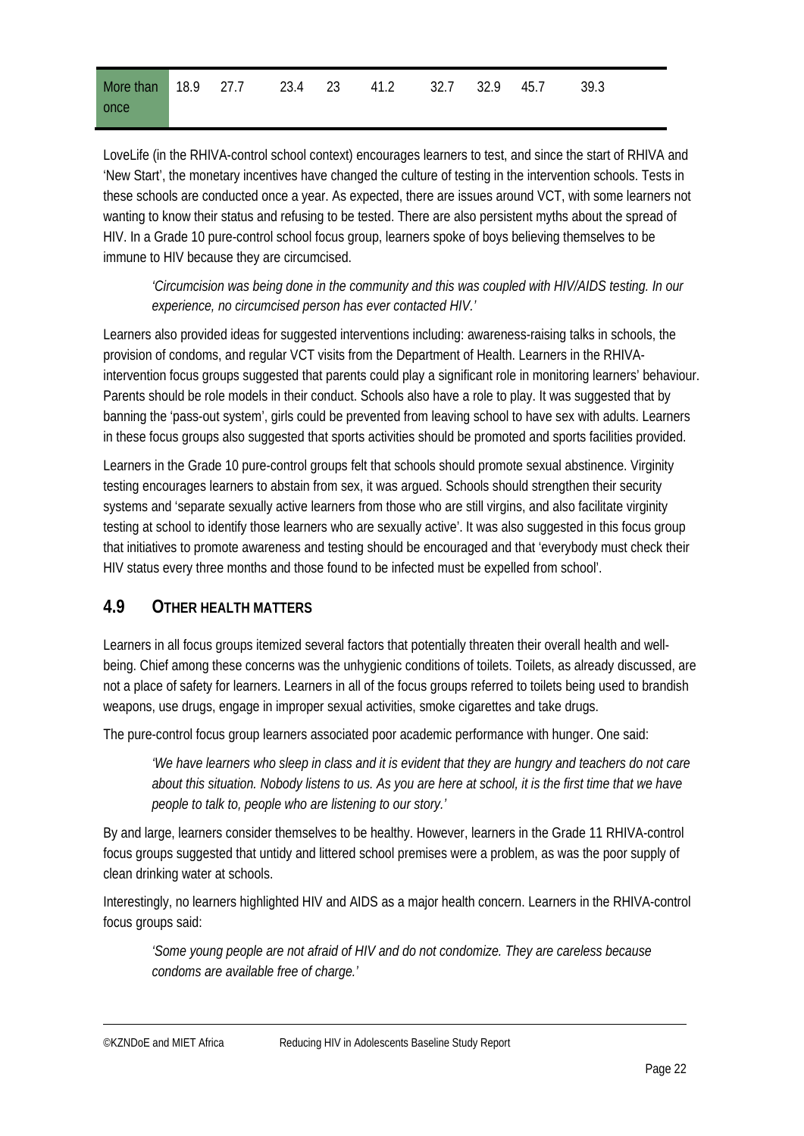| More than 18.9 27.7 23.4 23 41.2 32.7 32.9 45.7 39.3 |  |  |  |  |  |
|------------------------------------------------------|--|--|--|--|--|
| once                                                 |  |  |  |  |  |

LoveLife (in the RHIVA-control school context) encourages learners to test, and since the start of RHIVA and 'New Start', the monetary incentives have changed the culture of testing in the intervention schools. Tests in these schools are conducted once a year. As expected, there are issues around VCT, with some learners not wanting to know their status and refusing to be tested. There are also persistent myths about the spread of HIV. In a Grade 10 pure-control school focus group, learners spoke of boys believing themselves to be immune to HIV because they are circumcised.

#### *'Circumcision was being done in the community and this was coupled with HIV/AIDS testing. In our experience, no circumcised person has ever contacted HIV.'*

Learners also provided ideas for suggested interventions including: awareness-raising talks in schools, the provision of condoms, and regular VCT visits from the Department of Health. Learners in the RHIVAintervention focus groups suggested that parents could play a significant role in monitoring learners' behaviour. Parents should be role models in their conduct. Schools also have a role to play. It was suggested that by banning the 'pass-out system', girls could be prevented from leaving school to have sex with adults. Learners in these focus groups also suggested that sports activities should be promoted and sports facilities provided.

Learners in the Grade 10 pure-control groups felt that schools should promote sexual abstinence. Virginity testing encourages learners to abstain from sex, it was argued. Schools should strengthen their security systems and 'separate sexually active learners from those who are still virgins, and also facilitate virginity testing at school to identify those learners who are sexually active'. It was also suggested in this focus group that initiatives to promote awareness and testing should be encouraged and that 'everybody must check their HIV status every three months and those found to be infected must be expelled from school'.

# **4.9 OTHER HEALTH MATTERS**

 $\overline{a}$ 

Learners in all focus groups itemized several factors that potentially threaten their overall health and wellbeing. Chief among these concerns was the unhygienic conditions of toilets. Toilets, as already discussed, are not a place of safety for learners. Learners in all of the focus groups referred to toilets being used to brandish weapons, use drugs, engage in improper sexual activities, smoke cigarettes and take drugs.

The pure-control focus group learners associated poor academic performance with hunger. One said:

*'We have learners who sleep in class and it is evident that they are hungry and teachers do not care about this situation. Nobody listens to us. As you are here at school, it is the first time that we have people to talk to, people who are listening to our story.'* 

By and large, learners consider themselves to be healthy. However, learners in the Grade 11 RHIVA-control focus groups suggested that untidy and littered school premises were a problem, as was the poor supply of clean drinking water at schools.

Interestingly, no learners highlighted HIV and AIDS as a major health concern. Learners in the RHIVA-control focus groups said:

*'Some young people are not afraid of HIV and do not condomize. They are careless because condoms are available free of charge.'*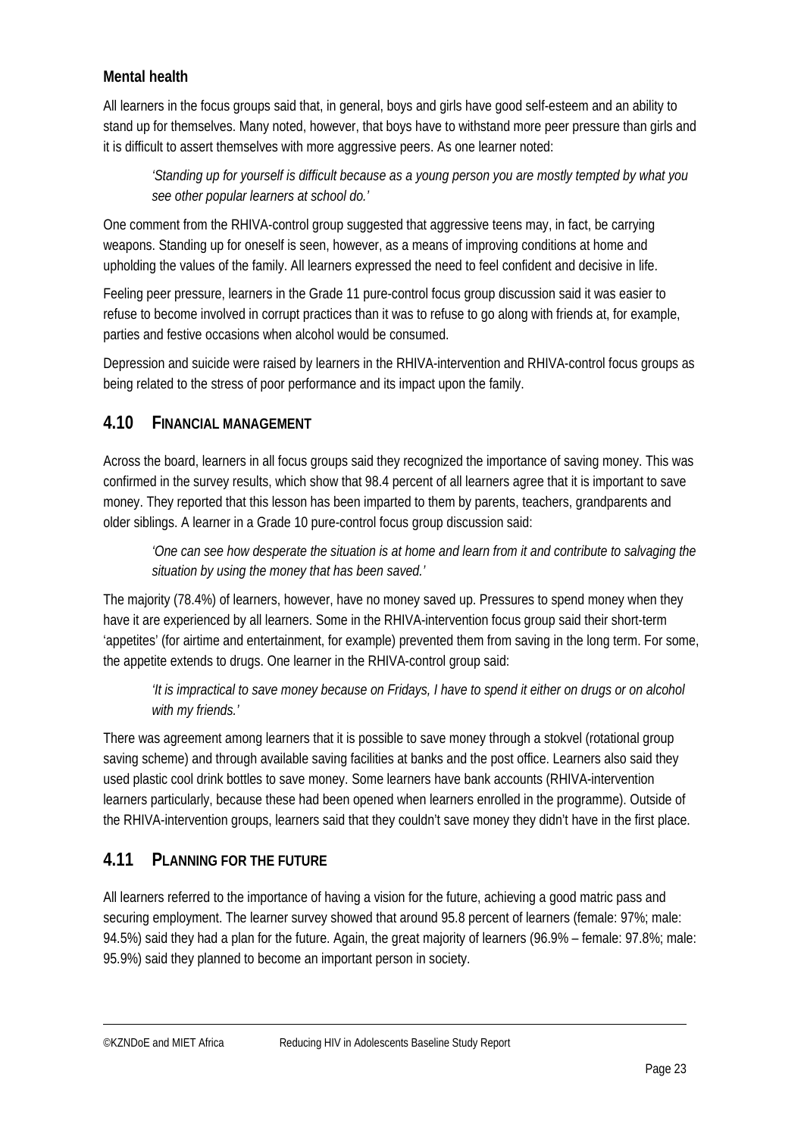## **Mental health**

All learners in the focus groups said that, in general, boys and girls have good self-esteem and an ability to stand up for themselves. Many noted, however, that boys have to withstand more peer pressure than girls and it is difficult to assert themselves with more aggressive peers. As one learner noted:

*'Standing up for yourself is difficult because as a young person you are mostly tempted by what you see other popular learners at school do.'* 

One comment from the RHIVA-control group suggested that aggressive teens may, in fact, be carrying weapons. Standing up for oneself is seen, however, as a means of improving conditions at home and upholding the values of the family. All learners expressed the need to feel confident and decisive in life.

Feeling peer pressure, learners in the Grade 11 pure-control focus group discussion said it was easier to refuse to become involved in corrupt practices than it was to refuse to go along with friends at, for example, parties and festive occasions when alcohol would be consumed.

Depression and suicide were raised by learners in the RHIVA-intervention and RHIVA-control focus groups as being related to the stress of poor performance and its impact upon the family.

# **4.10 FINANCIAL MANAGEMENT**

Across the board, learners in all focus groups said they recognized the importance of saving money. This was confirmed in the survey results, which show that 98.4 percent of all learners agree that it is important to save money. They reported that this lesson has been imparted to them by parents, teachers, grandparents and older siblings. A learner in a Grade 10 pure-control focus group discussion said:

*'One can see how desperate the situation is at home and learn from it and contribute to salvaging the situation by using the money that has been saved.'* 

The majority (78.4%) of learners, however, have no money saved up. Pressures to spend money when they have it are experienced by all learners. Some in the RHIVA-intervention focus group said their short-term 'appetites' (for airtime and entertainment, for example) prevented them from saving in the long term. For some, the appetite extends to drugs. One learner in the RHIVA-control group said:

*'It is impractical to save money because on Fridays, I have to spend it either on drugs or on alcohol with my friends.'* 

There was agreement among learners that it is possible to save money through a stokvel (rotational group saving scheme) and through available saving facilities at banks and the post office. Learners also said they used plastic cool drink bottles to save money. Some learners have bank accounts (RHIVA-intervention learners particularly, because these had been opened when learners enrolled in the programme). Outside of the RHIVA-intervention groups, learners said that they couldn't save money they didn't have in the first place.

# **4.11 PLANNING FOR THE FUTURE**

 $\overline{a}$ 

All learners referred to the importance of having a vision for the future, achieving a good matric pass and securing employment. The learner survey showed that around 95.8 percent of learners (female: 97%; male: 94.5%) said they had a plan for the future. Again, the great majority of learners (96.9% – female: 97.8%; male: 95.9%) said they planned to become an important person in society.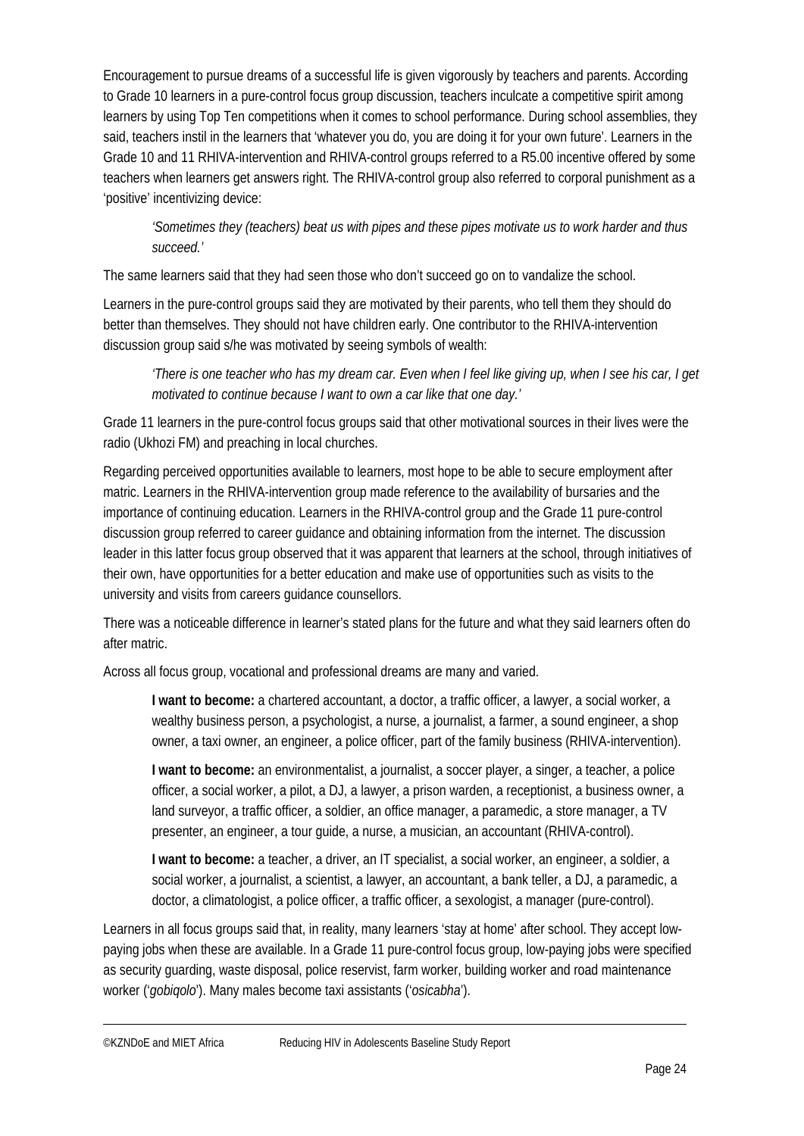Encouragement to pursue dreams of a successful life is given vigorously by teachers and parents. According to Grade 10 learners in a pure-control focus group discussion, teachers inculcate a competitive spirit among learners by using Top Ten competitions when it comes to school performance. During school assemblies, they said, teachers instil in the learners that 'whatever you do, you are doing it for your own future'. Learners in the Grade 10 and 11 RHIVA-intervention and RHIVA-control groups referred to a R5.00 incentive offered by some teachers when learners get answers right. The RHIVA-control group also referred to corporal punishment as a 'positive' incentivizing device:

*'Sometimes they (teachers) beat us with pipes and these pipes motivate us to work harder and thus succeed.'* 

The same learners said that they had seen those who don't succeed go on to vandalize the school.

Learners in the pure-control groups said they are motivated by their parents, who tell them they should do better than themselves. They should not have children early. One contributor to the RHIVA-intervention discussion group said s/he was motivated by seeing symbols of wealth:

*'There is one teacher who has my dream car. Even when I feel like giving up, when I see his car, I get motivated to continue because I want to own a car like that one day.'* 

Grade 11 learners in the pure-control focus groups said that other motivational sources in their lives were the radio (Ukhozi FM) and preaching in local churches.

Regarding perceived opportunities available to learners, most hope to be able to secure employment after matric. Learners in the RHIVA-intervention group made reference to the availability of bursaries and the importance of continuing education. Learners in the RHIVA-control group and the Grade 11 pure-control discussion group referred to career guidance and obtaining information from the internet. The discussion leader in this latter focus group observed that it was apparent that learners at the school, through initiatives of their own, have opportunities for a better education and make use of opportunities such as visits to the university and visits from careers guidance counsellors.

There was a noticeable difference in learner's stated plans for the future and what they said learners often do after matric.

Across all focus group, vocational and professional dreams are many and varied.

**I want to become:** a chartered accountant, a doctor, a traffic officer, a lawyer, a social worker, a wealthy business person, a psychologist, a nurse, a journalist, a farmer, a sound engineer, a shop owner, a taxi owner, an engineer, a police officer, part of the family business (RHIVA-intervention).

**I want to become:** an environmentalist, a journalist, a soccer player, a singer, a teacher, a police officer, a social worker, a pilot, a DJ, a lawyer, a prison warden, a receptionist, a business owner, a land surveyor, a traffic officer, a soldier, an office manager, a paramedic, a store manager, a TV presenter, an engineer, a tour guide, a nurse, a musician, an accountant (RHIVA-control).

**I want to become:** a teacher, a driver, an IT specialist, a social worker, an engineer, a soldier, a social worker, a journalist, a scientist, a lawyer, an accountant, a bank teller, a DJ, a paramedic, a doctor, a climatologist, a police officer, a traffic officer, a sexologist, a manager (pure-control).

Learners in all focus groups said that, in reality, many learners 'stay at home' after school. They accept lowpaying jobs when these are available. In a Grade 11 pure-control focus group, low-paying jobs were specified as security guarding, waste disposal, police reservist, farm worker, building worker and road maintenance worker ('*gobiqolo*'). Many males become taxi assistants ('*osicabha*').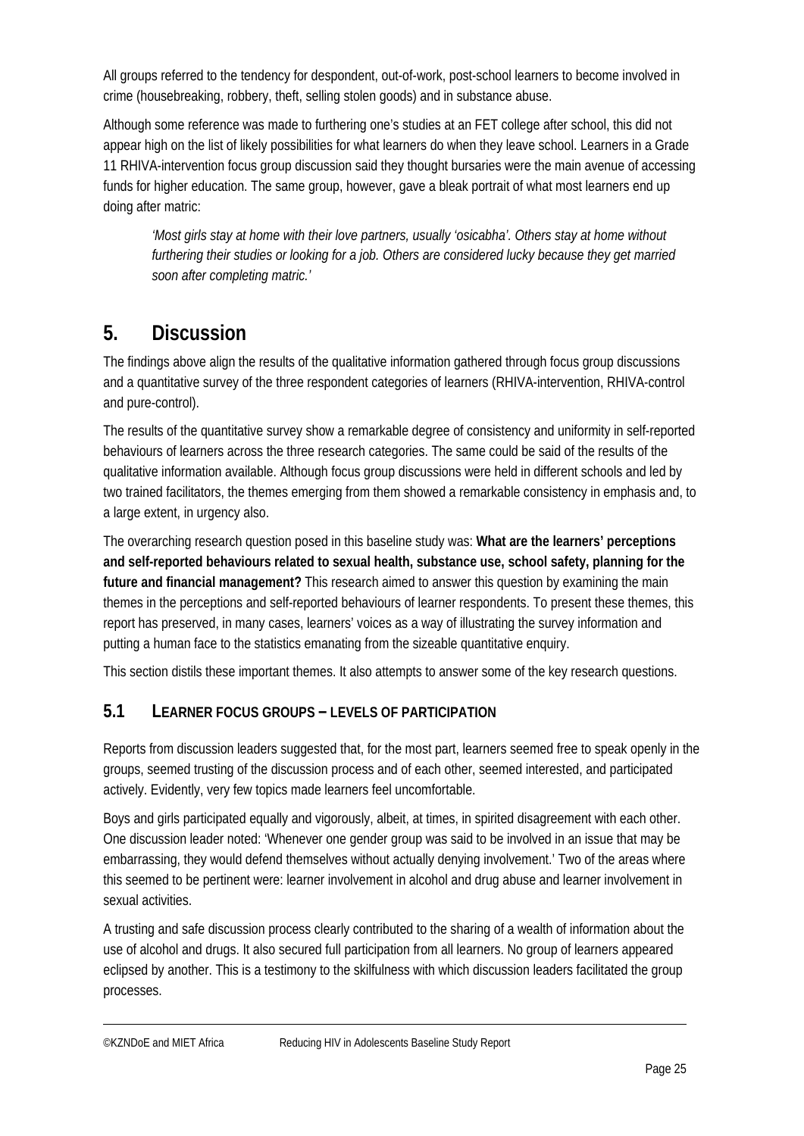All groups referred to the tendency for despondent, out-of-work, post-school learners to become involved in crime (housebreaking, robbery, theft, selling stolen goods) and in substance abuse.

Although some reference was made to furthering one's studies at an FET college after school, this did not appear high on the list of likely possibilities for what learners do when they leave school. Learners in a Grade 11 RHIVA-intervention focus group discussion said they thought bursaries were the main avenue of accessing funds for higher education. The same group, however, gave a bleak portrait of what most learners end up doing after matric:

*'Most girls stay at home with their love partners, usually 'osicabha'. Others stay at home without furthering their studies or looking for a job. Others are considered lucky because they get married soon after completing matric.'* 

# **5. Discussion**

The findings above align the results of the qualitative information gathered through focus group discussions and a quantitative survey of the three respondent categories of learners (RHIVA-intervention, RHIVA-control and pure-control).

The results of the quantitative survey show a remarkable degree of consistency and uniformity in self-reported behaviours of learners across the three research categories. The same could be said of the results of the qualitative information available. Although focus group discussions were held in different schools and led by two trained facilitators, the themes emerging from them showed a remarkable consistency in emphasis and, to a large extent, in urgency also.

The overarching research question posed in this baseline study was: **What are the learners' perceptions and self-reported behaviours related to sexual health, substance use, school safety, planning for the future and financial management?** This research aimed to answer this question by examining the main themes in the perceptions and self-reported behaviours of learner respondents. To present these themes, this report has preserved, in many cases, learners' voices as a way of illustrating the survey information and putting a human face to the statistics emanating from the sizeable quantitative enquiry.

This section distils these important themes. It also attempts to answer some of the key research questions.

# **5.1 LEARNER FOCUS GROUPS – LEVELS OF PARTICIPATION**

Reports from discussion leaders suggested that, for the most part, learners seemed free to speak openly in the groups, seemed trusting of the discussion process and of each other, seemed interested, and participated actively. Evidently, very few topics made learners feel uncomfortable.

Boys and girls participated equally and vigorously, albeit, at times, in spirited disagreement with each other. One discussion leader noted: 'Whenever one gender group was said to be involved in an issue that may be embarrassing, they would defend themselves without actually denying involvement.' Two of the areas where this seemed to be pertinent were: learner involvement in alcohol and drug abuse and learner involvement in sexual activities.

A trusting and safe discussion process clearly contributed to the sharing of a wealth of information about the use of alcohol and drugs. It also secured full participation from all learners. No group of learners appeared eclipsed by another. This is a testimony to the skilfulness with which discussion leaders facilitated the group processes.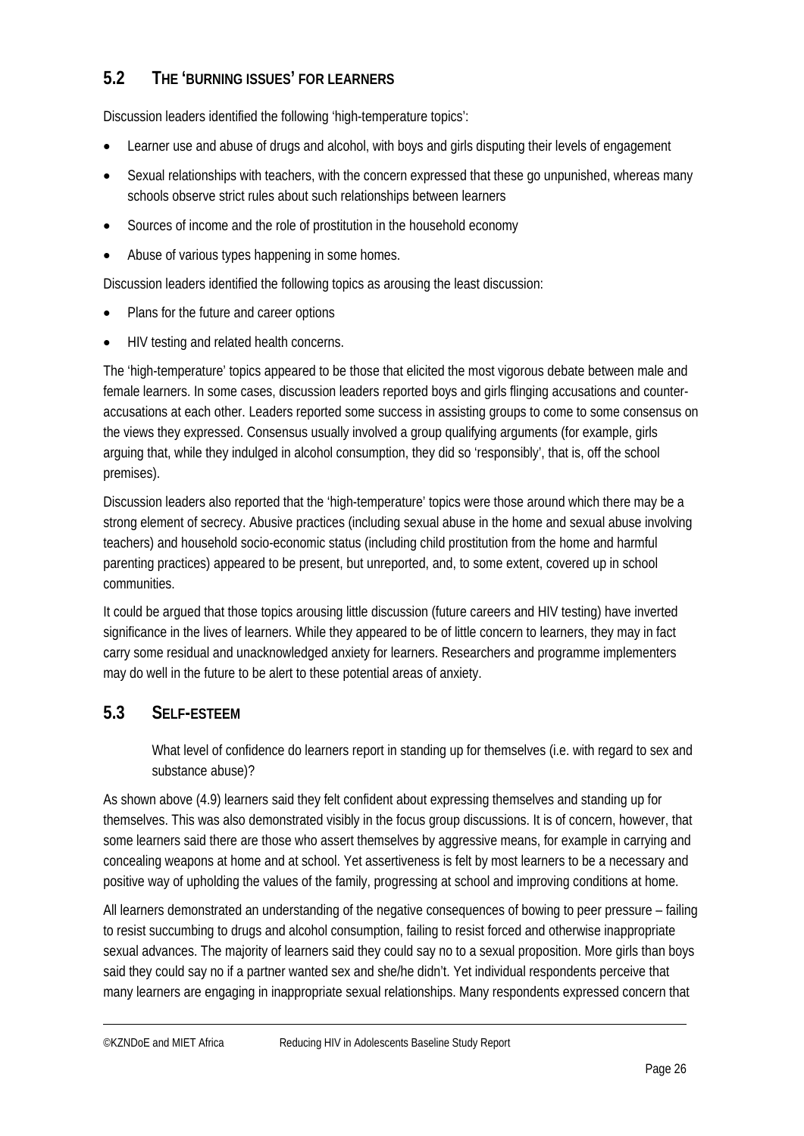# **5.2 THE 'BURNING ISSUES' FOR LEARNERS**

Discussion leaders identified the following 'high-temperature topics':

- Learner use and abuse of drugs and alcohol, with boys and girls disputing their levels of engagement
- Sexual relationships with teachers, with the concern expressed that these go unpunished, whereas many schools observe strict rules about such relationships between learners
- Sources of income and the role of prostitution in the household economy
- Abuse of various types happening in some homes.

Discussion leaders identified the following topics as arousing the least discussion:

- Plans for the future and career options
- HIV testing and related health concerns.

The 'high-temperature' topics appeared to be those that elicited the most vigorous debate between male and female learners. In some cases, discussion leaders reported boys and girls flinging accusations and counteraccusations at each other. Leaders reported some success in assisting groups to come to some consensus on the views they expressed. Consensus usually involved a group qualifying arguments (for example, girls arguing that, while they indulged in alcohol consumption, they did so 'responsibly', that is, off the school premises).

Discussion leaders also reported that the 'high-temperature' topics were those around which there may be a strong element of secrecy. Abusive practices (including sexual abuse in the home and sexual abuse involving teachers) and household socio-economic status (including child prostitution from the home and harmful parenting practices) appeared to be present, but unreported, and, to some extent, covered up in school communities.

It could be argued that those topics arousing little discussion (future careers and HIV testing) have inverted significance in the lives of learners. While they appeared to be of little concern to learners, they may in fact carry some residual and unacknowledged anxiety for learners. Researchers and programme implementers may do well in the future to be alert to these potential areas of anxiety.

# **5.3 SELF-ESTEEM**

 $\overline{a}$ 

What level of confidence do learners report in standing up for themselves (i.e. with regard to sex and substance abuse)?

As shown above (4.9) learners said they felt confident about expressing themselves and standing up for themselves. This was also demonstrated visibly in the focus group discussions. It is of concern, however, that some learners said there are those who assert themselves by aggressive means, for example in carrying and concealing weapons at home and at school. Yet assertiveness is felt by most learners to be a necessary and positive way of upholding the values of the family, progressing at school and improving conditions at home.

All learners demonstrated an understanding of the negative consequences of bowing to peer pressure – failing to resist succumbing to drugs and alcohol consumption, failing to resist forced and otherwise inappropriate sexual advances. The majority of learners said they could say no to a sexual proposition. More girls than boys said they could say no if a partner wanted sex and she/he didn't. Yet individual respondents perceive that many learners are engaging in inappropriate sexual relationships. Many respondents expressed concern that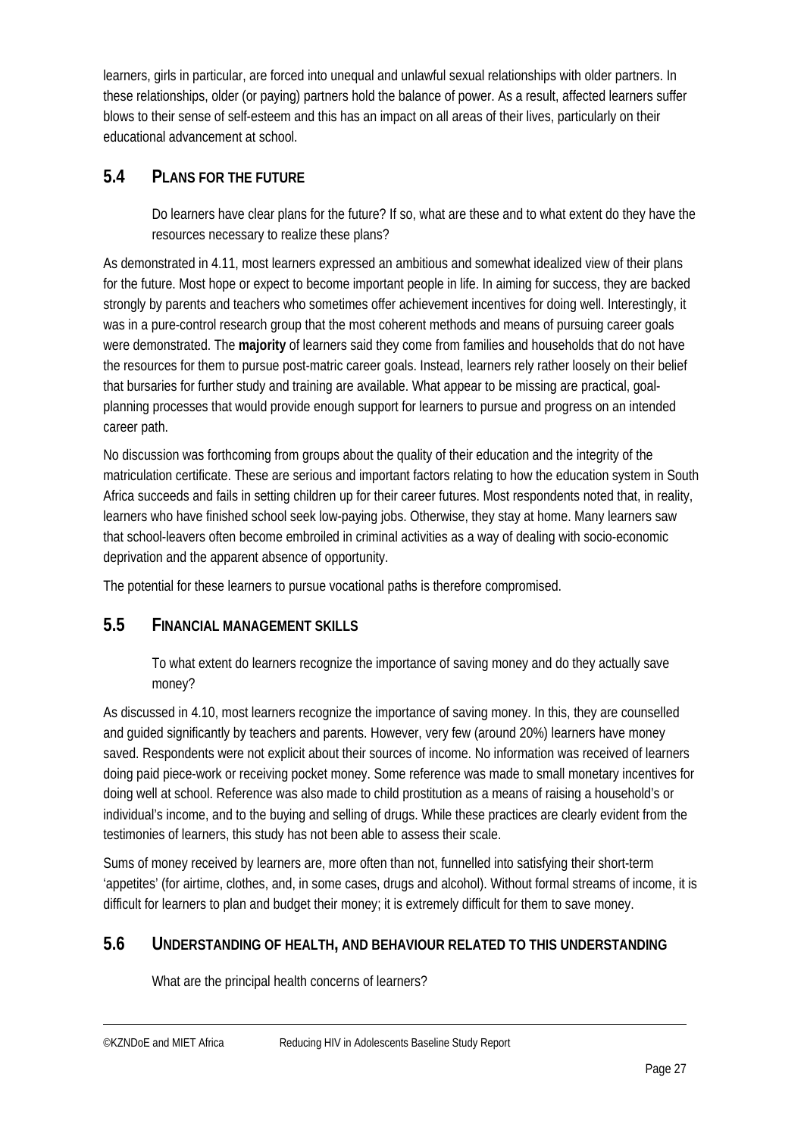learners, girls in particular, are forced into unequal and unlawful sexual relationships with older partners. In these relationships, older (or paying) partners hold the balance of power. As a result, affected learners suffer blows to their sense of self-esteem and this has an impact on all areas of their lives, particularly on their educational advancement at school.

# **5.4 PLANS FOR THE FUTURE**

Do learners have clear plans for the future? If so, what are these and to what extent do they have the resources necessary to realize these plans?

As demonstrated in 4.11, most learners expressed an ambitious and somewhat idealized view of their plans for the future. Most hope or expect to become important people in life. In aiming for success, they are backed strongly by parents and teachers who sometimes offer achievement incentives for doing well. Interestingly, it was in a pure-control research group that the most coherent methods and means of pursuing career goals were demonstrated. The **majority** of learners said they come from families and households that do not have the resources for them to pursue post-matric career goals. Instead, learners rely rather loosely on their belief that bursaries for further study and training are available. What appear to be missing are practical, goalplanning processes that would provide enough support for learners to pursue and progress on an intended career path.

No discussion was forthcoming from groups about the quality of their education and the integrity of the matriculation certificate. These are serious and important factors relating to how the education system in South Africa succeeds and fails in setting children up for their career futures. Most respondents noted that, in reality, learners who have finished school seek low-paying jobs. Otherwise, they stay at home. Many learners saw that school-leavers often become embroiled in criminal activities as a way of dealing with socio-economic deprivation and the apparent absence of opportunity.

The potential for these learners to pursue vocational paths is therefore compromised.

# **5.5 FINANCIAL MANAGEMENT SKILLS**

To what extent do learners recognize the importance of saving money and do they actually save money?

As discussed in 4.10, most learners recognize the importance of saving money. In this, they are counselled and guided significantly by teachers and parents. However, very few (around 20%) learners have money saved. Respondents were not explicit about their sources of income. No information was received of learners doing paid piece-work or receiving pocket money. Some reference was made to small monetary incentives for doing well at school. Reference was also made to child prostitution as a means of raising a household's or individual's income, and to the buying and selling of drugs. While these practices are clearly evident from the testimonies of learners, this study has not been able to assess their scale.

Sums of money received by learners are, more often than not, funnelled into satisfying their short-term 'appetites' (for airtime, clothes, and, in some cases, drugs and alcohol). Without formal streams of income, it is difficult for learners to plan and budget their money; it is extremely difficult for them to save money.

# **5.6 UNDERSTANDING OF HEALTH, AND BEHAVIOUR RELATED TO THIS UNDERSTANDING**

What are the principal health concerns of learners?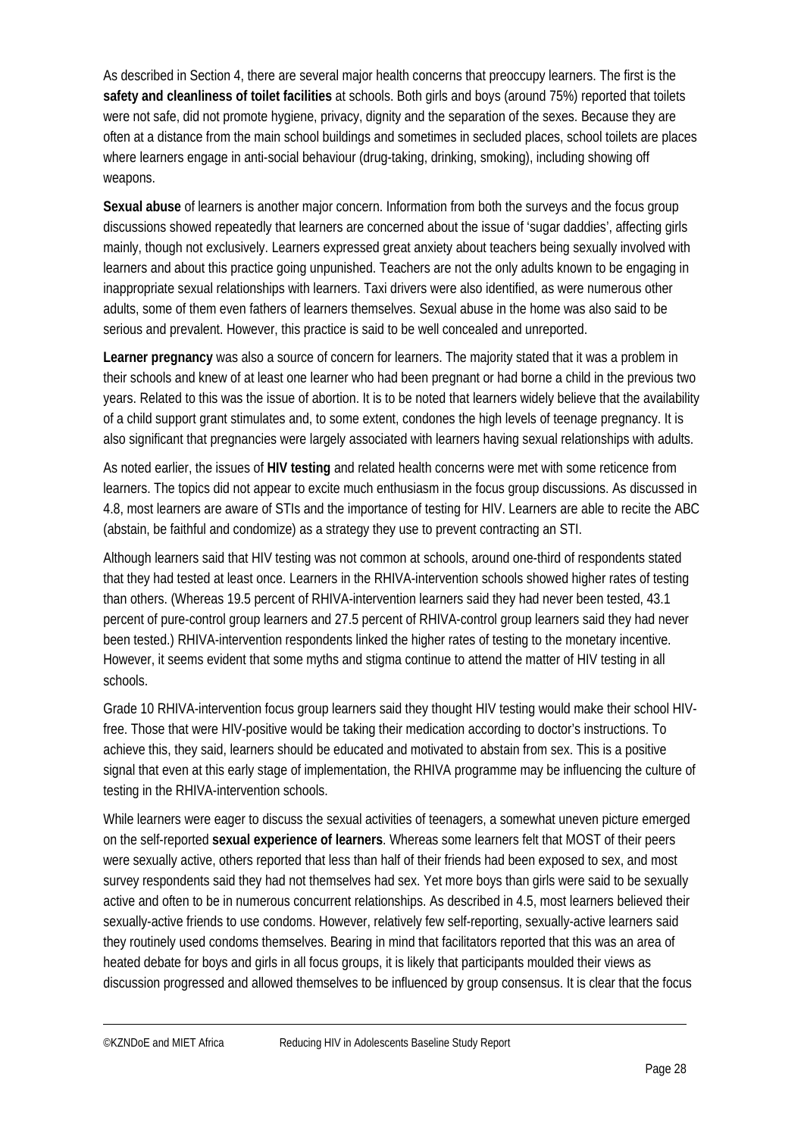As described in Section 4, there are several major health concerns that preoccupy learners. The first is the **safety and cleanliness of toilet facilities** at schools. Both girls and boys (around 75%) reported that toilets were not safe, did not promote hygiene, privacy, dignity and the separation of the sexes. Because they are often at a distance from the main school buildings and sometimes in secluded places, school toilets are places where learners engage in anti-social behaviour (drug-taking, drinking, smoking), including showing off weapons.

**Sexual abuse** of learners is another major concern. Information from both the surveys and the focus group discussions showed repeatedly that learners are concerned about the issue of 'sugar daddies', affecting girls mainly, though not exclusively. Learners expressed great anxiety about teachers being sexually involved with learners and about this practice going unpunished. Teachers are not the only adults known to be engaging in inappropriate sexual relationships with learners. Taxi drivers were also identified, as were numerous other adults, some of them even fathers of learners themselves. Sexual abuse in the home was also said to be serious and prevalent. However, this practice is said to be well concealed and unreported.

**Learner pregnancy** was also a source of concern for learners. The majority stated that it was a problem in their schools and knew of at least one learner who had been pregnant or had borne a child in the previous two years. Related to this was the issue of abortion. It is to be noted that learners widely believe that the availability of a child support grant stimulates and, to some extent, condones the high levels of teenage pregnancy. It is also significant that pregnancies were largely associated with learners having sexual relationships with adults.

As noted earlier, the issues of **HIV testing** and related health concerns were met with some reticence from learners. The topics did not appear to excite much enthusiasm in the focus group discussions. As discussed in 4.8, most learners are aware of STIs and the importance of testing for HIV. Learners are able to recite the ABC (abstain, be faithful and condomize) as a strategy they use to prevent contracting an STI.

Although learners said that HIV testing was not common at schools, around one-third of respondents stated that they had tested at least once. Learners in the RHIVA-intervention schools showed higher rates of testing than others. (Whereas 19.5 percent of RHIVA-intervention learners said they had never been tested, 43.1 percent of pure-control group learners and 27.5 percent of RHIVA-control group learners said they had never been tested.) RHIVA-intervention respondents linked the higher rates of testing to the monetary incentive. However, it seems evident that some myths and stigma continue to attend the matter of HIV testing in all schools.

Grade 10 RHIVA-intervention focus group learners said they thought HIV testing would make their school HIVfree. Those that were HIV-positive would be taking their medication according to doctor's instructions. To achieve this, they said, learners should be educated and motivated to abstain from sex. This is a positive signal that even at this early stage of implementation, the RHIVA programme may be influencing the culture of testing in the RHIVA-intervention schools.

While learners were eager to discuss the sexual activities of teenagers, a somewhat uneven picture emerged on the self-reported **sexual experience of learners**. Whereas some learners felt that MOST of their peers were sexually active, others reported that less than half of their friends had been exposed to sex, and most survey respondents said they had not themselves had sex. Yet more boys than girls were said to be sexually active and often to be in numerous concurrent relationships. As described in 4.5, most learners believed their sexually-active friends to use condoms. However, relatively few self-reporting, sexually-active learners said they routinely used condoms themselves. Bearing in mind that facilitators reported that this was an area of heated debate for boys and girls in all focus groups, it is likely that participants moulded their views as discussion progressed and allowed themselves to be influenced by group consensus. It is clear that the focus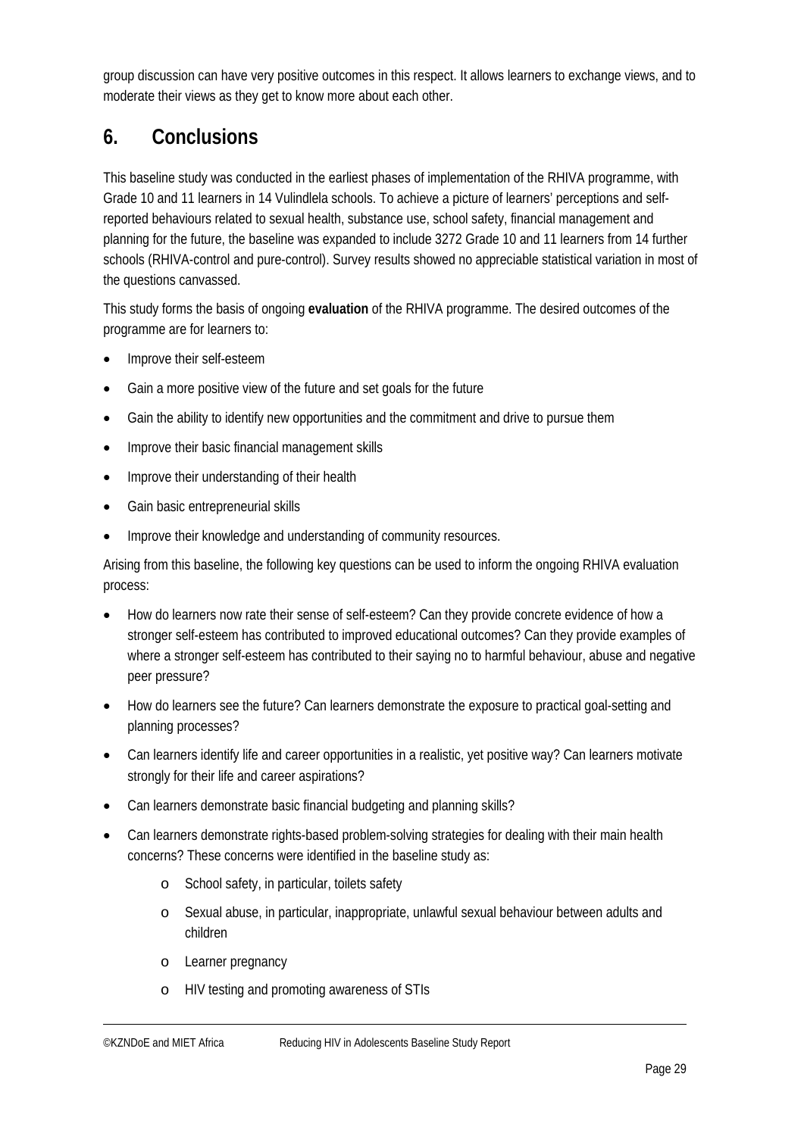group discussion can have very positive outcomes in this respect. It allows learners to exchange views, and to moderate their views as they get to know more about each other.

# **6. Conclusions**

This baseline study was conducted in the earliest phases of implementation of the RHIVA programme, with Grade 10 and 11 learners in 14 Vulindlela schools. To achieve a picture of learners' perceptions and selfreported behaviours related to sexual health, substance use, school safety, financial management and planning for the future, the baseline was expanded to include 3272 Grade 10 and 11 learners from 14 further schools (RHIVA-control and pure-control). Survey results showed no appreciable statistical variation in most of the questions canvassed.

This study forms the basis of ongoing **evaluation** of the RHIVA programme. The desired outcomes of the programme are for learners to:

- Improve their self-esteem
- Gain a more positive view of the future and set goals for the future
- Gain the ability to identify new opportunities and the commitment and drive to pursue them
- Improve their basic financial management skills
- Improve their understanding of their health
- Gain basic entrepreneurial skills
- Improve their knowledge and understanding of community resources.

Arising from this baseline, the following key questions can be used to inform the ongoing RHIVA evaluation process:

- How do learners now rate their sense of self-esteem? Can they provide concrete evidence of how a stronger self-esteem has contributed to improved educational outcomes? Can they provide examples of where a stronger self-esteem has contributed to their saying no to harmful behaviour, abuse and negative peer pressure?
- How do learners see the future? Can learners demonstrate the exposure to practical goal-setting and planning processes?
- Can learners identify life and career opportunities in a realistic, yet positive way? Can learners motivate strongly for their life and career aspirations?
- Can learners demonstrate basic financial budgeting and planning skills?
- Can learners demonstrate rights-based problem-solving strategies for dealing with their main health concerns? These concerns were identified in the baseline study as:
	- o School safety, in particular, toilets safety
	- o Sexual abuse, in particular, inappropriate, unlawful sexual behaviour between adults and children
	- o Learner pregnancy

 $\overline{a}$ 

o HIV testing and promoting awareness of STIs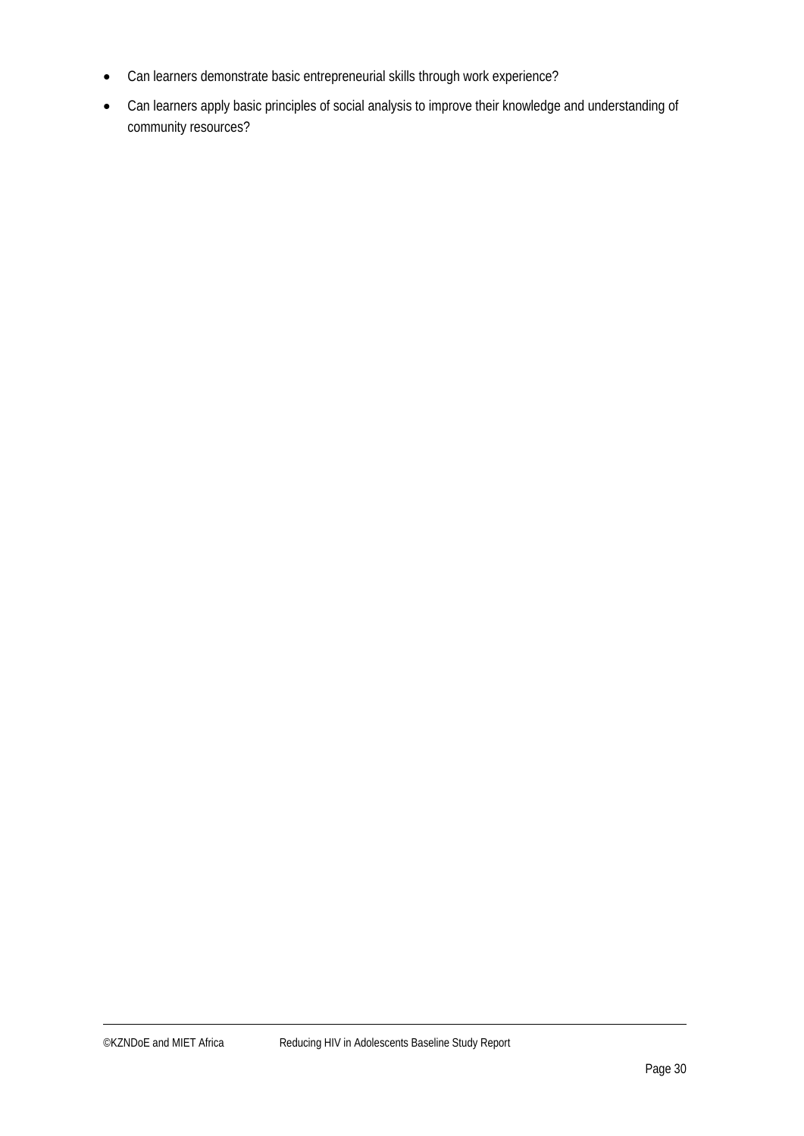- Can learners demonstrate basic entrepreneurial skills through work experience?
- Can learners apply basic principles of social analysis to improve their knowledge and understanding of community resources?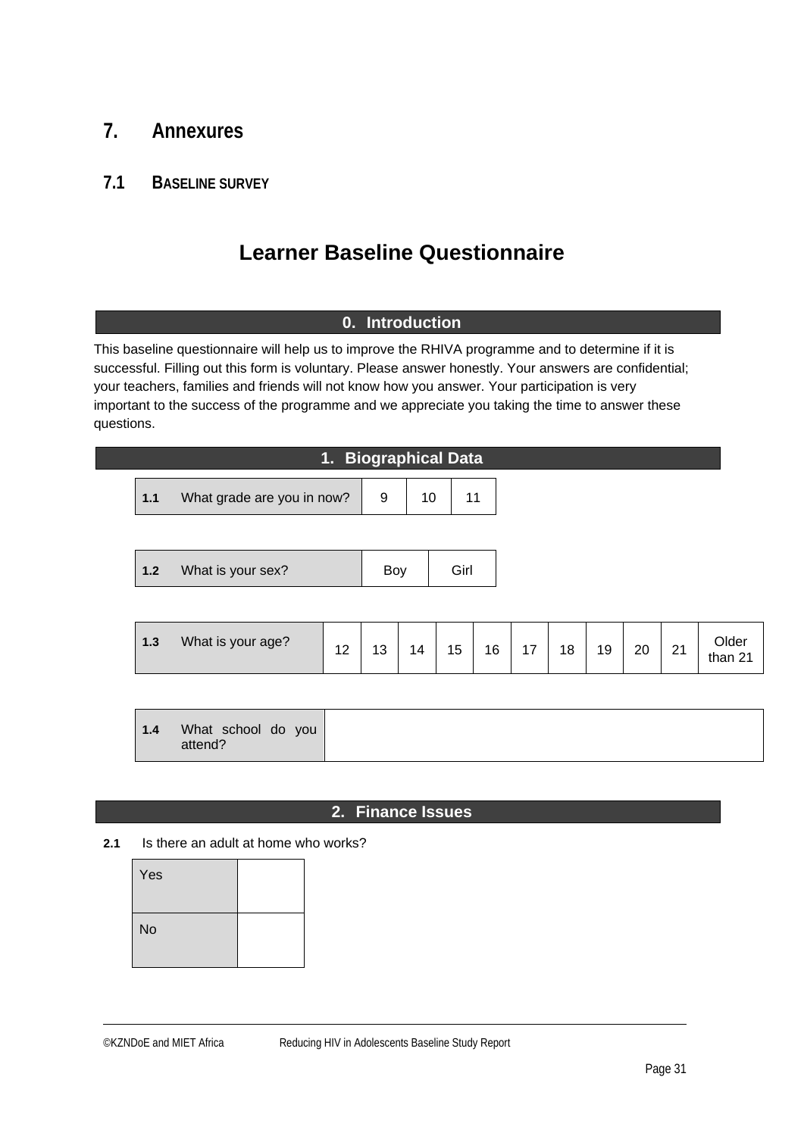# **7. Annexures**

## **7.1 BASELINE SURVEY**

# **Learner Baseline Questionnaire**

#### **0. Introduction**

This baseline questionnaire will help us to improve the RHIVA programme and to determine if it is successful. Filling out this form is voluntary. Please answer honestly. Your answers are confidential; your teachers, families and friends will not know how you answer. Your participation is very important to the success of the programme and we appreciate you taking the time to answer these questions.

#### **1. Biographical Data**

| 1.1 | What grade are you in now? | 9 | 10 <sup>1</sup> |  |
|-----|----------------------------|---|-----------------|--|

| What is your sex?<br>1.2 | Boy | Girl |
|--------------------------|-----|------|
|--------------------------|-----|------|

| What is your age?<br>1.3 | $\sqrt{2}$<br>ے ا | 10<br>ت | 14 | 15 | 16 | 17<br>. . | 18 | 19 | 20 | $\Omega$<br><u>_</u> | Older<br>2 <sup>1</sup><br>than |
|--------------------------|-------------------|---------|----|----|----|-----------|----|----|----|----------------------|---------------------------------|
|--------------------------|-------------------|---------|----|----|----|-----------|----|----|----|----------------------|---------------------------------|

|--|

#### **2. Finance Issues**

#### **2.1** Is there an adult at home who works?

| Yes       |  |
|-----------|--|
| <b>No</b> |  |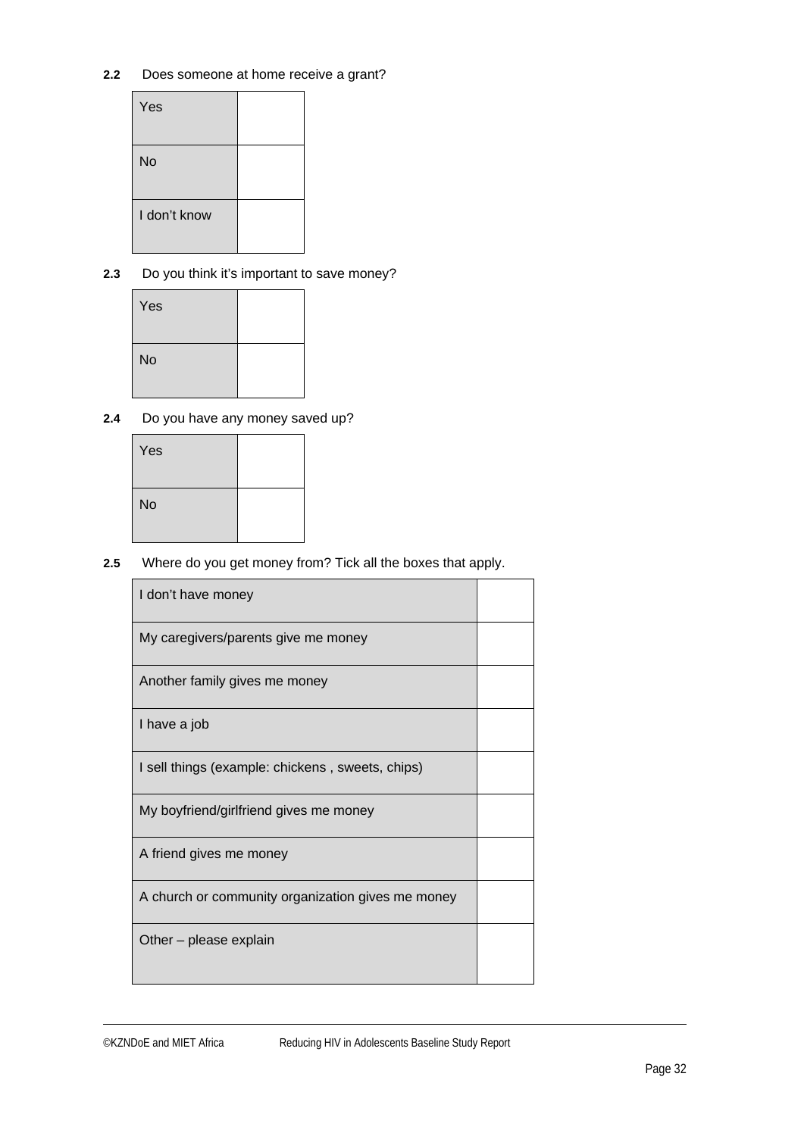#### **2.2** Does someone at home receive a grant?

| Yes          |  |
|--------------|--|
| <b>No</b>    |  |
| I don't know |  |

**2.3** Do you think it's important to save money?

| Yes       |  |
|-----------|--|
| <b>No</b> |  |

**2.4** Do you have any money saved up?

| Yes       |  |
|-----------|--|
| <b>No</b> |  |

#### **2.5** Where do you get money from? Tick all the boxes that apply.

| I don't have money                                |  |
|---------------------------------------------------|--|
| My caregivers/parents give me money               |  |
| Another family gives me money                     |  |
| I have a job                                      |  |
| I sell things (example: chickens, sweets, chips)  |  |
| My boyfriend/girlfriend gives me money            |  |
| A friend gives me money                           |  |
| A church or community organization gives me money |  |
| Other - please explain                            |  |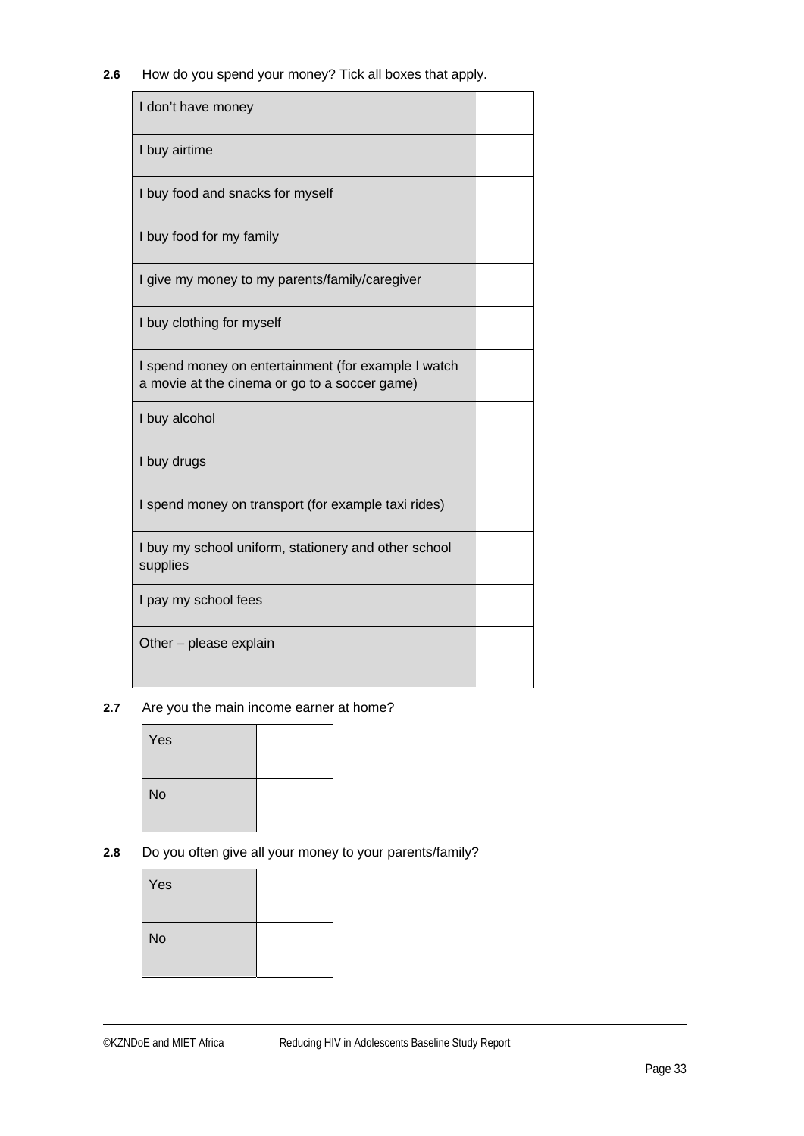**2.6** How do you spend your money? Tick all boxes that apply.

| I don't have money                                                                                   |  |
|------------------------------------------------------------------------------------------------------|--|
| I buy airtime                                                                                        |  |
| I buy food and snacks for myself                                                                     |  |
| I buy food for my family                                                                             |  |
| I give my money to my parents/family/caregiver                                                       |  |
| I buy clothing for myself                                                                            |  |
| I spend money on entertainment (for example I watch<br>a movie at the cinema or go to a soccer game) |  |
| I buy alcohol                                                                                        |  |
| I buy drugs                                                                                          |  |
| I spend money on transport (for example taxi rides)                                                  |  |
| I buy my school uniform, stationery and other school<br>supplies                                     |  |
| I pay my school fees                                                                                 |  |
| Other - please explain                                                                               |  |

**2.7** Are you the main income earner at home?

| Yes       |  |
|-----------|--|
| <b>No</b> |  |

**2.8** Do you often give all your money to your parents/family?

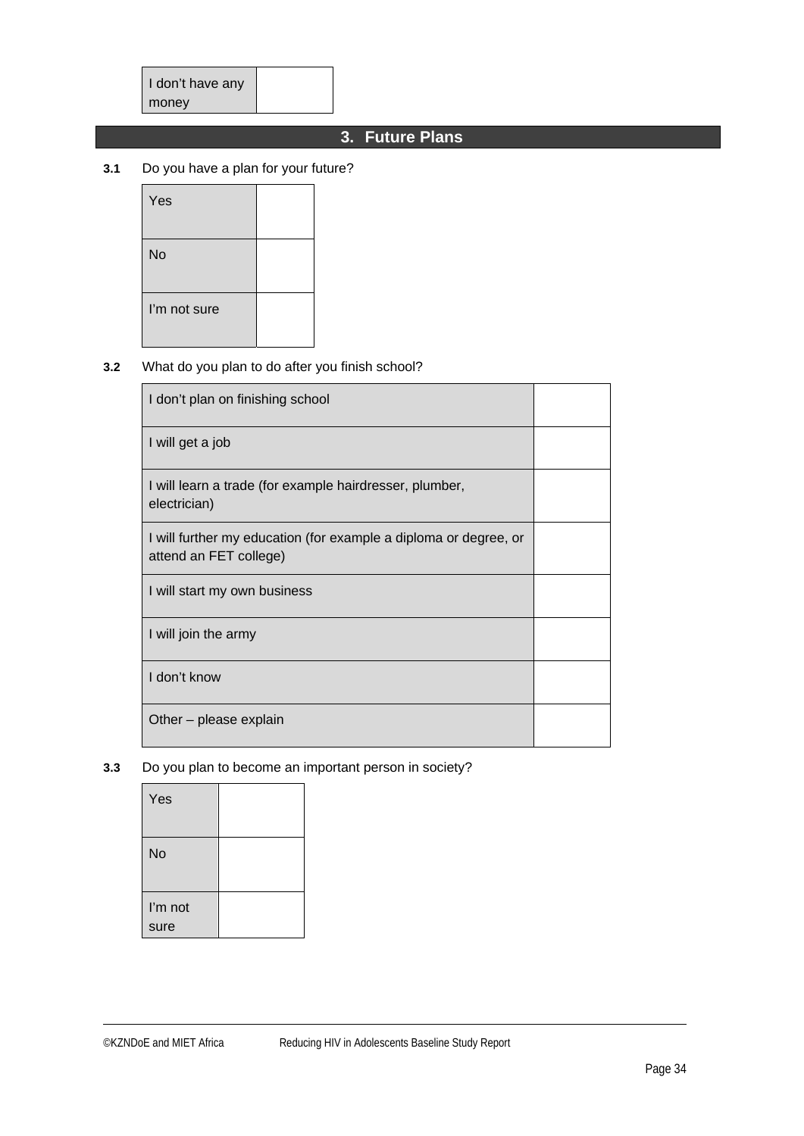| I don't have any |  |
|------------------|--|
| money            |  |

## **3. Future Plans**

#### **3.1** Do you have a plan for your future?

| Yes          |  |
|--------------|--|
|              |  |
| <b>No</b>    |  |
|              |  |
| I'm not sure |  |

#### **3.2** What do you plan to do after you finish school?

| I don't plan on finishing school                                                           |  |
|--------------------------------------------------------------------------------------------|--|
| I will get a job                                                                           |  |
| I will learn a trade (for example hairdresser, plumber,<br>electrician)                    |  |
| I will further my education (for example a diploma or degree, or<br>attend an FET college) |  |
| I will start my own business                                                               |  |
| I will join the army                                                                       |  |
| I don't know                                                                               |  |
| Other - please explain                                                                     |  |

#### **3.3** Do you plan to become an important person in society?

| Yes             |  |
|-----------------|--|
| <b>No</b>       |  |
| I'm not<br>sure |  |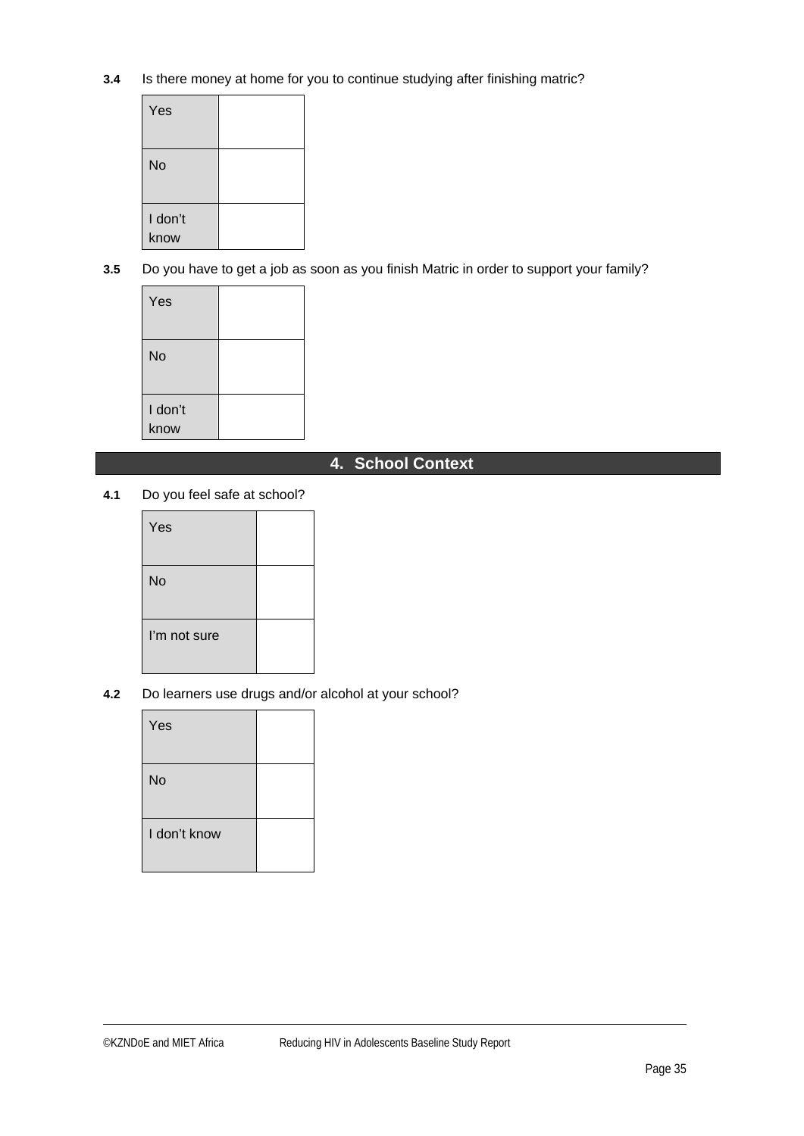**3.4** Is there money at home for you to continue studying after finishing matric?

| Yes             |  |
|-----------------|--|
| <b>No</b>       |  |
| I don't<br>know |  |

**3.5** Do you have to get a job as soon as you finish Matric in order to support your family?

| Yes             |  |
|-----------------|--|
| <b>No</b>       |  |
| I don't<br>know |  |

#### **4. School Context**

**4.1** Do you feel safe at school?

| Yes          |  |
|--------------|--|
| <b>No</b>    |  |
| I'm not sure |  |

**4.2** Do learners use drugs and/or alcohol at your school?

| Yes          |  |
|--------------|--|
| <b>No</b>    |  |
| I don't know |  |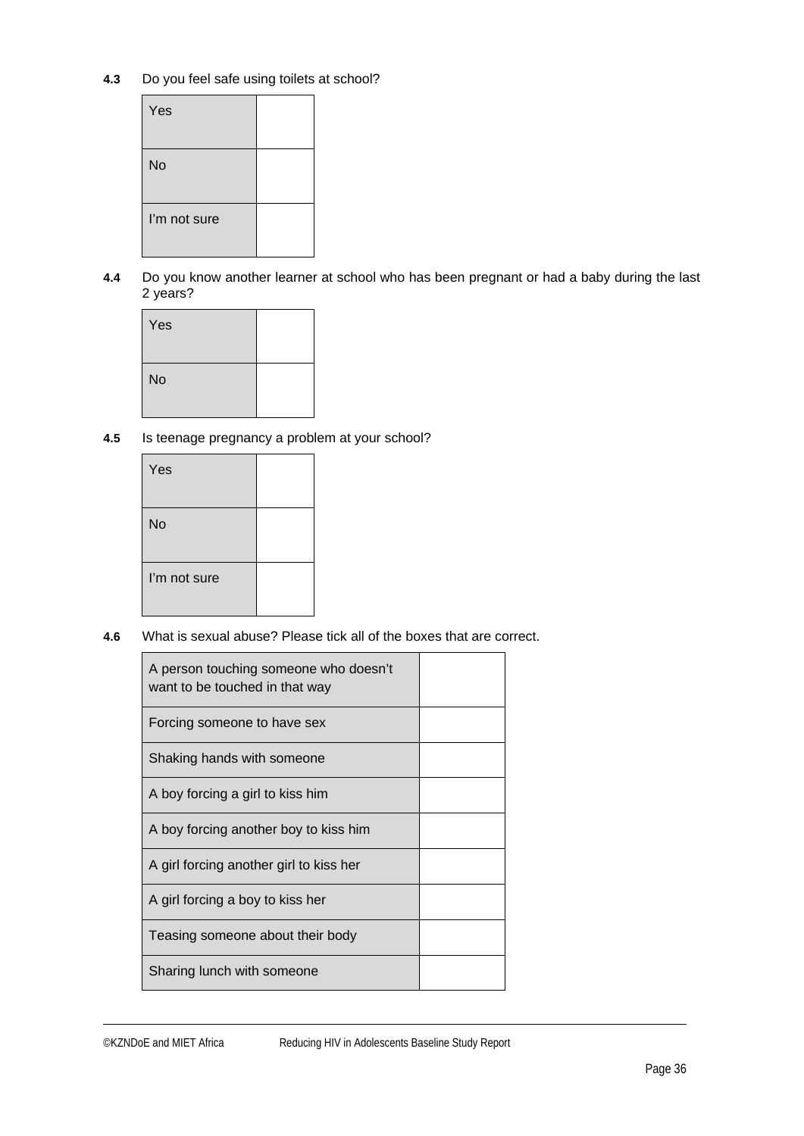**4.3** Do you feel safe using toilets at school?

| Yes          |  |
|--------------|--|
| <b>No</b>    |  |
| I'm not sure |  |

**4.4** Do you know another learner at school who has been pregnant or had a baby during the last 2 years?

| Yes       |  |
|-----------|--|
| <b>No</b> |  |

**4.5** Is teenage pregnancy a problem at your school?

| Yes          |  |
|--------------|--|
| <b>No</b>    |  |
| I'm not sure |  |

**4.6** What is sexual abuse? Please tick all of the boxes that are correct.

| A person touching someone who doesn't<br>want to be touched in that way |  |
|-------------------------------------------------------------------------|--|
| Forcing someone to have sex                                             |  |
| Shaking hands with someone                                              |  |
| A boy forcing a girl to kiss him                                        |  |
| A boy forcing another boy to kiss him                                   |  |
| A girl forcing another girl to kiss her                                 |  |
| A girl forcing a boy to kiss her                                        |  |
| Teasing someone about their body                                        |  |
| Sharing lunch with someone                                              |  |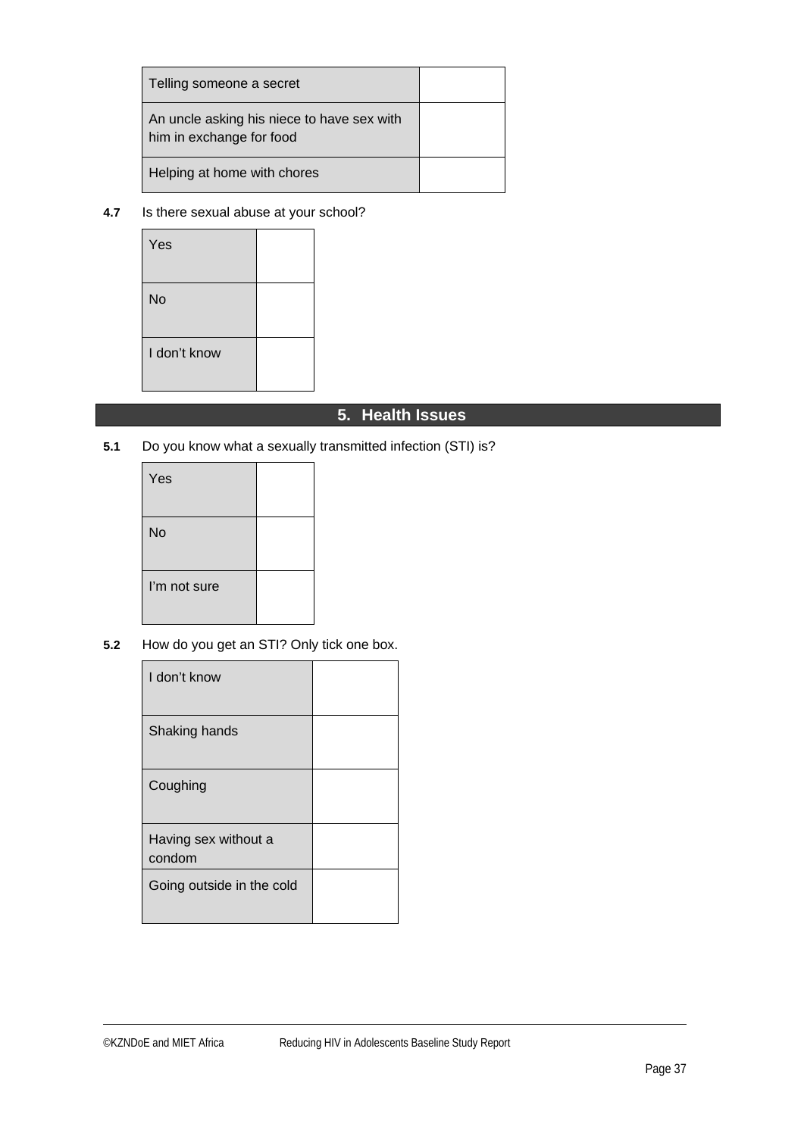| Telling someone a secret                                               |  |
|------------------------------------------------------------------------|--|
| An uncle asking his niece to have sex with<br>him in exchange for food |  |
| Helping at home with chores                                            |  |

#### **4.7** Is there sexual abuse at your school?

| Yes          |  |
|--------------|--|
| <b>No</b>    |  |
| I don't know |  |

## **5. Health Issues**

**5.1** Do you know what a sexually transmitted infection (STI) is?

| Yes          |  |
|--------------|--|
| <b>No</b>    |  |
| I'm not sure |  |

**5.2** How do you get an STI? Only tick one box.

| I don't know                   |  |
|--------------------------------|--|
| Shaking hands                  |  |
| Coughing                       |  |
| Having sex without a<br>condom |  |
| Going outside in the cold      |  |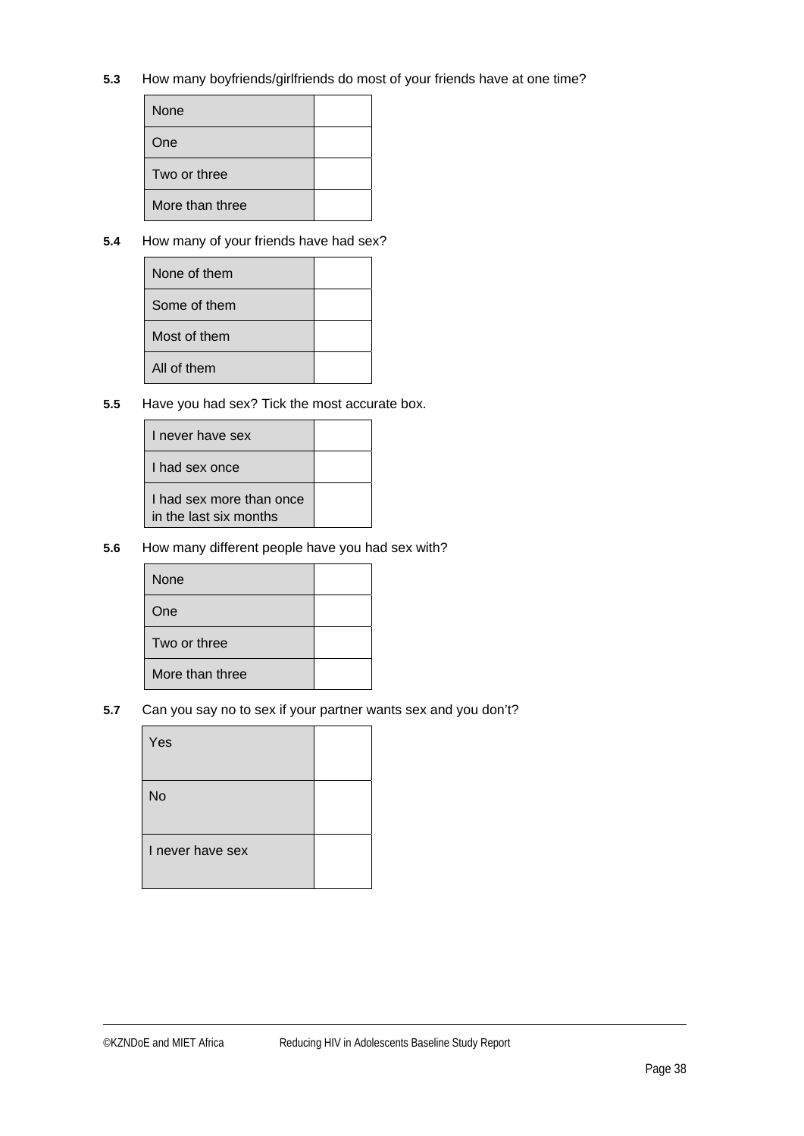**5.3** How many boyfriends/girlfriends do most of your friends have at one time?

| None            |  |
|-----------------|--|
| One             |  |
| Two or three    |  |
| More than three |  |

**5.4** How many of your friends have had sex?

| None of them |  |
|--------------|--|
| Some of them |  |
| Most of them |  |
| All of them  |  |

**5.5** Have you had sex? Tick the most accurate box.

| I never have sex                                   |  |
|----------------------------------------------------|--|
| I had sex once                                     |  |
| I had sex more than once<br>in the last six months |  |

**5.6** How many different people have you had sex with?

| None            |  |
|-----------------|--|
| One             |  |
| Two or three    |  |
| More than three |  |

**5.7** Can you say no to sex if your partner wants sex and you don't?

| Yes              |  |
|------------------|--|
| <b>No</b>        |  |
| I never have sex |  |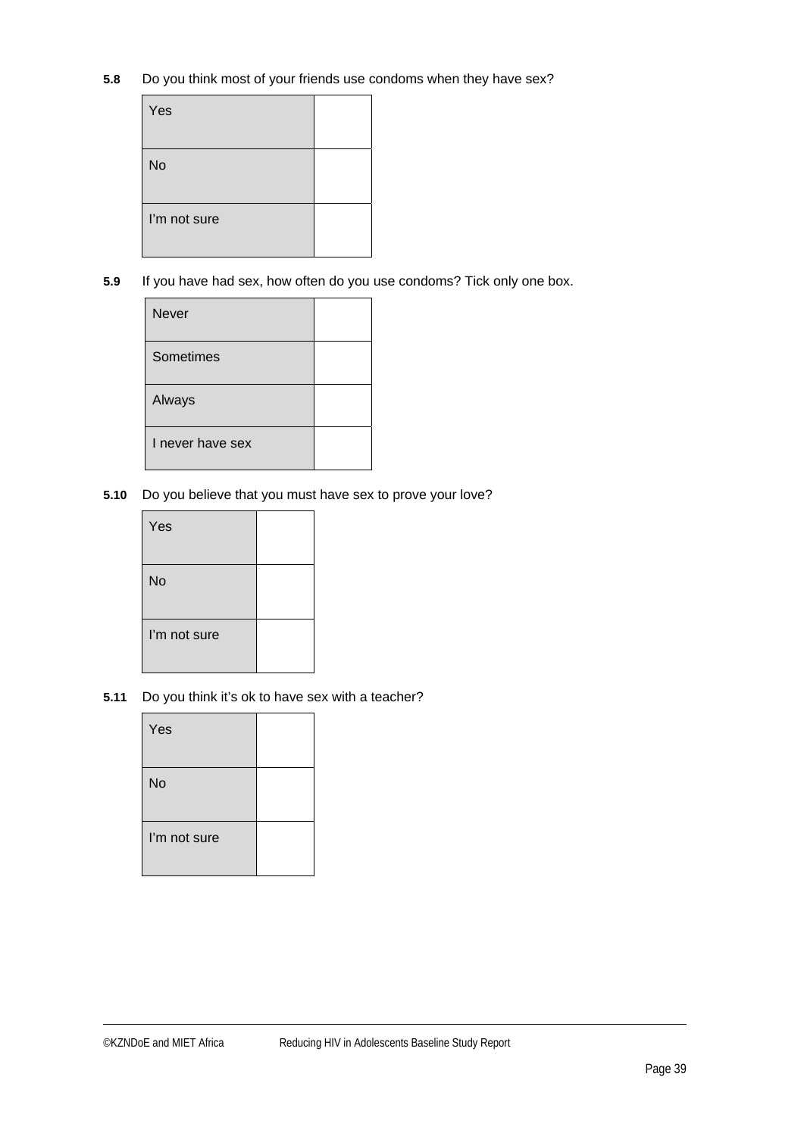**5.8** Do you think most of your friends use condoms when they have sex?

| Yes          |  |
|--------------|--|
| <b>No</b>    |  |
|              |  |
| I'm not sure |  |
|              |  |

**5.9** If you have had sex, how often do you use condoms? Tick only one box.

| <b>Never</b>     |  |
|------------------|--|
| Sometimes        |  |
| Always           |  |
| I never have sex |  |

**5.10** Do you believe that you must have sex to prove your love?

| Yes          |  |
|--------------|--|
| <b>No</b>    |  |
| I'm not sure |  |

**5.11** Do you think it's ok to have sex with a teacher?

| Yes          |  |
|--------------|--|
| <b>No</b>    |  |
| I'm not sure |  |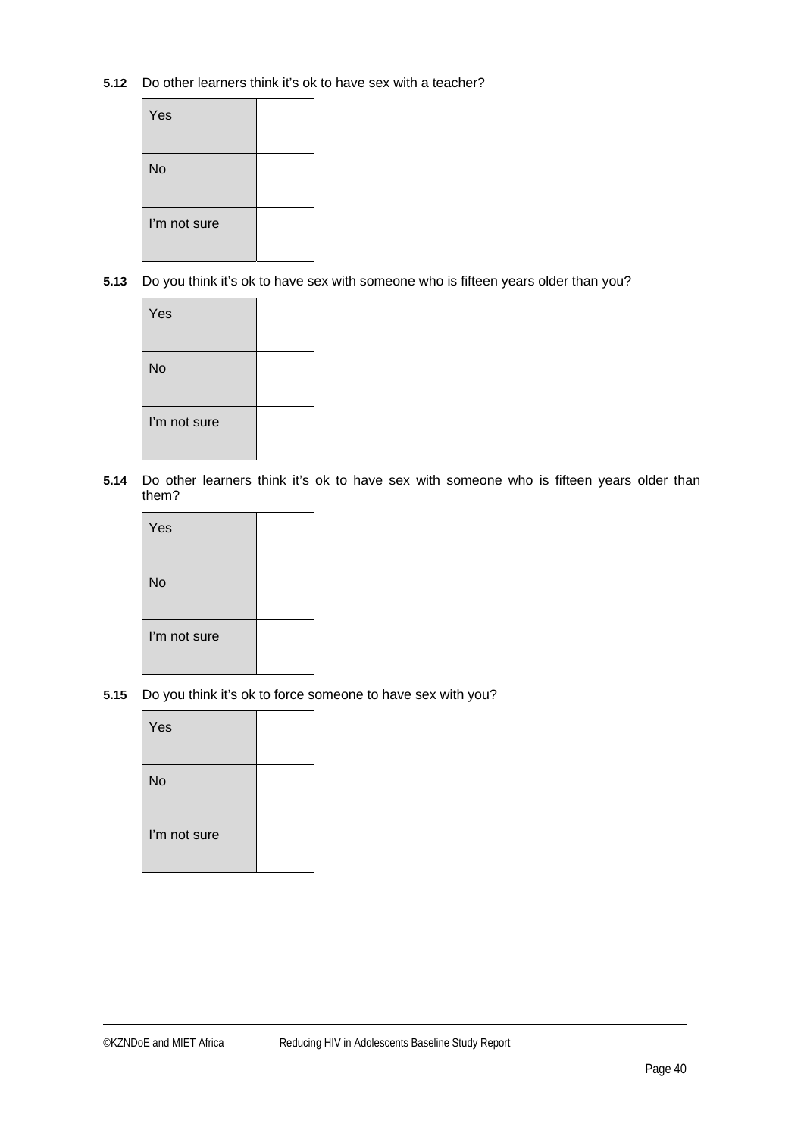**5.12** Do other learners think it's ok to have sex with a teacher?

| Yes          |  |
|--------------|--|
| <b>No</b>    |  |
| I'm not sure |  |

**5.13** Do you think it's ok to have sex with someone who is fifteen years older than you?



**5.14** Do other learners think it's ok to have sex with someone who is fifteen years older than them?

| Yes          |  |
|--------------|--|
| <b>No</b>    |  |
| I'm not sure |  |

**5.15** Do you think it's ok to force someone to have sex with you?

| Yes          |  |
|--------------|--|
| <b>No</b>    |  |
| I'm not sure |  |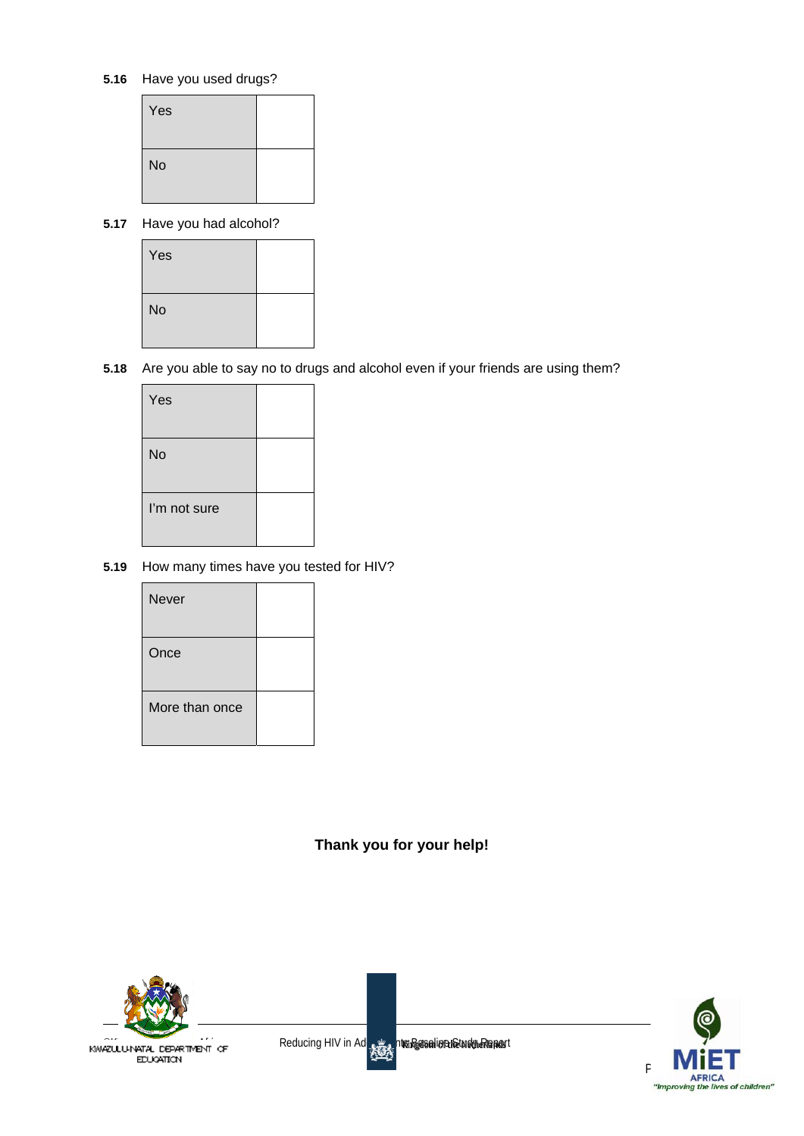#### **5.16** Have you used drugs?

| Yes       |  |
|-----------|--|
| <b>No</b> |  |

#### **5.17** Have you had alcohol?



#### **5.18** Are you able to say no to drugs and alcohol even if your friends are using them?

| Yes          |  |
|--------------|--|
| <b>No</b>    |  |
| I'm not sure |  |

**5.19** How many times have you tested for HIV?

| <b>Never</b>   |  |
|----------------|--|
| Once           |  |
| More than once |  |

**Thank you for your help!** 





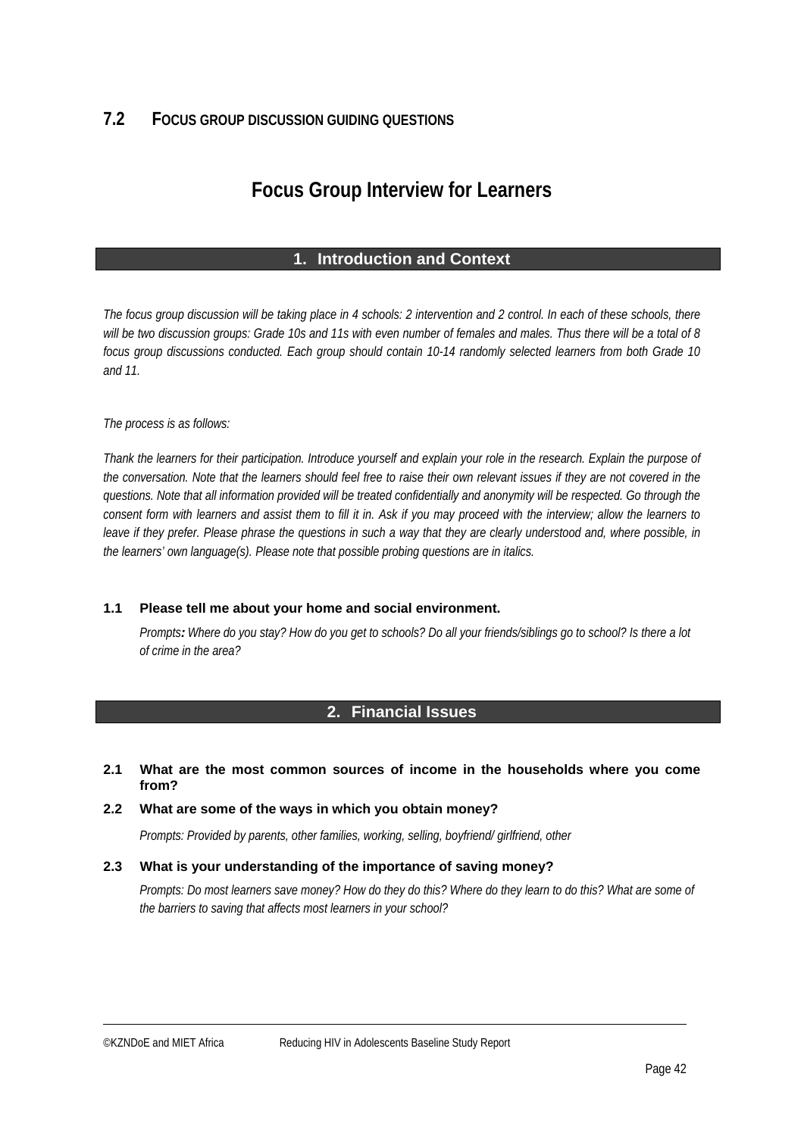## **7.2 FOCUS GROUP DISCUSSION GUIDING QUESTIONS**

# **Focus Group Interview for Learners**

#### **1. Introduction and Context**

*The focus group discussion will be taking place in 4 schools: 2 intervention and 2 control. In each of these schools, there will be two discussion groups: Grade 10s and 11s with even number of females and males. Thus there will be a total of 8 focus group discussions conducted. Each group should contain 10-14 randomly selected learners from both Grade 10 and 11.* 

#### *The process is as follows:*

 $\overline{a}$ 

*Thank the learners for their participation. Introduce yourself and explain your role in the research. Explain the purpose of the conversation. Note that the learners should feel free to raise their own relevant issues if they are not covered in the questions. Note that all information provided will be treated confidentially and anonymity will be respected. Go through the consent form with learners and assist them to fill it in. Ask if you may proceed with the interview; allow the learners to*  leave if they prefer. Please phrase the questions in such a way that they are clearly understood and, where possible, in *the learners' own language(s). Please note that possible probing questions are in italics.*

#### **1.1 Please tell me about your home and social environment.**

*Prompts: Where do you stay? How do you get to schools? Do all your friends/siblings go to school? Is there a lot of crime in the area?* 

#### **2. Financial Issues**

- **2.1 What are the most common sources of income in the households where you come from?**
- **2.2 What are some of the ways in which you obtain money?**

 *Prompts: Provided by parents, other families, working, selling, boyfriend/ girlfriend, other* 

#### **2.3 What is your understanding of the importance of saving money?**

*Prompts: Do most learners save money? How do they do this? Where do they learn to do this? What are some of the barriers to saving that affects most learners in your school?*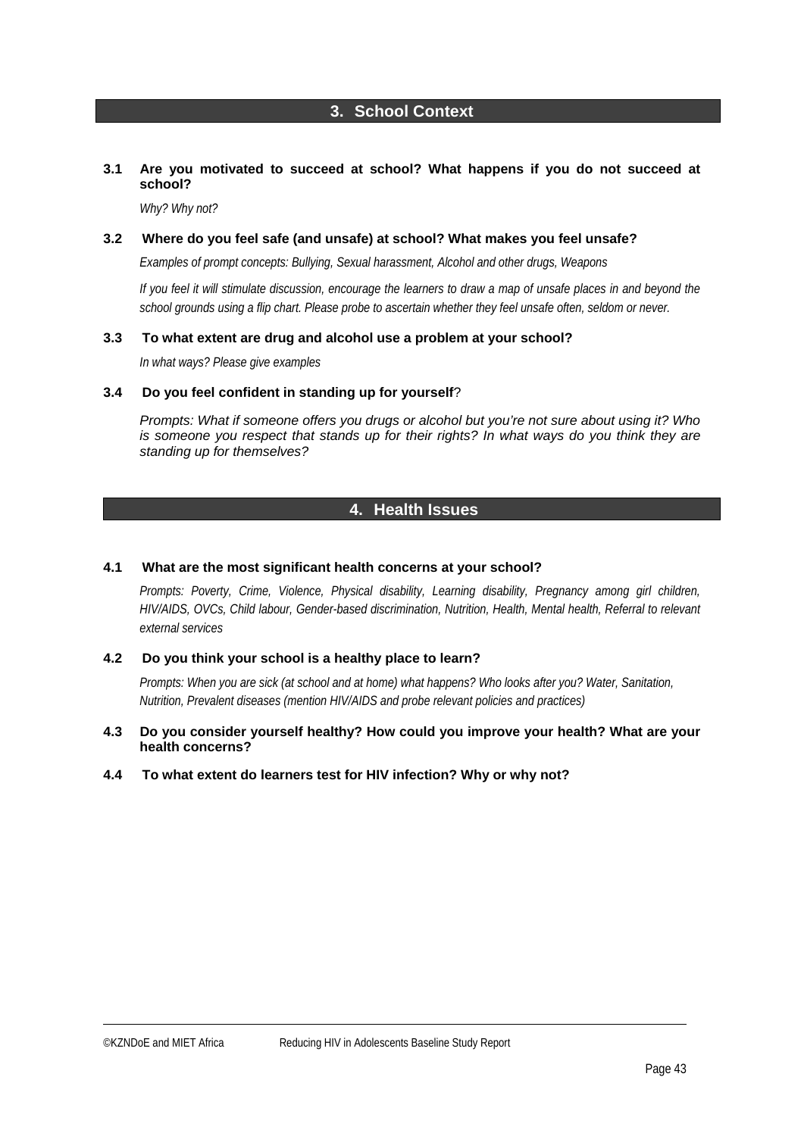#### **3. School Context**

**3.1 Are you motivated to succeed at school? What happens if you do not succeed at school?** 

 *Why? Why not?*

#### **3.2 Where do you feel safe (and unsafe) at school? What makes you feel unsafe?**

*Examples of prompt concepts: Bullying, Sexual harassment, Alcohol and other drugs, Weapons* 

*If you feel it will stimulate discussion, encourage the learners to draw a map of unsafe places in and beyond the school grounds using a flip chart. Please probe to ascertain whether they feel unsafe often, seldom or never.* 

#### **3.3 To what extent are drug and alcohol use a problem at your school?**

*In what ways? Please give examples* 

#### **3.4 Do you feel confident in standing up for yourself**?

*Prompts: What if someone offers you drugs or alcohol but you're not sure about using it? Who is someone you respect that stands up for their rights? In what ways do you think they are standing up for themselves?*

#### **4. Health Issues**

#### **4.1 What are the most significant health concerns at your school?**

*Prompts: Poverty, Crime, Violence, Physical disability, Learning disability, Pregnancy among girl children, HIV/AIDS, OVCs, Child labour, Gender-based discrimination, Nutrition, Health, Mental health, Referral to relevant external services* 

#### **4.2 Do you think your school is a healthy place to learn?**

*Prompts: When you are sick (at school and at home) what happens? Who looks after you? Water, Sanitation, Nutrition, Prevalent diseases (mention HIV/AIDS and probe relevant policies and practices)* 

#### **4.3 Do you consider yourself healthy? How could you improve your health? What are your health concerns?**

#### **4.4 To what extent do learners test for HIV infection? Why or why not?**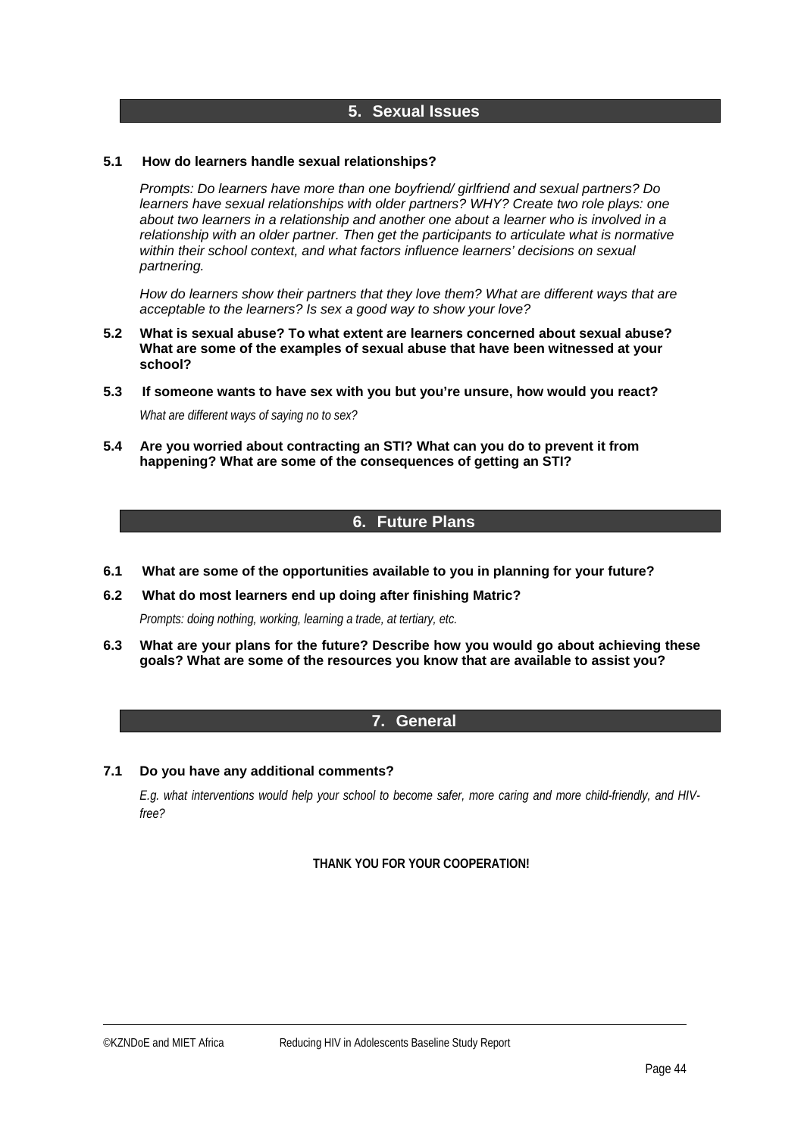#### **5. Sexual Issues**

#### **5.1 How do learners handle sexual relationships?**

*Prompts: Do learners have more than one boyfriend/ girlfriend and sexual partners? Do learners have sexual relationships with older partners? WHY? Create two role plays: one about two learners in a relationship and another one about a learner who is involved in a relationship with an older partner. Then get the participants to articulate what is normative within their school context, and what factors influence learners' decisions on sexual partnering.* 

*How do learners show their partners that they love them? What are different ways that are acceptable to the learners? Is sex a good way to show your love?* 

- **5.2 What is sexual abuse? To what extent are learners concerned about sexual abuse? What are some of the examples of sexual abuse that have been witnessed at your school?**
- **5.3 If someone wants to have sex with you but you're unsure, how would you react?**

*What are different ways of saying no to sex?* 

**5.4 Are you worried about contracting an STI? What can you do to prevent it from happening? What are some of the consequences of getting an STI?** 

#### **6. Future Plans**

- **6.1 What are some of the opportunities available to you in planning for your future?**
- **6.2 What do most learners end up doing after finishing Matric?**

*Prompts: doing nothing, working, learning a trade, at tertiary, etc.* 

**6.3 What are your plans for the future? Describe how you would go about achieving these goals? What are some of the resources you know that are available to assist you?** 

#### **7. General**

#### **7.1 Do you have any additional comments?**

 $\overline{a}$ 

*E.g. what interventions would help your school to become safer, more caring and more child-friendly, and HIVfree?* 

#### **THANK YOU FOR YOUR COOPERATION!**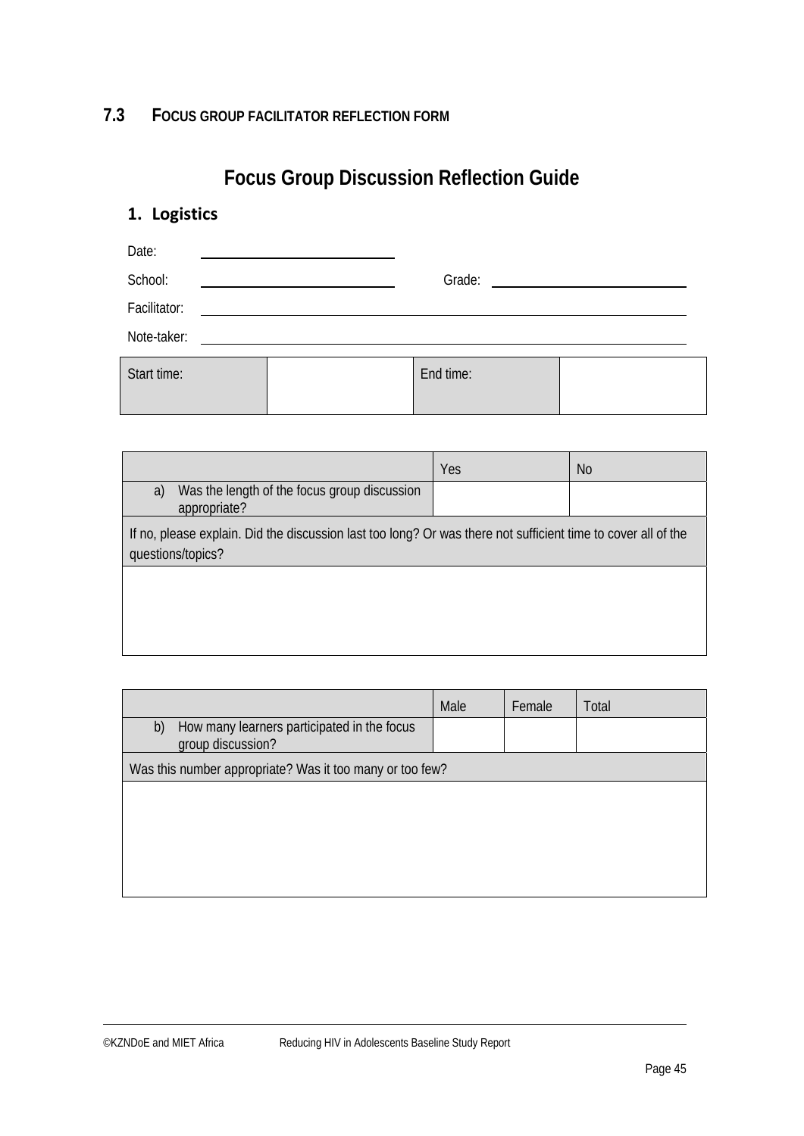# **7.3 FOCUS GROUP FACILITATOR REFLECTION FORM**

# **Focus Group Discussion Reflection Guide**

# **1. Logistics**

| Date:        |  |           |  |  |
|--------------|--|-----------|--|--|
| School:      |  | Grade:    |  |  |
| Facilitator: |  |           |  |  |
| Note-taker:  |  |           |  |  |
| Start time:  |  | End time: |  |  |

| Yes                                                                                                           | <b>No</b> |
|---------------------------------------------------------------------------------------------------------------|-----------|
|                                                                                                               |           |
| If no, please explain. Did the discussion last too long? Or was there not sufficient time to cover all of the |           |
|                                                                                                               |           |
|                                                                                                               |           |
|                                                                                                               |           |

|                                                                        | Male | Female | Total |
|------------------------------------------------------------------------|------|--------|-------|
| How many learners participated in the focus<br>b)<br>group discussion? |      |        |       |
| Was this number appropriate? Was it too many or too few?               |      |        |       |
|                                                                        |      |        |       |
|                                                                        |      |        |       |
|                                                                        |      |        |       |
|                                                                        |      |        |       |
|                                                                        |      |        |       |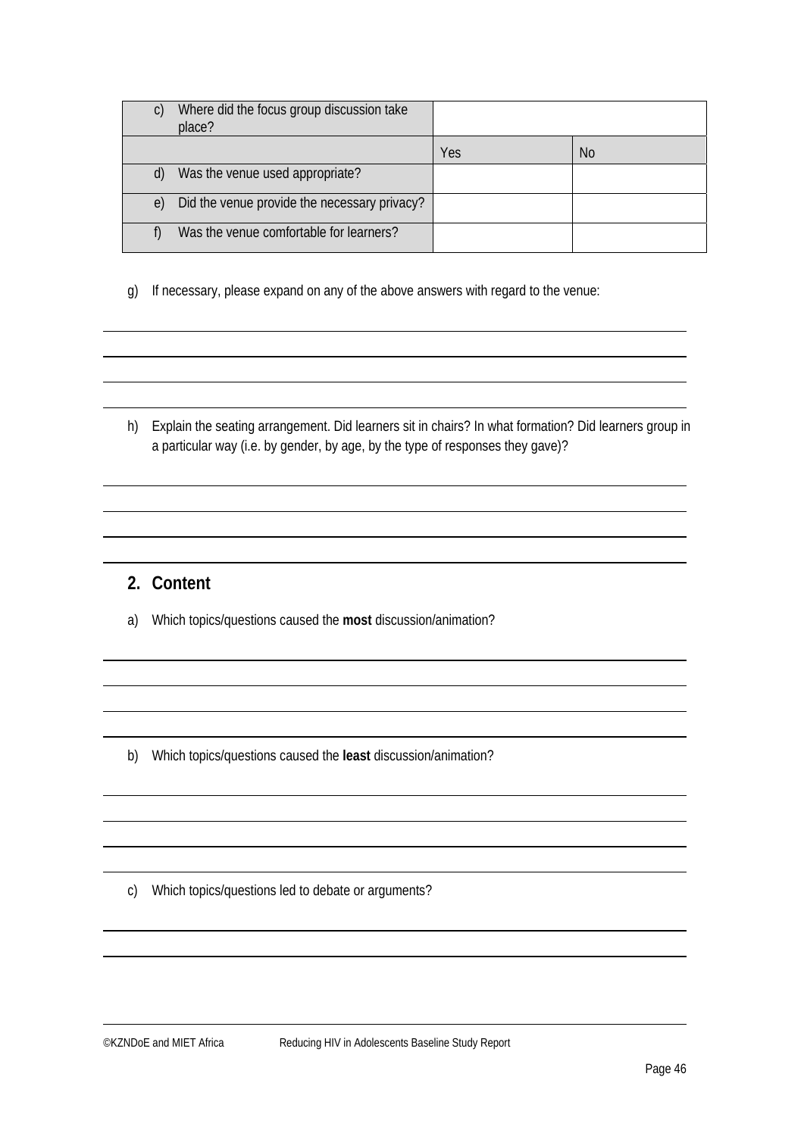| C) | Where did the focus group discussion take<br>place? |     |     |
|----|-----------------------------------------------------|-----|-----|
|    |                                                     | Yes | No. |
| d) | Was the venue used appropriate?                     |     |     |
| e) | Did the venue provide the necessary privacy?        |     |     |
|    | Was the venue comfortable for learners?             |     |     |

g) If necessary, please expand on any of the above answers with regard to the venue:

h) Explain the seating arrangement. Did learners sit in chairs? In what formation? Did learners group in a particular way (i.e. by gender, by age, by the type of responses they gave)?

## **2. Content**

 $\overline{a}$  $\overline{a}$ 

 $\overline{a}$  $\overline{a}$ 

 $\overline{a}$  $\overline{a}$ 

 $\overline{a}$  $\overline{a}$  a) Which topics/questions caused the **most** discussion/animation?

b) Which topics/questions caused the **least** discussion/animation?

c) Which topics/questions led to debate or arguments?

 $\overline{a}$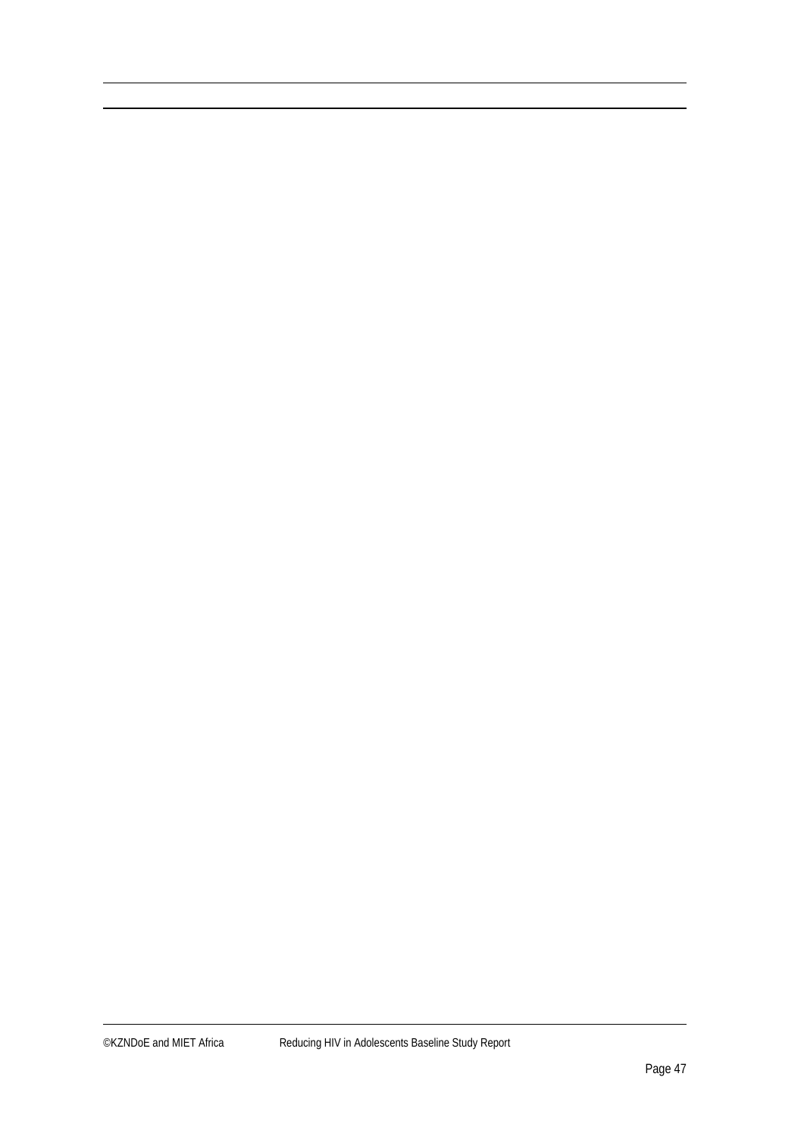$\overline{a}$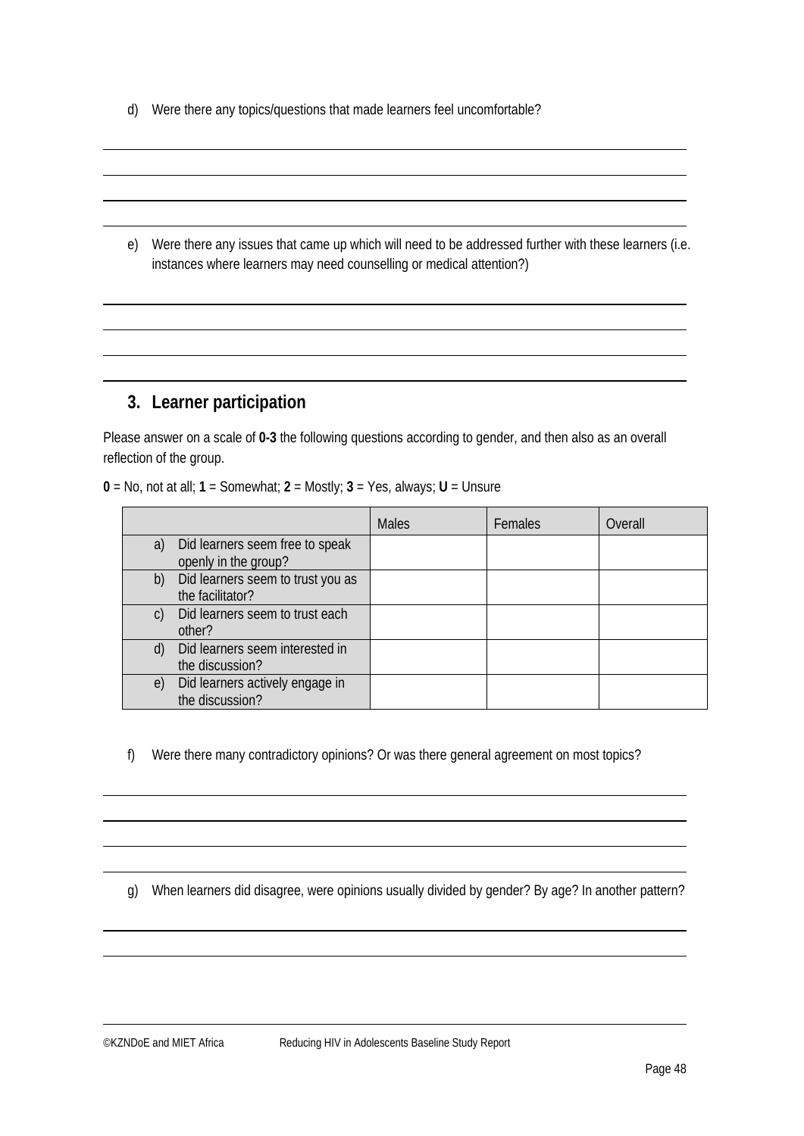d) Were there any topics/questions that made learners feel uncomfortable?

e) Were there any issues that came up which will need to be addressed further with these learners (i.e. instances where learners may need counselling or medical attention?)

## **3. Learner participation**

 $\overline{a}$  $\overline{a}$ 

 $\overline{a}$  $\overline{a}$ 

Please answer on a scale of **0-3** the following questions according to gender, and then also as an overall reflection of the group.

|  |  | $0$ = No, not at all; $1$ = Somewhat; $2$ = Mostly; $3$ = Yes, always; $U$ = Unsure |  |  |  |
|--|--|-------------------------------------------------------------------------------------|--|--|--|
|  |  |                                                                                     |  |  |  |

|    |                                                         | <b>Males</b> | Females | Overall |
|----|---------------------------------------------------------|--------------|---------|---------|
| a) | Did learners seem free to speak<br>openly in the group? |              |         |         |
| b) | Did learners seem to trust you as<br>the facilitator?   |              |         |         |
| C) | Did learners seem to trust each<br>other?               |              |         |         |
| d) | Did learners seem interested in<br>the discussion?      |              |         |         |
| e) | Did learners actively engage in<br>the discussion?      |              |         |         |

f) Were there many contradictory opinions? Or was there general agreement on most topics?

g) When learners did disagree, were opinions usually divided by gender? By age? In another pattern?

 $\overline{a}$ 

 $\overline{a}$  $\overline{a}$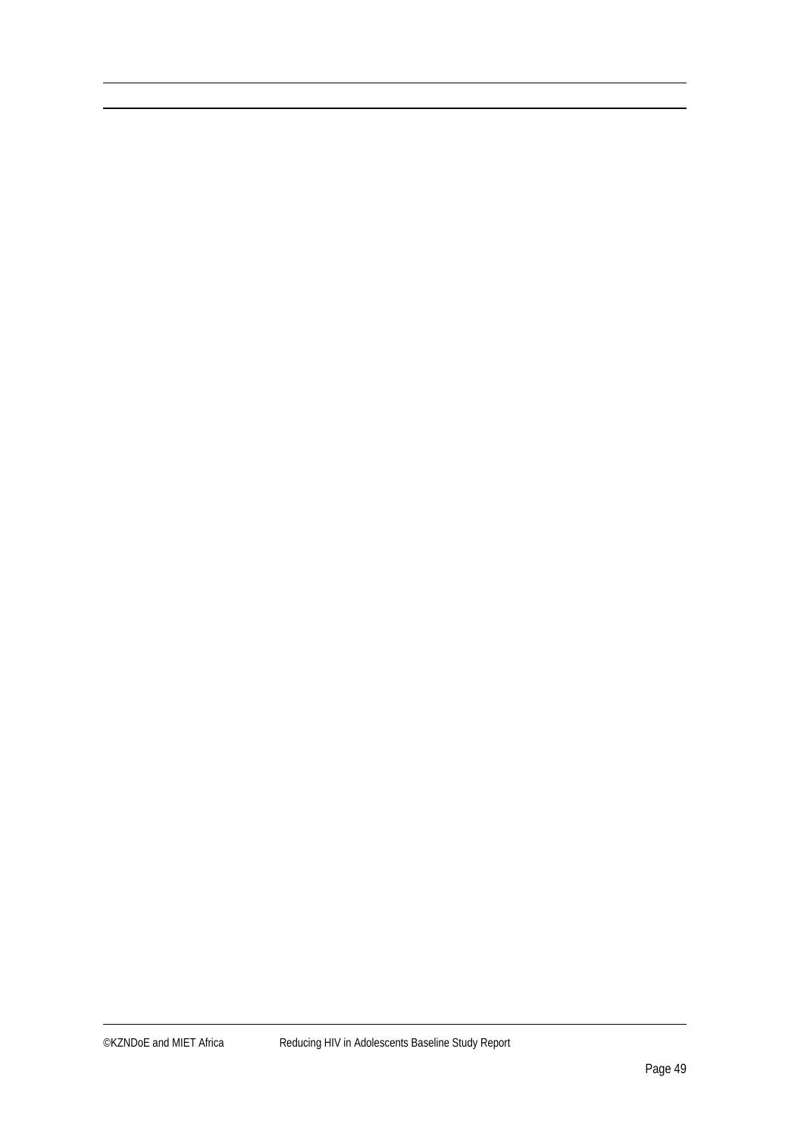$\overline{a}$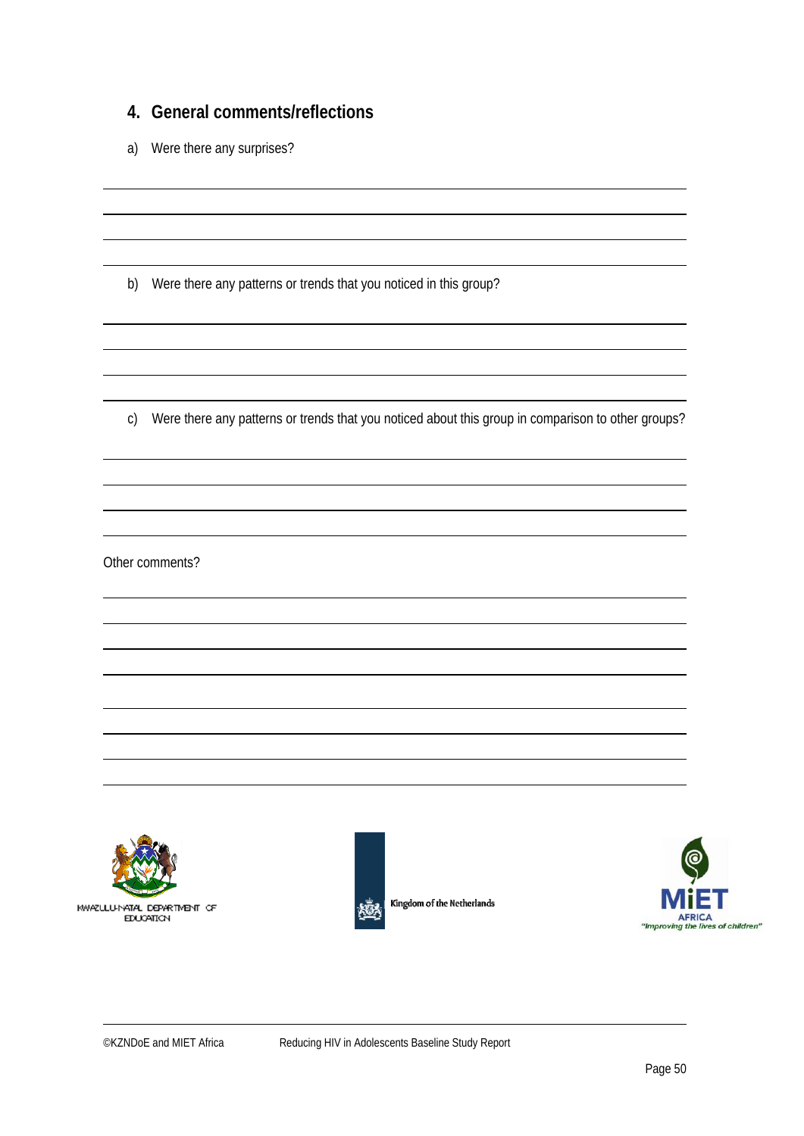# **4. General comments/reflections**

a) Were there any surprises?

 $\overline{a}$  $\overline{a}$ 

 $\overline{a}$  $\overline{a}$ 

 $\overline{a}$  $\overline{a}$ 

 $\overline{a}$  $\overline{a}$ 

 $\overline{a}$ 

b) Were there any patterns or trends that you noticed in this group?

c) Were there any patterns or trends that you noticed about this group in comparison to other groups?

Other comments?





Kingdom of the Netherlands

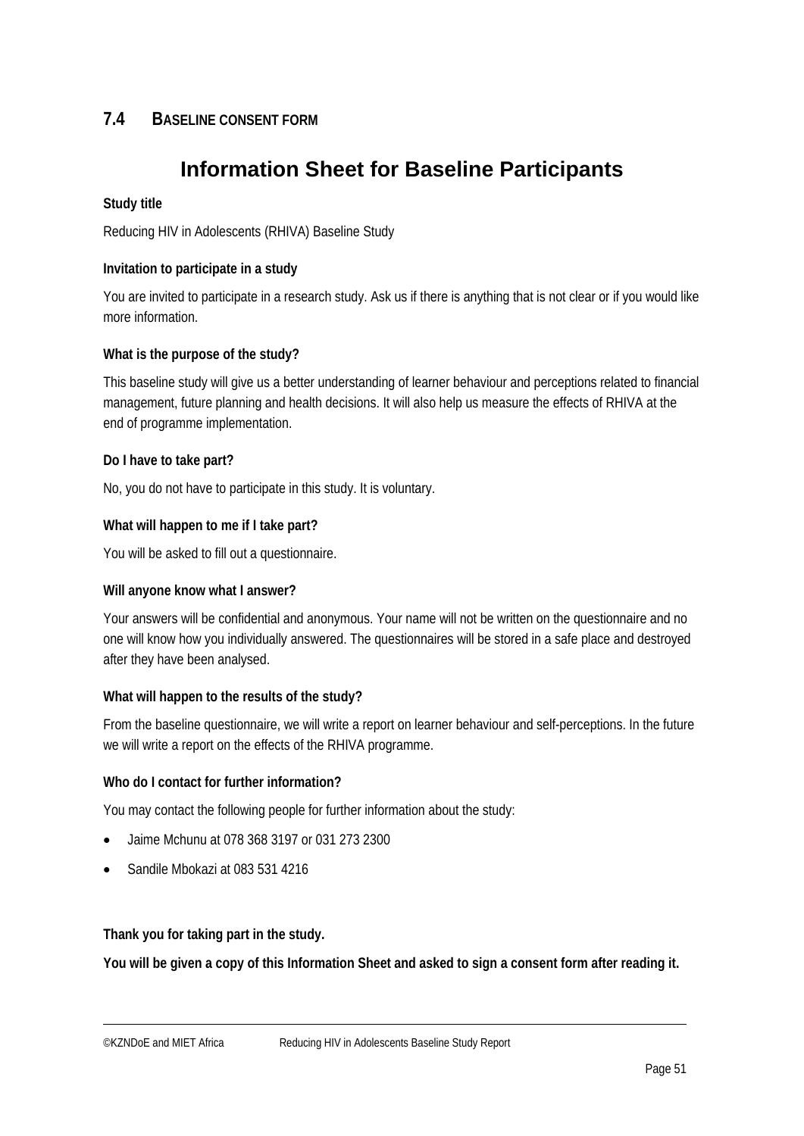# **7.4 BASELINE CONSENT FORM**

# **Information Sheet for Baseline Participants**

#### **Study title**

Reducing HIV in Adolescents (RHIVA) Baseline Study

#### **Invitation to participate in a study**

You are invited to participate in a research study. Ask us if there is anything that is not clear or if you would like more information.

#### **What is the purpose of the study?**

This baseline study will give us a better understanding of learner behaviour and perceptions related to financial management, future planning and health decisions. It will also help us measure the effects of RHIVA at the end of programme implementation.

#### **Do I have to take part?**

No, you do not have to participate in this study. It is voluntary.

#### **What will happen to me if I take part?**

You will be asked to fill out a questionnaire.

#### **Will anyone know what I answer?**

Your answers will be confidential and anonymous. Your name will not be written on the questionnaire and no one will know how you individually answered. The questionnaires will be stored in a safe place and destroyed after they have been analysed.

#### **What will happen to the results of the study?**

From the baseline questionnaire, we will write a report on learner behaviour and self-perceptions. In the future we will write a report on the effects of the RHIVA programme.

#### **Who do I contact for further information?**

You may contact the following people for further information about the study:

- Jaime Mchunu at 078 368 3197 or 031 273 2300
- Sandile Mbokazi at 083 531 4216

#### **Thank you for taking part in the study.**

 $\overline{a}$ 

**You will be given a copy of this Information Sheet and asked to sign a consent form after reading it.**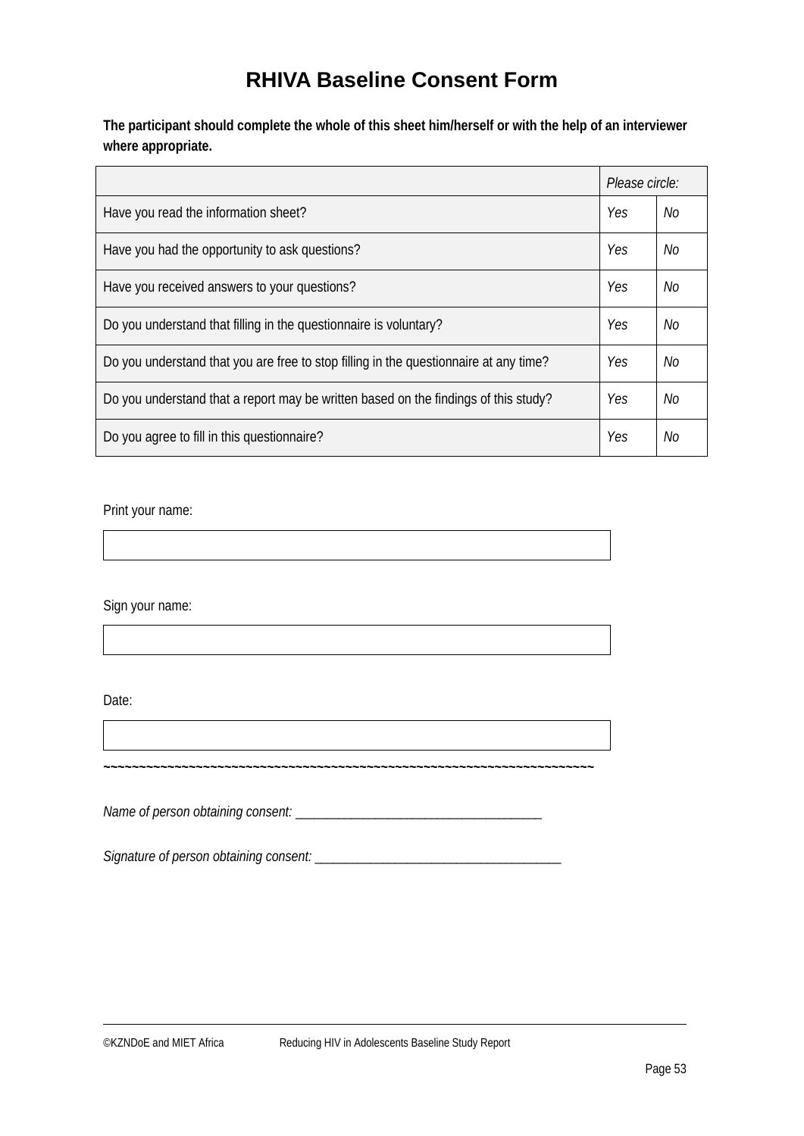# **RHIVA Baseline Consent Form**

**The participant should complete the whole of this sheet him/herself or with the help of an interviewer where appropriate.** 

|                                                                                       | Please circle: |    |
|---------------------------------------------------------------------------------------|----------------|----|
| Have you read the information sheet?                                                  | Yes            | No |
| Have you had the opportunity to ask questions?                                        | Yes            | No |
| Have you received answers to your questions?                                          | Yes            | No |
| Do you understand that filling in the questionnaire is voluntary?                     | Yes            | No |
| Do you understand that you are free to stop filling in the questionnaire at any time? | Yes            | No |
| Do you understand that a report may be written based on the findings of this study?   | Yes            | No |
| Do you agree to fill in this questionnaire?                                           | Yes            | No |

Print your name:

Sign your name:

Date:

**~~~~~~~~~~~~~~~~~~~~~~~~~~~~~~~~~~~~~~~~~~~~~~~~~~~~~~~~~~~~~~~~~~~~~** 

*Name of person obtaining consent:* \_\_\_\_\_\_\_\_\_\_\_\_\_\_\_\_\_\_\_\_\_\_\_\_\_\_\_\_\_\_\_\_\_\_\_\_\_\_\_\_

*Signature of person obtaining consent:* \_\_\_\_\_\_\_\_\_\_\_\_\_\_\_\_\_\_\_\_\_\_\_\_\_\_\_\_\_\_\_\_\_\_\_\_\_\_\_\_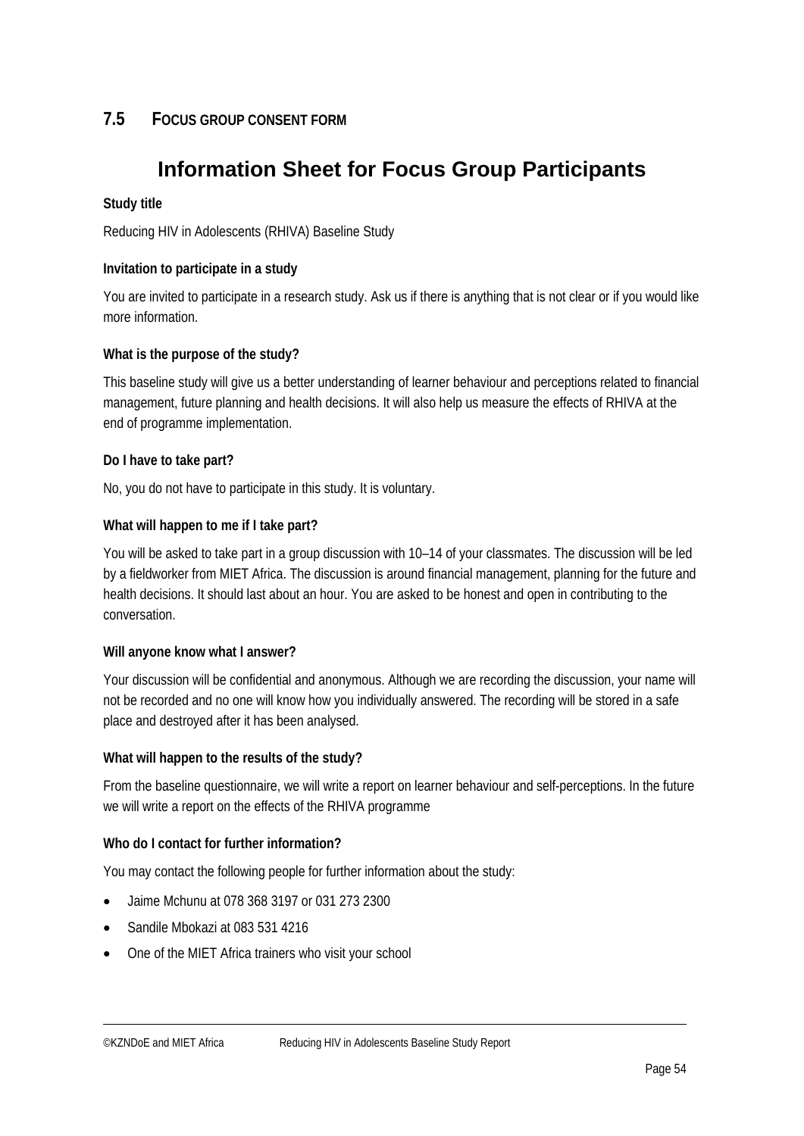# **7.5 FOCUS GROUP CONSENT FORM**

# **Information Sheet for Focus Group Participants**

#### **Study title**

Reducing HIV in Adolescents (RHIVA) Baseline Study

#### **Invitation to participate in a study**

You are invited to participate in a research study. Ask us if there is anything that is not clear or if you would like more information.

#### **What is the purpose of the study?**

This baseline study will give us a better understanding of learner behaviour and perceptions related to financial management, future planning and health decisions. It will also help us measure the effects of RHIVA at the end of programme implementation.

#### **Do I have to take part?**

No, you do not have to participate in this study. It is voluntary.

#### **What will happen to me if I take part?**

You will be asked to take part in a group discussion with 10–14 of your classmates. The discussion will be led by a fieldworker from MIET Africa. The discussion is around financial management, planning for the future and health decisions. It should last about an hour. You are asked to be honest and open in contributing to the conversation.

#### **Will anyone know what I answer?**

Your discussion will be confidential and anonymous. Although we are recording the discussion, your name will not be recorded and no one will know how you individually answered. The recording will be stored in a safe place and destroyed after it has been analysed.

#### **What will happen to the results of the study?**

From the baseline questionnaire, we will write a report on learner behaviour and self-perceptions. In the future we will write a report on the effects of the RHIVA programme

#### **Who do I contact for further information?**

You may contact the following people for further information about the study:

- Jaime Mchunu at 078 368 3197 or 031 273 2300
- Sandile Mbokazi at 083 531 4216

 $\overline{a}$ 

One of the MIET Africa trainers who visit your school